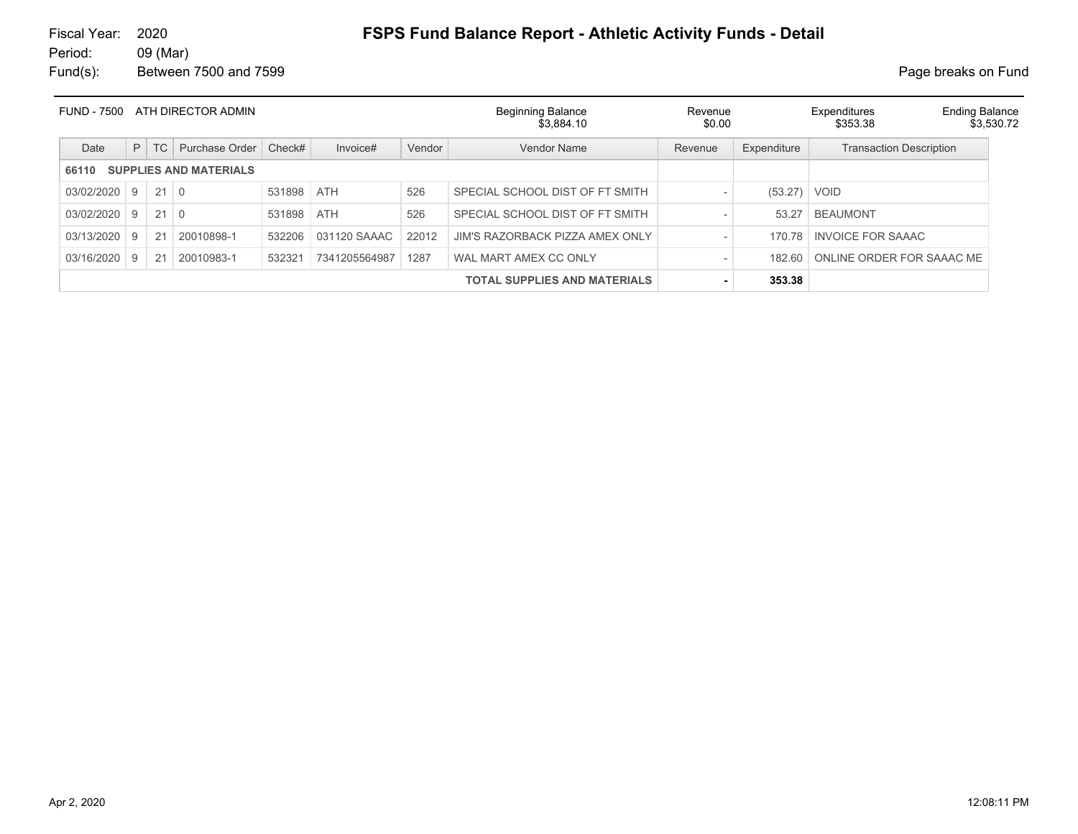# Fiscal Year: 2020 **FSPS Fund Balance Report - Athletic Activity Funds - Detail**

| FUND - 7500 |   |             | ATH DIRECTOR ADMIN            |            |               |        | <b>Beginning Balance</b><br>\$3.884.10 | Revenue<br>\$0.00 |                | Expenditures<br>\$353.38       | <b>Ending Balance</b><br>\$3.530.72 |
|-------------|---|-------------|-------------------------------|------------|---------------|--------|----------------------------------------|-------------------|----------------|--------------------------------|-------------------------------------|
| Date        | P | TC          | Purchase Order                | Check#     | Invoice#      | Vendor | Vendor Name                            | Revenue           | Expenditure    | <b>Transaction Description</b> |                                     |
| 66110       |   |             | <b>SUPPLIES AND MATERIALS</b> |            |               |        |                                        |                   |                |                                |                                     |
| 03/02/2020  | 9 | $21 \mid 0$ |                               | 531898 ATH |               | 526    | SPECIAL SCHOOL DIST OF FT SMITH        |                   | $(53.27)$ VOID |                                |                                     |
| 03/02/2020  | 9 | $21 \mid 0$ |                               | 531898     | ATH           | 526    | SPECIAL SCHOOL DIST OF FT SMITH        |                   | 53.27          | <b>BEAUMONT</b>                |                                     |
| 03/13/2020  | 9 | 21          | 20010898-1                    | 532206     | 031120 SAAAC  | 22012  | JIM'S RAZORBACK PIZZA AMEX ONLY        |                   | 170.78         | <b>INVOICE FOR SAAAC</b>       |                                     |
| 03/16/2020  | 9 | 21          | 20010983-1                    | 532321     | 7341205564987 | 1287   | WAL MART AMEX CC ONLY                  |                   | 182.60         | ONLINE ORDER FOR SAAAC ME      |                                     |
|             |   |             |                               |            |               |        | <b>TOTAL SUPPLIES AND MATERIALS</b>    |                   | 353.38         |                                |                                     |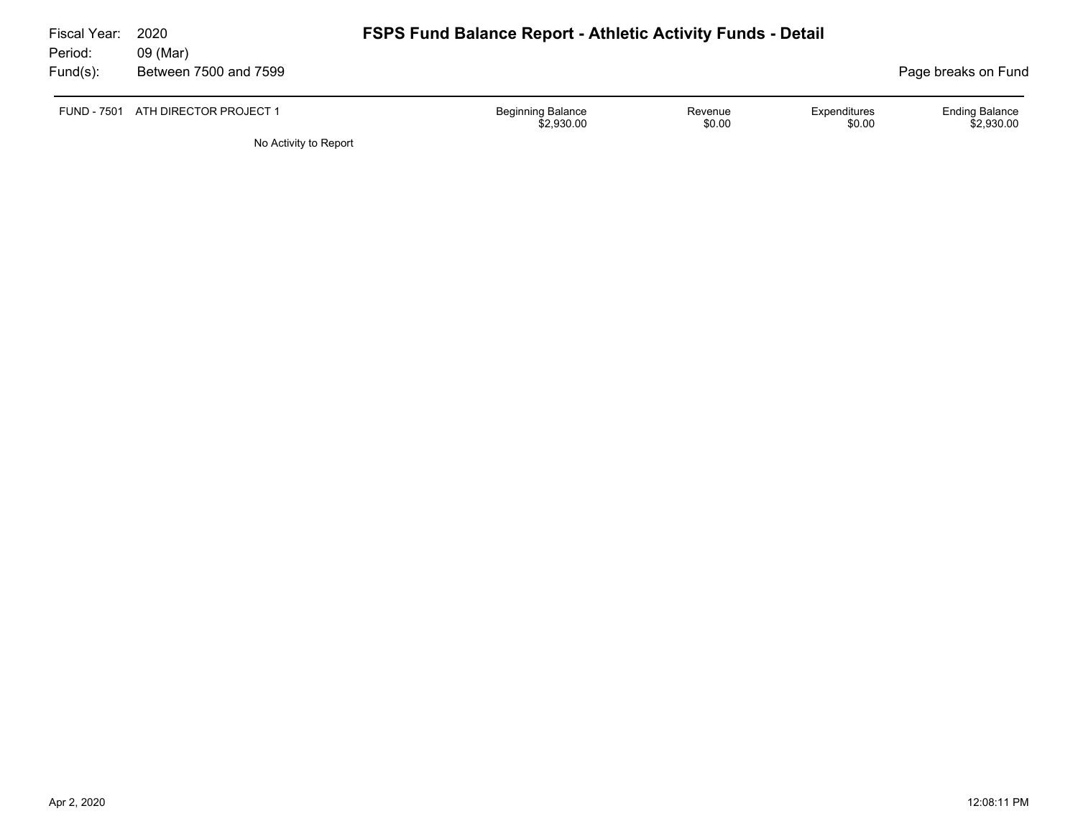| Fiscal Year:        | 2020                               | <b>FSPS Fund Balance Report - Athletic Activity Funds - Detail</b> |                   |                        |                                     |
|---------------------|------------------------------------|--------------------------------------------------------------------|-------------------|------------------------|-------------------------------------|
| Period:<br>Fund(s): | 09 (Mar)<br>Between 7500 and 7599  |                                                                    |                   |                        | Page breaks on Fund                 |
|                     | FUND - 7501 ATH DIRECTOR PROJECT 1 | <b>Beginning Balance</b><br>\$2,930.00                             | Revenue<br>\$0.00 | Expenditures<br>\$0.00 | <b>Ending Balance</b><br>\$2,930.00 |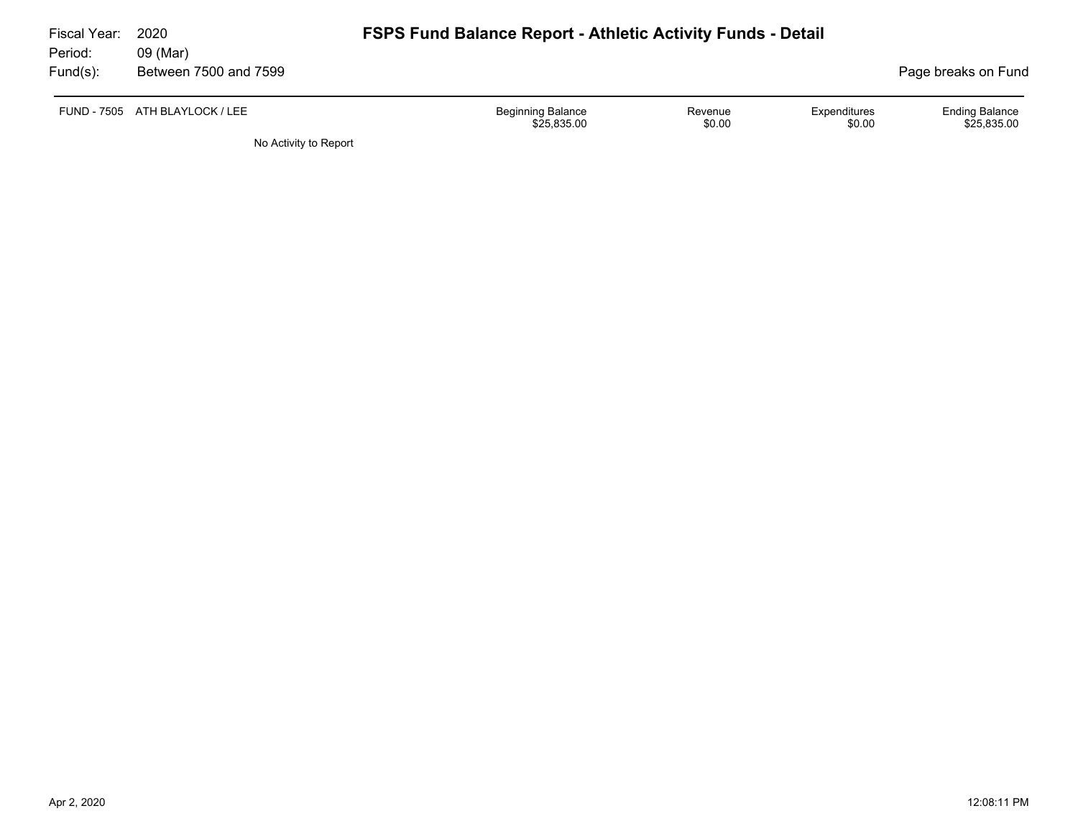| Fiscal Year:<br>Period: | 2020<br>09 (Mar)               | <b>FSPS Fund Balance Report - Athletic Activity Funds - Detail</b> |                   |                        |                                      |
|-------------------------|--------------------------------|--------------------------------------------------------------------|-------------------|------------------------|--------------------------------------|
| Fund(s):                | Between 7500 and 7599          |                                                                    |                   |                        | Page breaks on Fund                  |
|                         | FUND - 7505 ATH BLAYLOCK / LEE | <b>Beginning Balance</b><br>\$25,835.00                            | Revenue<br>\$0.00 | Expenditures<br>\$0.00 | <b>Ending Balance</b><br>\$25,835.00 |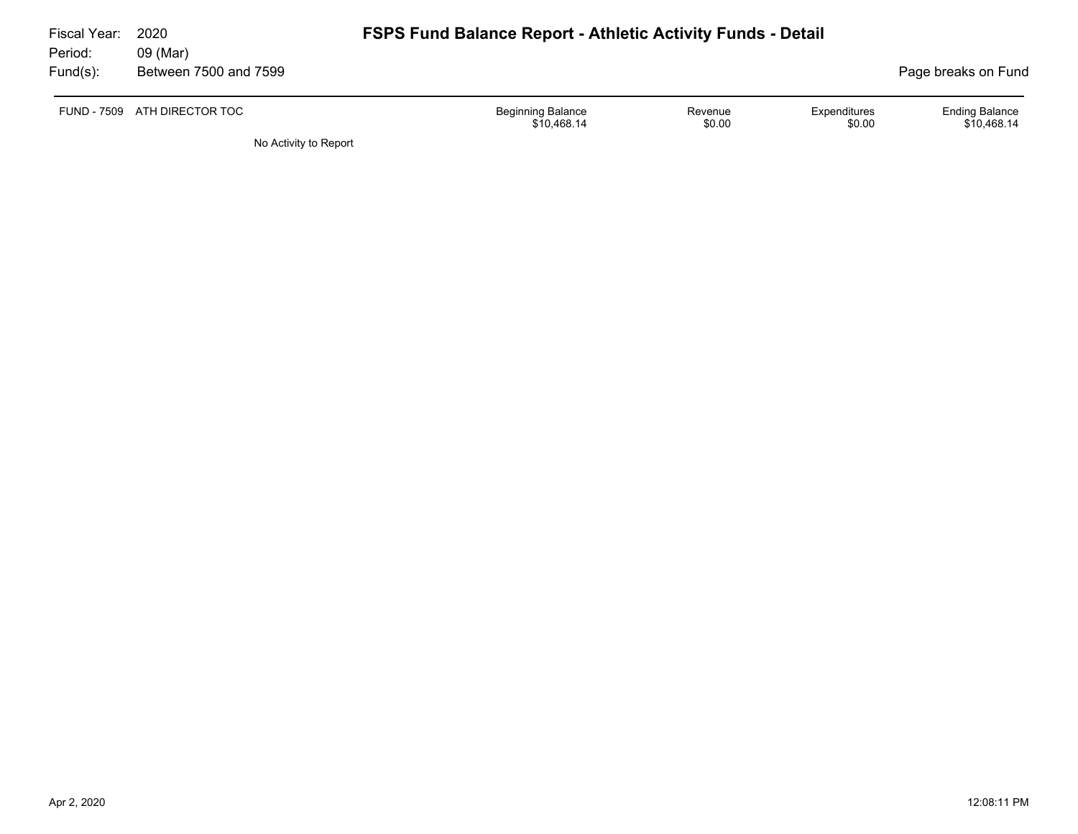| Fiscal Year:<br>Period: | 2020<br>09 (Mar)             | <b>FSPS Fund Balance Report - Athletic Activity Funds - Detail</b> |                   |                        |                                      |
|-------------------------|------------------------------|--------------------------------------------------------------------|-------------------|------------------------|--------------------------------------|
| Fund(s):                | Between 7500 and 7599        |                                                                    |                   |                        | Page breaks on Fund                  |
|                         | FUND - 7509 ATH DIRECTOR TOC | Beginning Balance<br>\$10.468.14                                   | Revenue<br>\$0.00 | Expenditures<br>\$0.00 | <b>Ending Balance</b><br>\$10.468.14 |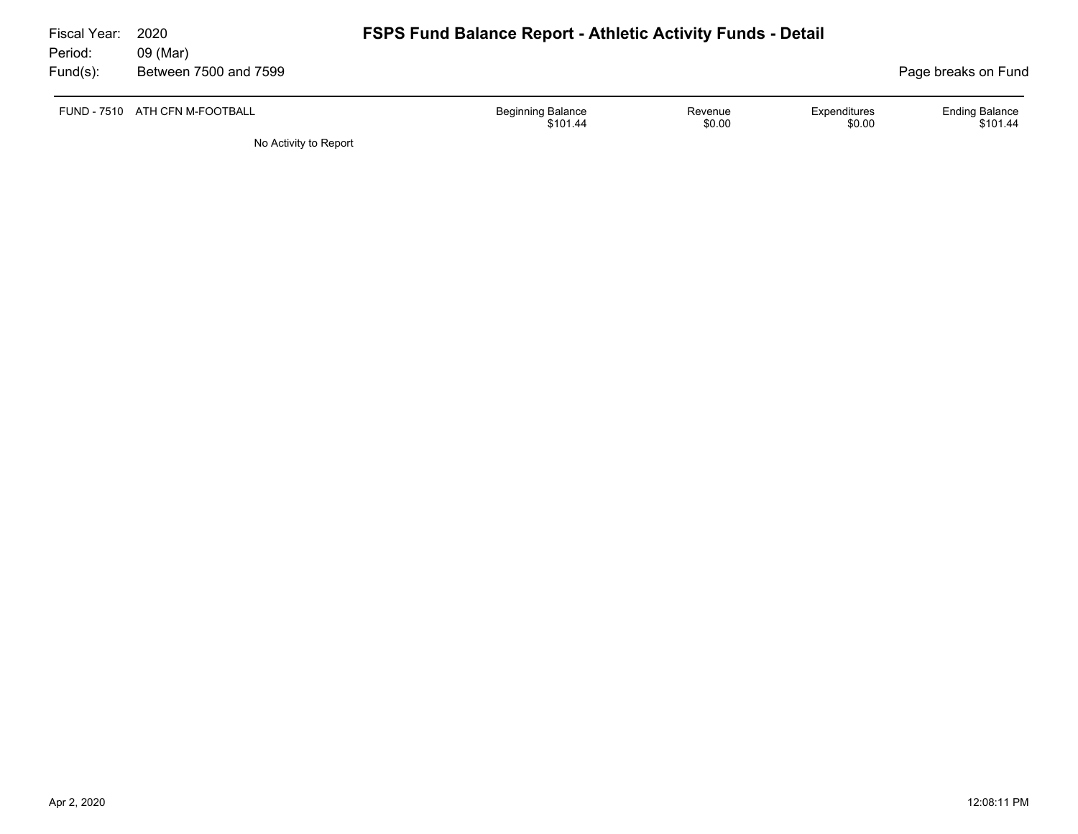| Fiscal Year:<br>Period: | 2020<br>09 (Mar)               | <b>FSPS Fund Balance Report - Athletic Activity Funds - Detail</b> |                        |                                   |
|-------------------------|--------------------------------|--------------------------------------------------------------------|------------------------|-----------------------------------|
| $Fund(s)$ :             | Between 7500 and 7599          |                                                                    |                        | Page breaks on Fund               |
|                         | FUND - 7510 ATH CFN M-FOOTBALL | <b>Beginning Balance</b><br>Revenue<br>\$0.00<br>\$101.44          | Expenditures<br>\$0.00 | <b>Ending Balance</b><br>\$101.44 |
|                         | No Activity to Report          |                                                                    |                        |                                   |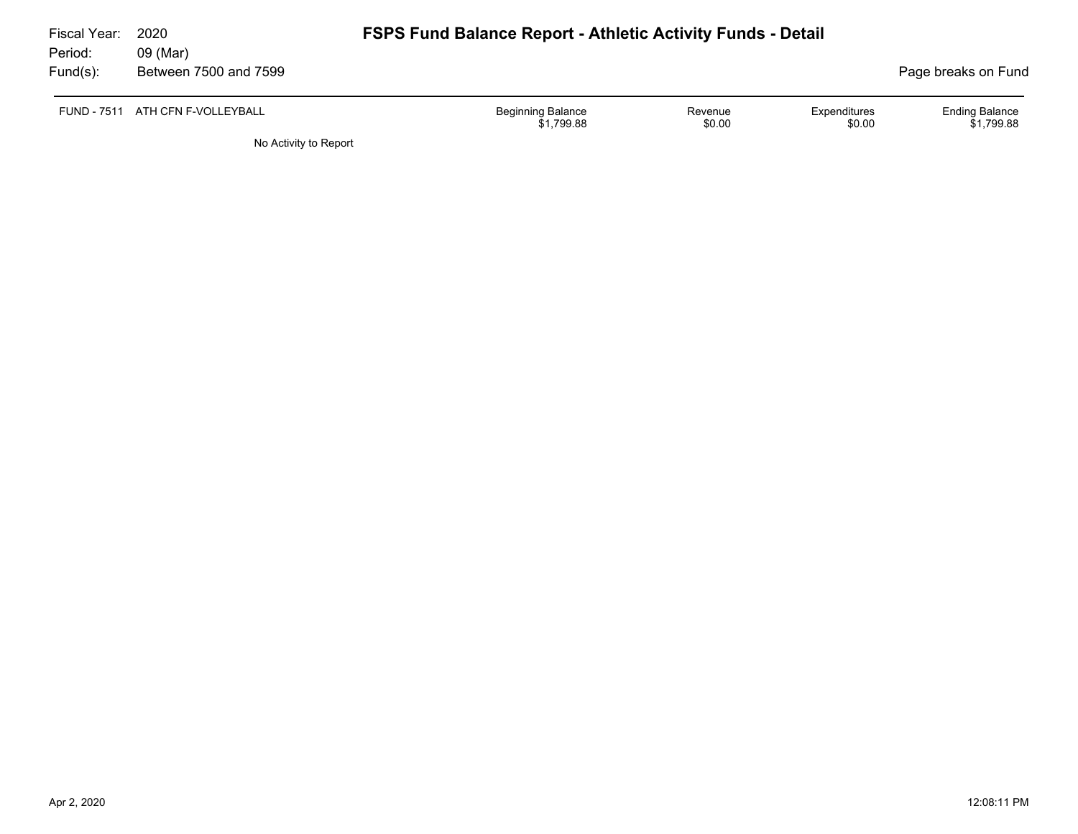| Fiscal Year: | 2020                             | <b>FSPS Fund Balance Report - Athletic Activity Funds - Detail</b> |                     |                        |                                     |  |  |  |  |  |
|--------------|----------------------------------|--------------------------------------------------------------------|---------------------|------------------------|-------------------------------------|--|--|--|--|--|
| Period:      | 09 (Mar)                         |                                                                    |                     |                        |                                     |  |  |  |  |  |
| Fund(s):     | Between 7500 and 7599            |                                                                    | Page breaks on Fund |                        |                                     |  |  |  |  |  |
|              | FUND - 7511 ATH CFN F-VOLLEYBALL | <b>Beginning Balance</b><br>\$1,799.88                             | Revenue<br>\$0.00   | Expenditures<br>\$0.00 | <b>Ending Balance</b><br>\$1,799.88 |  |  |  |  |  |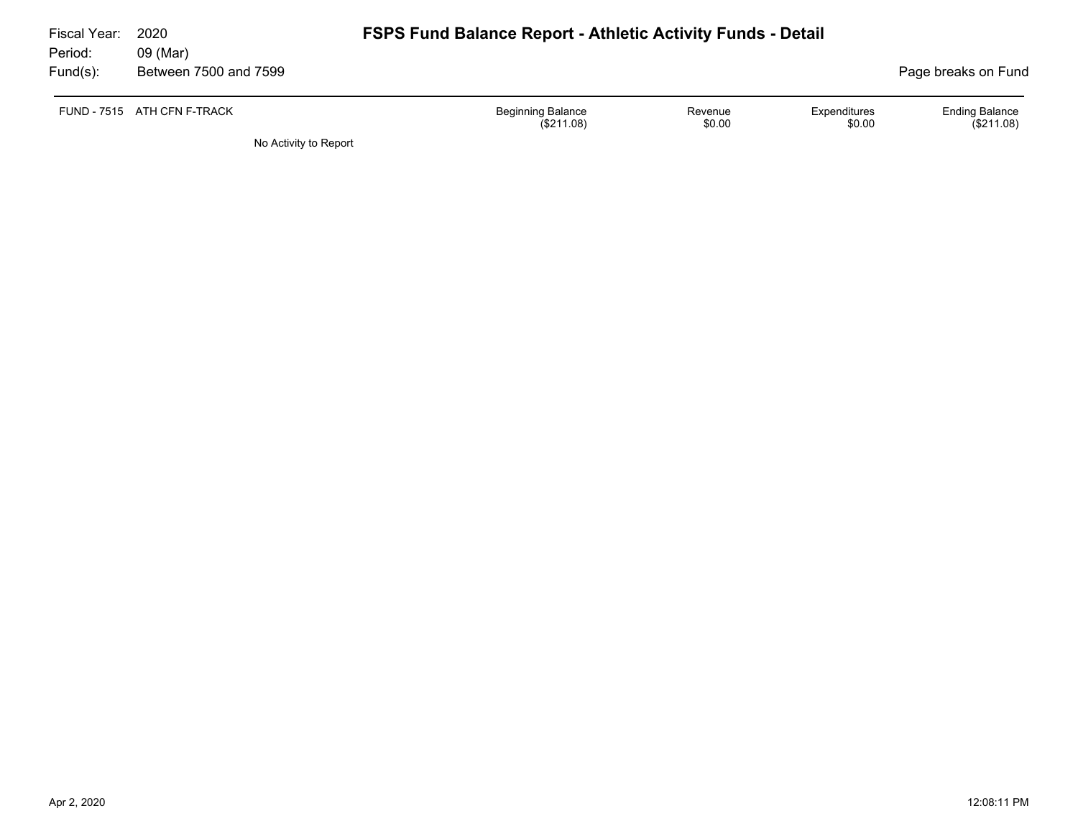| Fiscal Year: | 2020                        | <b>FSPS Fund Balance Report - Athletic Activity Funds - Detail</b> |                   |                        |                                     |  |  |  |  |  |
|--------------|-----------------------------|--------------------------------------------------------------------|-------------------|------------------------|-------------------------------------|--|--|--|--|--|
| Period:      | 09 (Mar)                    |                                                                    |                   |                        |                                     |  |  |  |  |  |
| Fund(s):     | Between 7500 and 7599       |                                                                    |                   |                        | Page breaks on Fund                 |  |  |  |  |  |
|              | FUND - 7515 ATH CFN F-TRACK | <b>Beginning Balance</b><br>(S211.08)                              | Revenue<br>\$0.00 | Expenditures<br>\$0.00 | <b>Ending Balance</b><br>(\$211.08) |  |  |  |  |  |
|              | No Activity to Report       |                                                                    |                   |                        |                                     |  |  |  |  |  |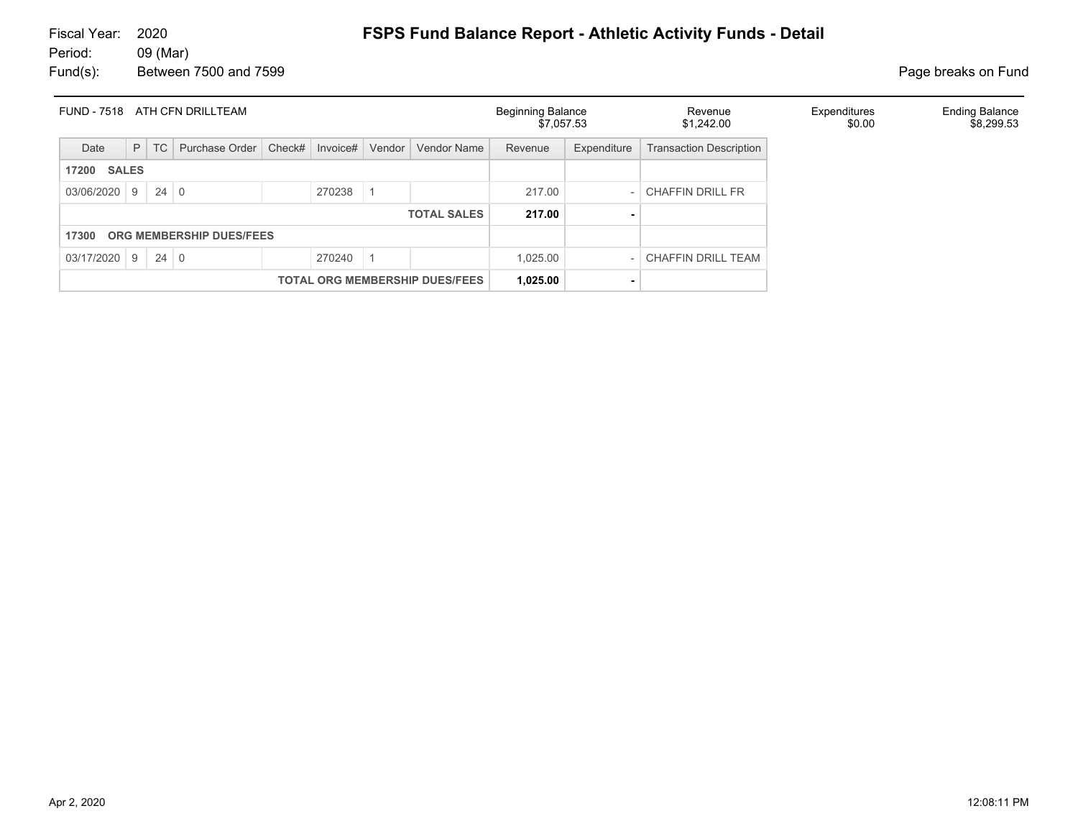| <b>FUND - 7518</b>                    |  |             | ATH CFN DRILLTEAM |        |          |          |                    | <b>Beginning Balance</b><br>\$7,057.53 |             | Revenue<br>\$1,242.00          | Expenditures<br>\$0.00 | <b>Ending Balance</b><br>\$8,299.53 |
|---------------------------------------|--|-------------|-------------------|--------|----------|----------|--------------------|----------------------------------------|-------------|--------------------------------|------------------------|-------------------------------------|
| Date                                  |  | $P$ TC      | Purchase Order    | Check# | Invoice# | Vendor   | <b>Vendor Name</b> | Revenue                                | Expenditure | <b>Transaction Description</b> |                        |                                     |
| <b>17200 SALES</b>                    |  |             |                   |        |          |          |                    |                                        |             |                                |                        |                                     |
| $03/06/2020$ 9                        |  | $24 \mid 0$ |                   |        | 270238   |          |                    | 217.00                                 |             | <b>CHAFFIN DRILL FR</b>        |                        |                                     |
| <b>TOTAL SALES</b>                    |  |             |                   | 217.00 |          |          |                    |                                        |             |                                |                        |                                     |
| ORG MEMBERSHIP DUES/FEES<br>17300     |  |             |                   |        |          |          |                    |                                        |             |                                |                        |                                     |
| $03/17/2020$ 9 24 0                   |  |             |                   |        | 270240   |          |                    | 1,025.00                               |             | CHAFFIN DRILL TEAM             |                        |                                     |
| <b>TOTAL ORG MEMBERSHIP DUES/FEES</b> |  |             |                   |        |          | 1,025.00 |                    |                                        |             |                                |                        |                                     |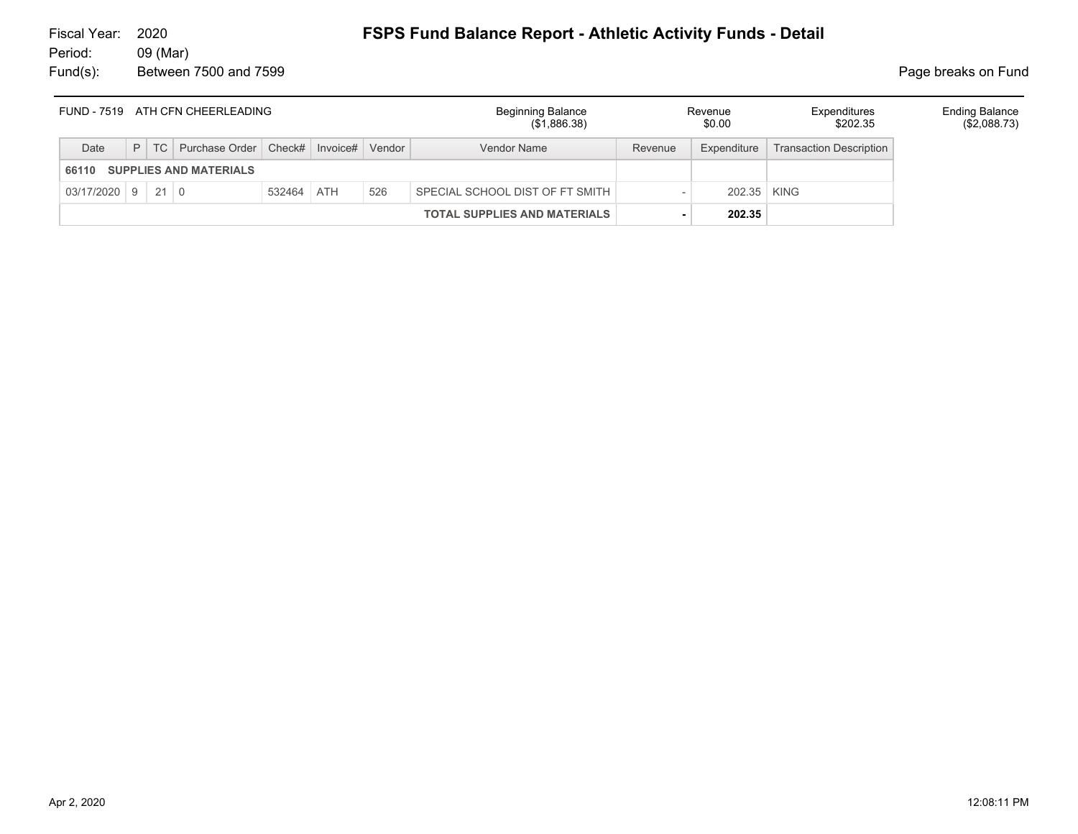| FUND - 7519 ATH CFN CHEERLEADING |                               |  |                                       |            |  |        | <b>Beginning Balance</b><br>(\$1,886.38) | Revenue<br>\$0.00 |             |                                | <b>Ending Balance</b><br>(\$2,088.73) |
|----------------------------------|-------------------------------|--|---------------------------------------|------------|--|--------|------------------------------------------|-------------------|-------------|--------------------------------|---------------------------------------|
| Date                             |                               |  | $P$ TC Purchase Order Check# Invoice# |            |  | Vendor | <b>Vendor Name</b>                       | Revenue           | Expenditure | <b>Transaction Description</b> |                                       |
| 66110                            | <b>SUPPLIES AND MATERIALS</b> |  |                                       |            |  |        |                                          |                   |             |                                |                                       |
| $03/17/2020$ 9 21 0              |                               |  |                                       | 532464 ATH |  | 526    | SPECIAL SCHOOL DIST OF FT SMITH          |                   | 202.35 KING |                                |                                       |
|                                  |                               |  |                                       |            |  |        | <b>TOTAL SUPPLIES AND MATERIALS</b>      |                   | 202.35      |                                |                                       |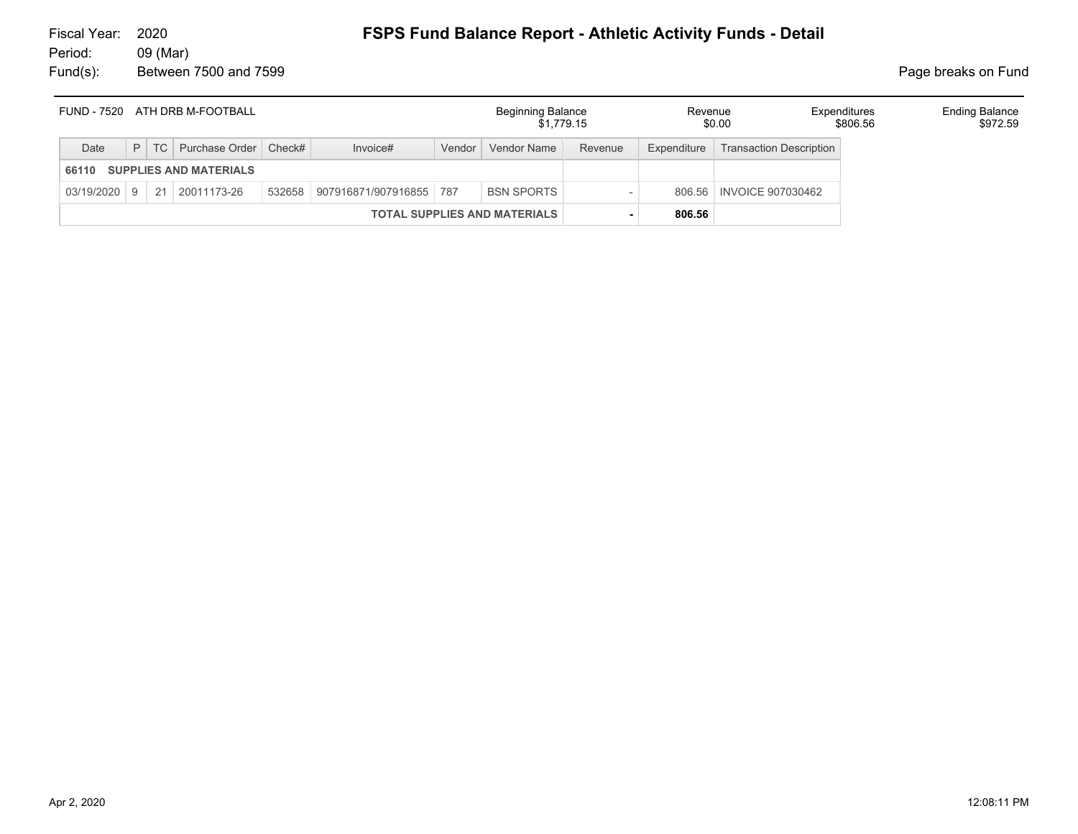|       |  | FUND - 7520 ATH DRB M-FOOTBALL      |                                | <b>Beginning Balance</b><br>\$1.779.15 |                          | Revenue     | \$0.00                         | Expenditures<br>\$806.56 | <b>Ending Balance</b><br>\$972.59 |
|-------|--|-------------------------------------|--------------------------------|----------------------------------------|--------------------------|-------------|--------------------------------|--------------------------|-----------------------------------|
| Date  |  | P   TC   Purchase Order   Check#    | Invoice#                       | Vendor   Vendor Name                   | Revenue                  | Expenditure | <b>Transaction Description</b> |                          |                                   |
| 66110 |  | <b>SUPPLIES AND MATERIALS</b>       |                                |                                        |                          |             |                                |                          |                                   |
|       |  | $03/19/2020$   9   21   20011173-26 | 532658 907916871/907916855 787 | <b>BSN SPORTS</b>                      |                          |             | 806.56   INVOICE 907030462     |                          |                                   |
|       |  |                                     |                                | <b>TOTAL SUPPLIES AND MATERIALS</b>    | $\overline{\phantom{a}}$ | 806.56      |                                |                          |                                   |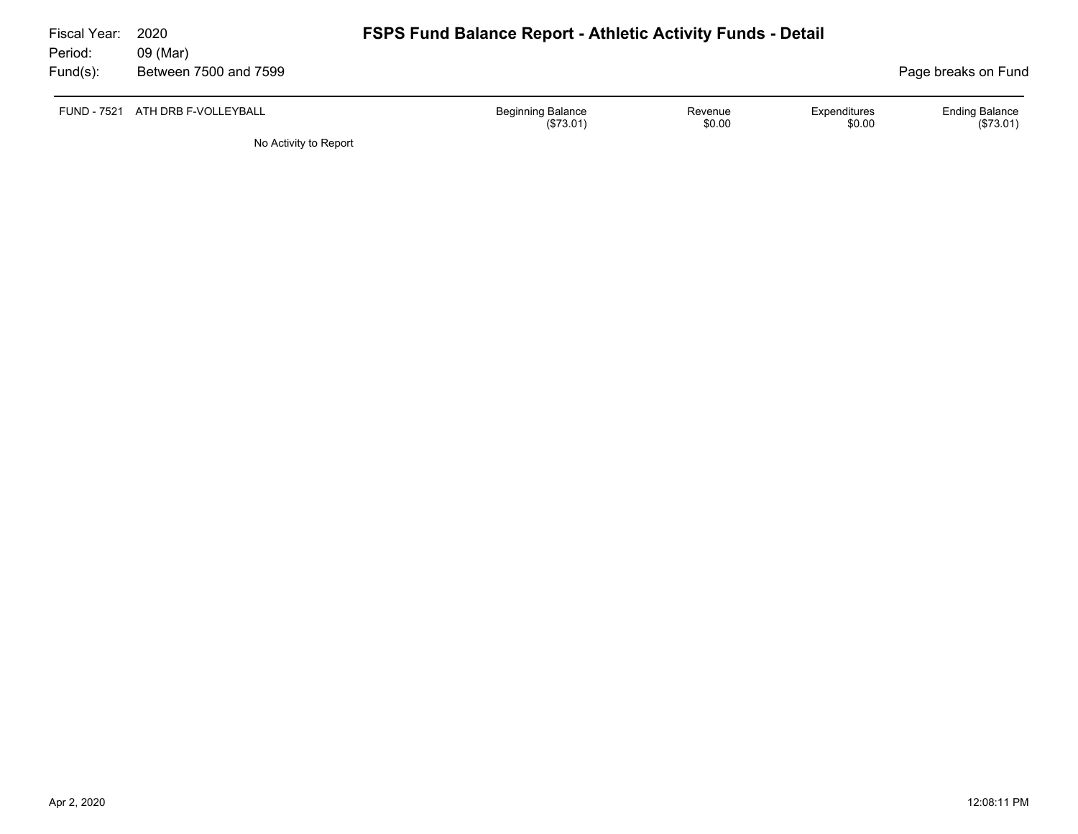| Fiscal Year:<br>Period: | 2020<br>09 (Mar)                 | <b>FSPS Fund Balance Report - Athletic Activity Funds - Detail</b> |                   |                        |                                    |
|-------------------------|----------------------------------|--------------------------------------------------------------------|-------------------|------------------------|------------------------------------|
| Fund(s):                | Between 7500 and 7599            |                                                                    |                   |                        | Page breaks on Fund                |
|                         | FUND - 7521 ATH DRB F-VOLLEYBALL | <b>Beginning Balance</b><br>(\$73.01)                              | Revenue<br>\$0.00 | Expenditures<br>\$0.00 | <b>Ending Balance</b><br>(\$73.01) |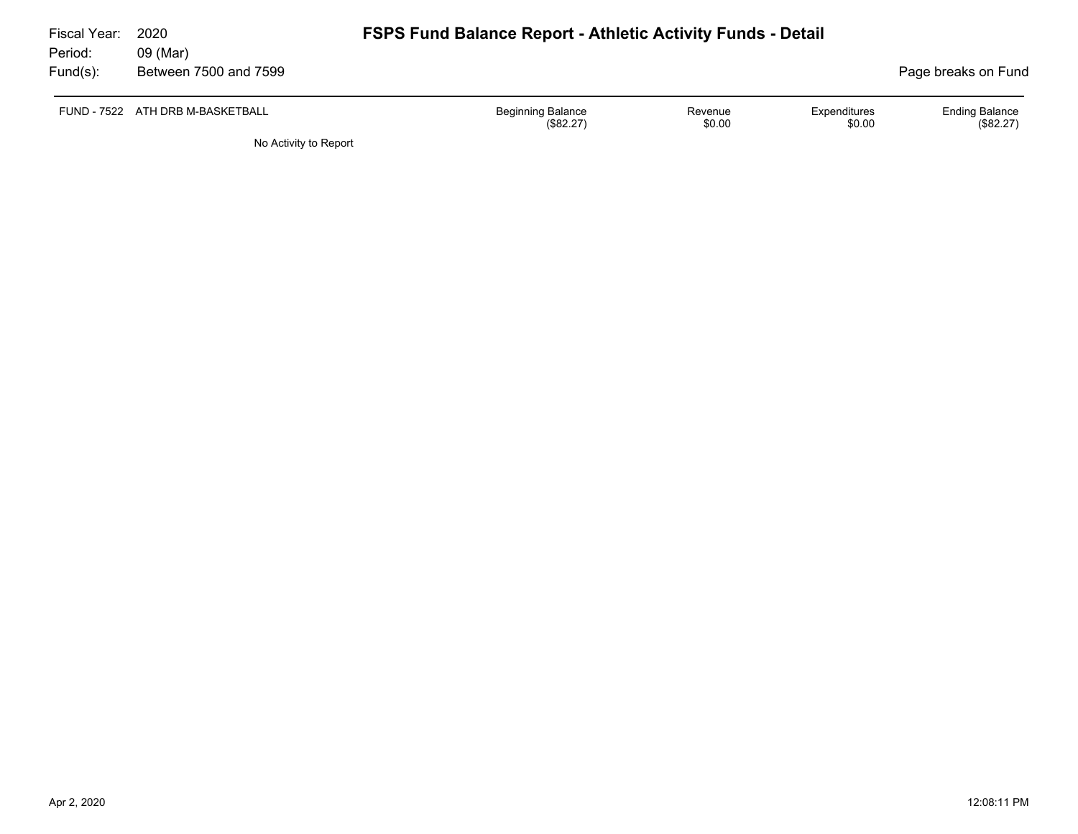| Fiscal Year: | 2020                             | <b>FSPS Fund Balance Report - Athletic Activity Funds - Detail</b> |                   |                        |                                    |  |  |  |  |  |
|--------------|----------------------------------|--------------------------------------------------------------------|-------------------|------------------------|------------------------------------|--|--|--|--|--|
| Period:      | 09 (Mar)                         |                                                                    |                   |                        |                                    |  |  |  |  |  |
| Fund(s):     | Between 7500 and 7599            |                                                                    |                   |                        | Page breaks on Fund                |  |  |  |  |  |
|              | FUND - 7522 ATH DRB M-BASKETBALL | <b>Beginning Balance</b><br>(\$82.27)                              | Revenue<br>\$0.00 | Expenditures<br>\$0.00 | <b>Ending Balance</b><br>(\$82.27) |  |  |  |  |  |
|              | No Activity to Report            |                                                                    |                   |                        |                                    |  |  |  |  |  |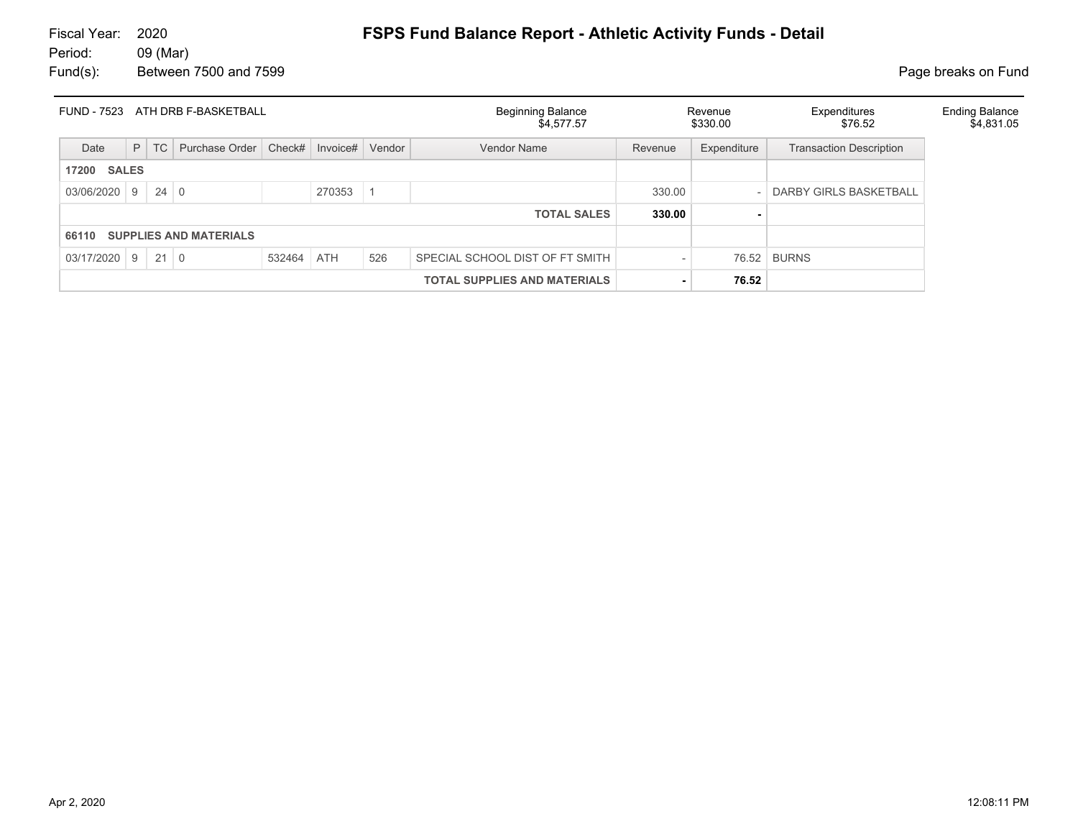| FUND - 7523<br>ATH DRB F-BASKETBALL |                                     |             |                |            |          | <b>Beginning Balance</b><br>\$4,577.57 |                                 | Revenue<br>\$330.00 | Expenditures<br>\$76.52 | <b>Ending Balance</b><br>\$4,831.05 |  |
|-------------------------------------|-------------------------------------|-------------|----------------|------------|----------|----------------------------------------|---------------------------------|---------------------|-------------------------|-------------------------------------|--|
| Date                                | P                                   | TC          | Purchase Order | Check#     | Invoice# | Vendor                                 | <b>Vendor Name</b>              | Revenue             | Expenditure             | <b>Transaction Description</b>      |  |
| <b>SALES</b><br>17200               |                                     |             |                |            |          |                                        |                                 |                     |                         |                                     |  |
| $03/06/2020$ 9                      |                                     | $24 \mid 0$ |                |            | 270353   |                                        |                                 | 330.00              |                         | <b>DARBY GIRLS BASKETBALL</b>       |  |
|                                     |                                     |             |                |            |          |                                        | <b>TOTAL SALES</b>              | 330.00              |                         |                                     |  |
| 66110                               | <b>SUPPLIES AND MATERIALS</b>       |             |                |            |          |                                        |                                 |                     |                         |                                     |  |
| $03/17/2020$ 9 21 0                 |                                     |             |                | 532464 ATH |          | 526                                    | SPECIAL SCHOOL DIST OF FT SMITH |                     |                         | 76.52 BURNS                         |  |
|                                     | <b>TOTAL SUPPLIES AND MATERIALS</b> |             |                |            |          |                                        |                                 | 76.52               |                         |                                     |  |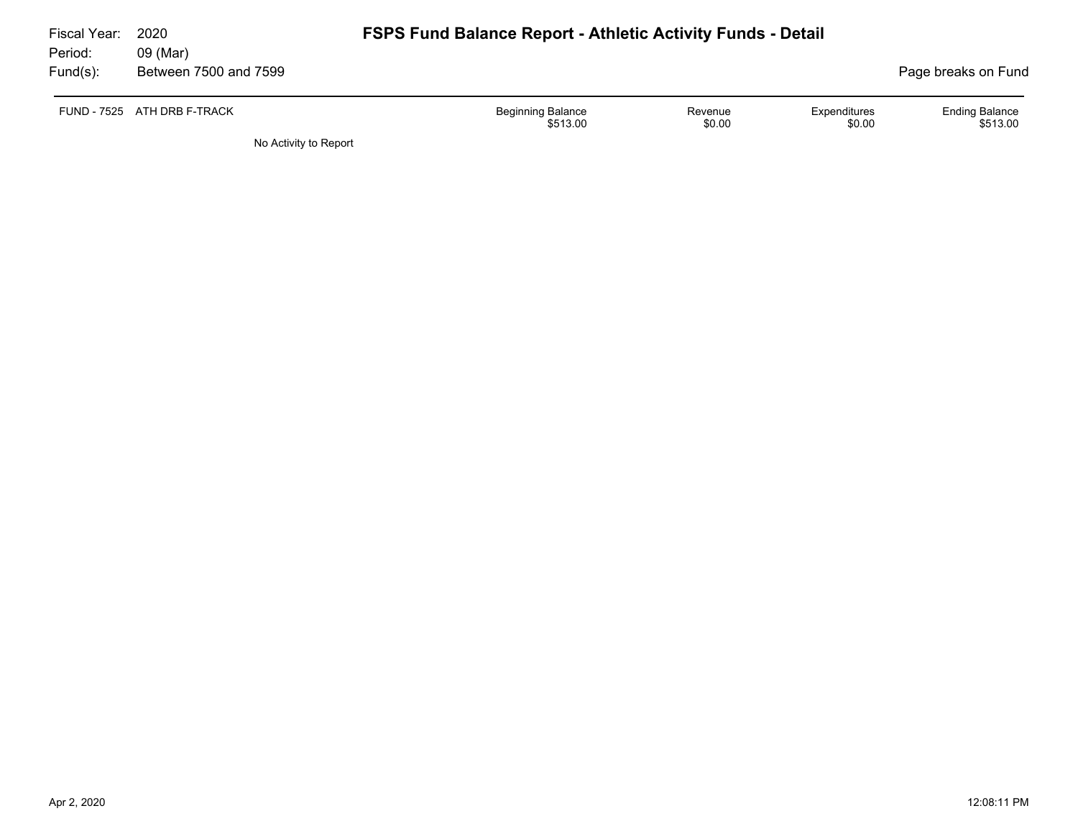| Fiscal Year:<br>Period: | 2020<br>09 (Mar)            | <b>FSPS Fund Balance Report - Athletic Activity Funds - Detail</b>                  |                                   |  |  |  |  |  |
|-------------------------|-----------------------------|-------------------------------------------------------------------------------------|-----------------------------------|--|--|--|--|--|
| Fund(s):                | Between 7500 and 7599       |                                                                                     | Page breaks on Fund               |  |  |  |  |  |
|                         | FUND - 7525 ATH DRB F-TRACK | <b>Beginning Balance</b><br>Expenditures<br>Revenue<br>\$0.00<br>\$0.00<br>\$513.00 | <b>Ending Balance</b><br>\$513.00 |  |  |  |  |  |
|                         |                             |                                                                                     |                                   |  |  |  |  |  |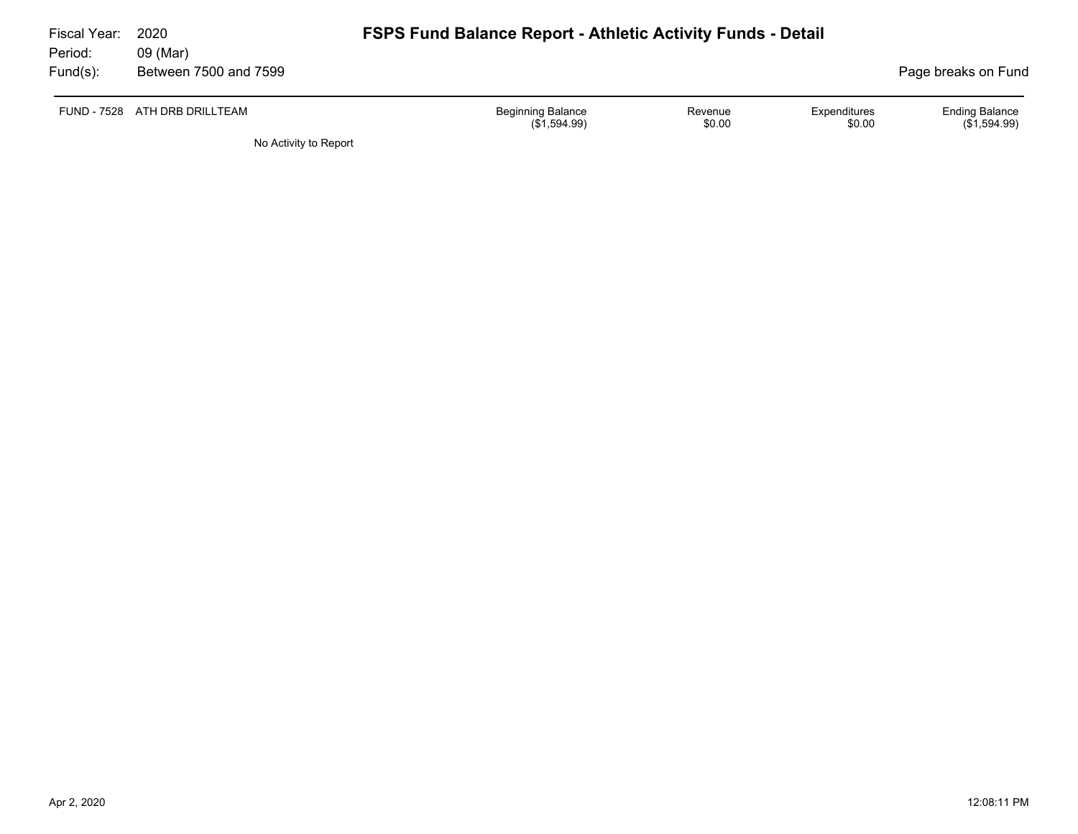| Fiscal Year:<br>Period: | 2020<br>09 (Mar)      | <b>FSPS Fund Balance Report - Athletic Activity Funds - Detail</b>                      |                                       |
|-------------------------|-----------------------|-----------------------------------------------------------------------------------------|---------------------------------------|
| $Fund(s)$ :             | Between 7500 and 7599 |                                                                                         | Page breaks on Fund                   |
| FUND - 7528             | ATH DRB DRILLTEAM     | <b>Beginning Balance</b><br>Expenditures<br>Revenue<br>\$0.00<br>\$0.00<br>(\$1,594.99) | <b>Ending Balance</b><br>(\$1,594.99) |
|                         | No Activity to Report |                                                                                         |                                       |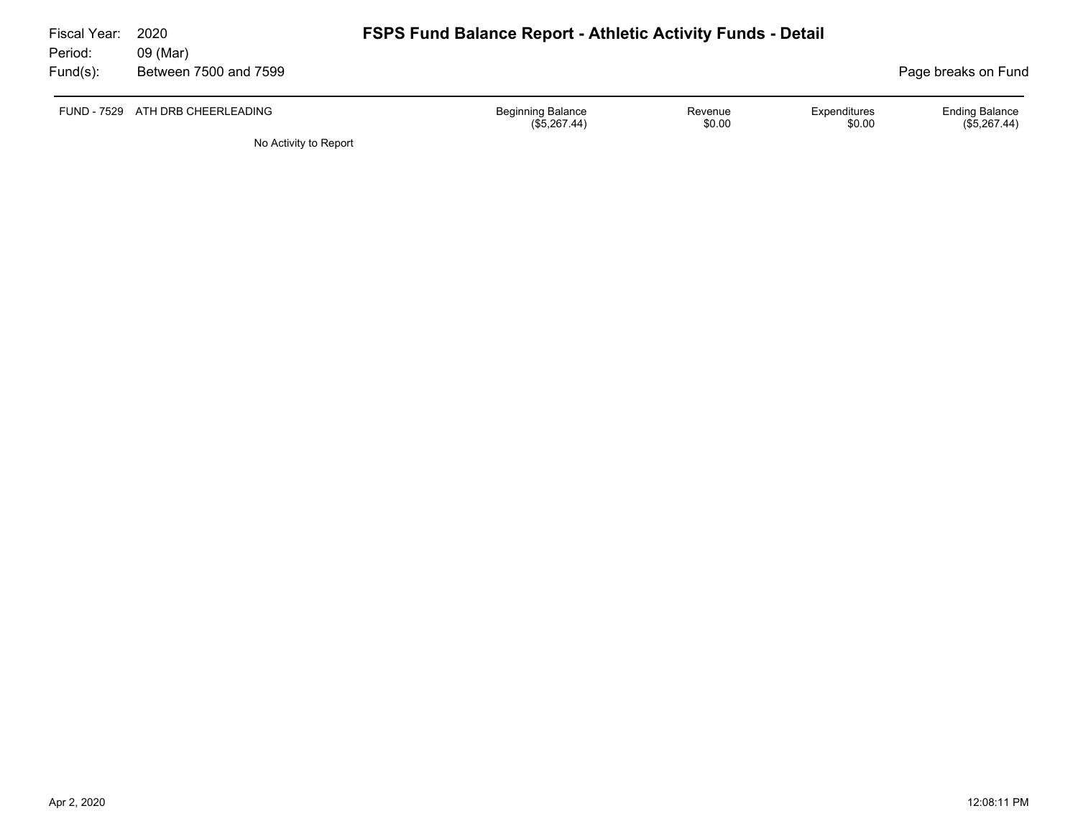| Fiscal Year:<br>Period: | 2020<br>09 (Mar)                 | <b>FSPS Fund Balance Report - Athletic Activity Funds - Detail</b> |                   |                        |                                         |
|-------------------------|----------------------------------|--------------------------------------------------------------------|-------------------|------------------------|-----------------------------------------|
| Fund(s):                | Between 7500 and 7599            |                                                                    |                   |                        | Page breaks on Fund                     |
|                         | FUND - 7529 ATH DRB CHEERLEADING | <b>Beginning Balance</b><br>(\$5,267.44)                           | Revenue<br>\$0.00 | Expenditures<br>\$0.00 | <b>Ending Balance</b><br>$(\$5,267.44)$ |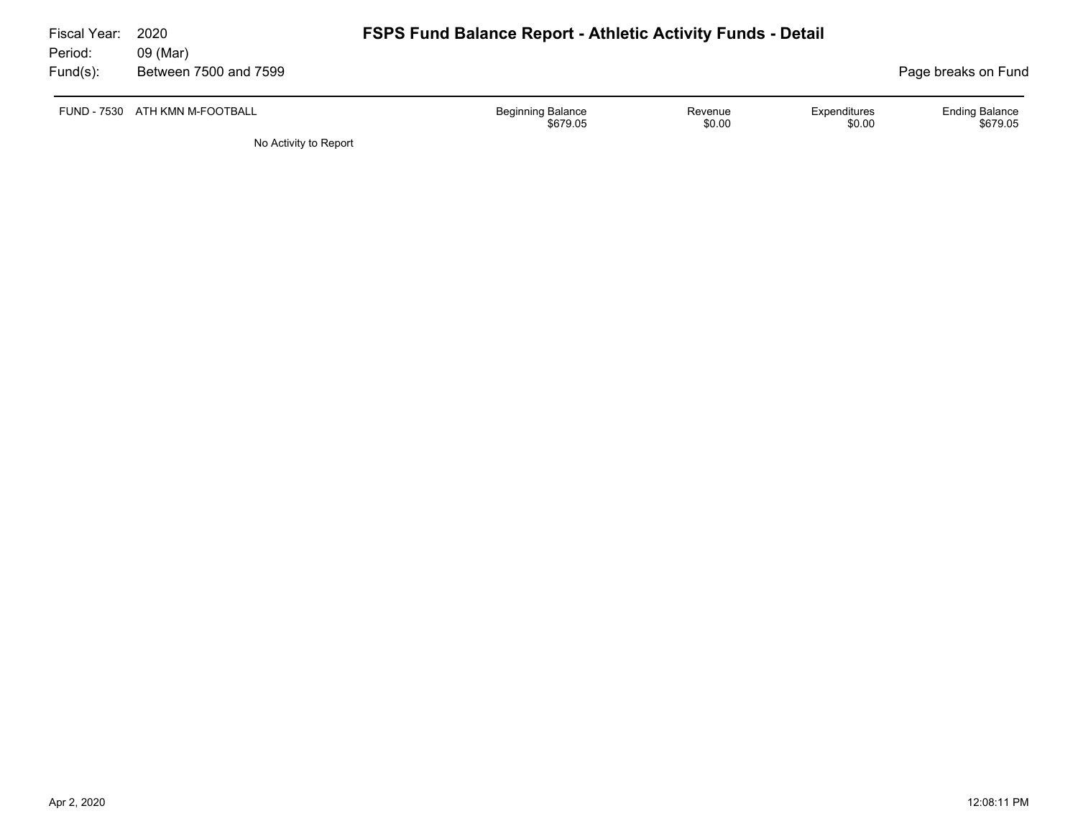| Fiscal Year:<br>Period: | 2020<br>09 (Mar)               | <b>FSPS Fund Balance Report - Athletic Activity Funds - Detail</b> |                   |                        |                                   |
|-------------------------|--------------------------------|--------------------------------------------------------------------|-------------------|------------------------|-----------------------------------|
| Fund(s):                | Between 7500 and 7599          |                                                                    |                   |                        | Page breaks on Fund               |
|                         | FUND - 7530 ATH KMN M-FOOTBALL | <b>Beginning Balance</b><br>\$679.05                               | Revenue<br>\$0.00 | Expenditures<br>\$0.00 | <b>Ending Balance</b><br>\$679.05 |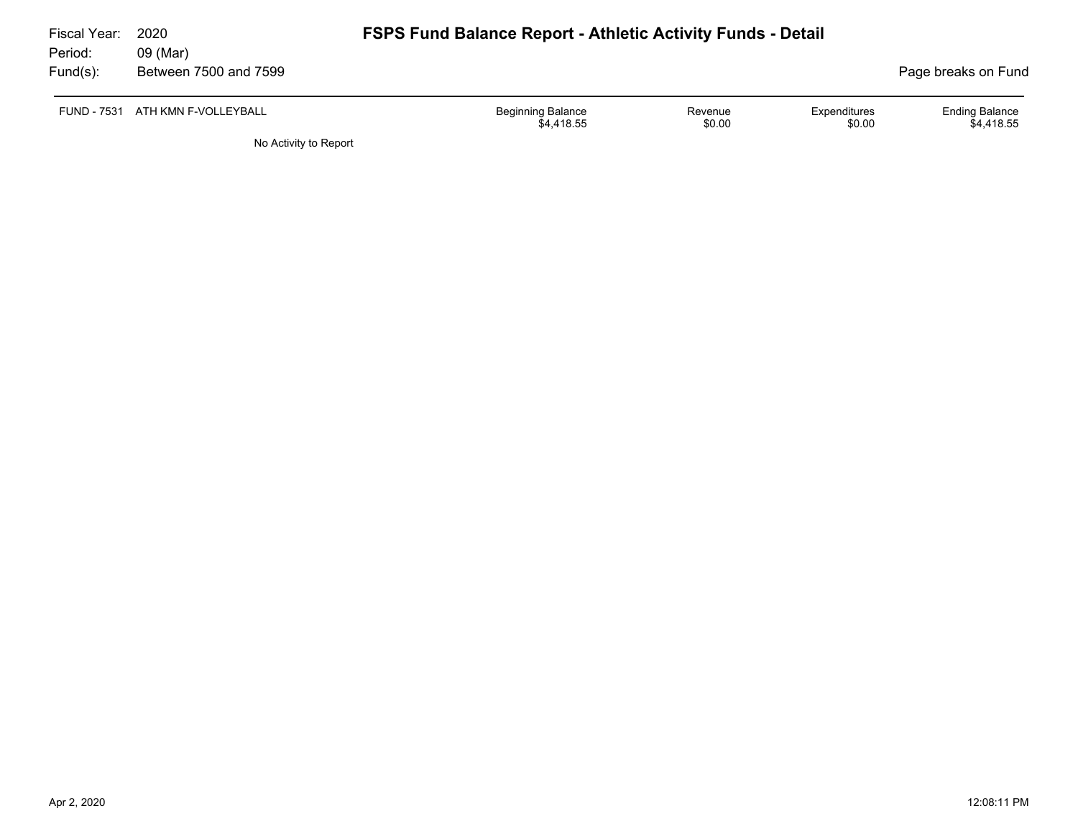| Fiscal Year: | 2020                             | <b>FSPS Fund Balance Report - Athletic Activity Funds - Detail</b> |                   |                        |                                     |
|--------------|----------------------------------|--------------------------------------------------------------------|-------------------|------------------------|-------------------------------------|
| Period:      | 09 (Mar)                         |                                                                    |                   |                        |                                     |
| Fund(s):     | Between 7500 and 7599            |                                                                    |                   |                        | Page breaks on Fund                 |
|              | FUND - 7531 ATH KMN F-VOLLEYBALL | <b>Beginning Balance</b><br>\$4,418.55                             | Revenue<br>\$0.00 | Expenditures<br>\$0.00 | <b>Ending Balance</b><br>\$4.418.55 |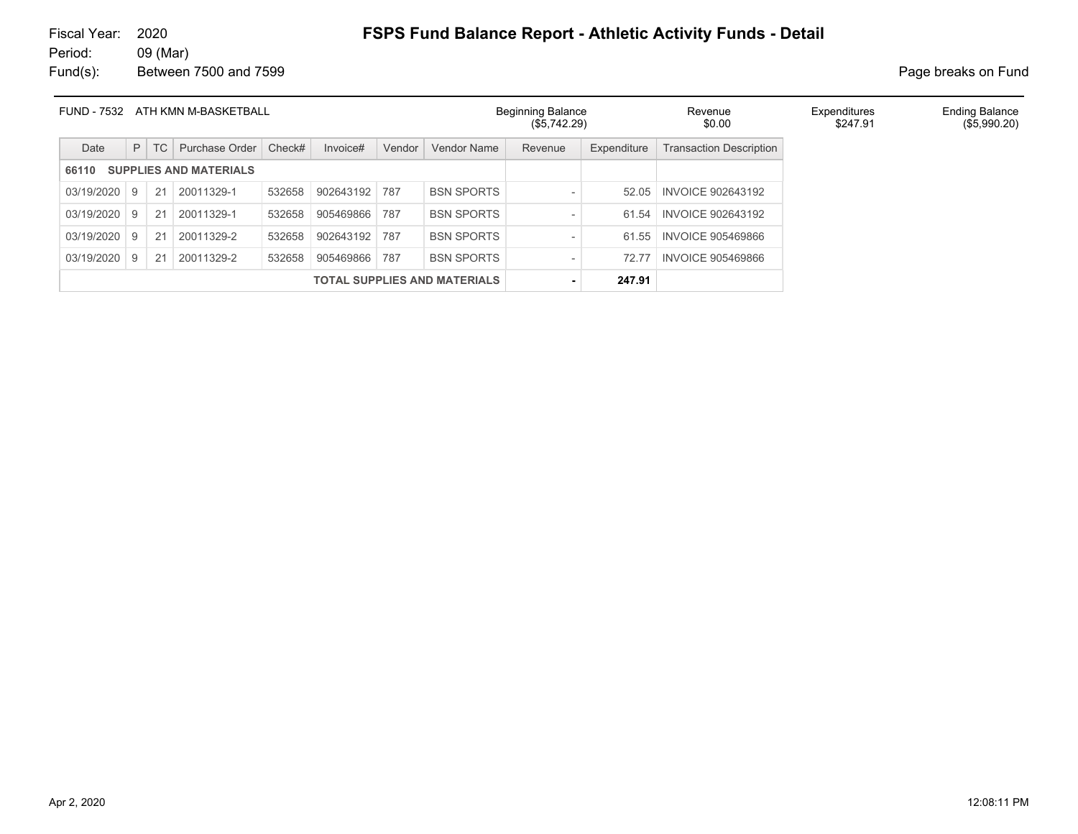| <b>FUND - 7532</b><br>ATH KMN M-BASKETBALL |    |    |                               | <b>Beginning Balance</b><br>(\$5,742.29) |           | Revenue<br>\$0.00 | Expenditures<br>\$247.91 | <b>Ending Balance</b><br>(\$5,990.20) |             |                                |  |  |
|--------------------------------------------|----|----|-------------------------------|------------------------------------------|-----------|-------------------|--------------------------|---------------------------------------|-------------|--------------------------------|--|--|
| Date                                       | P  | TC | Purchase Order                | Check#                                   | Invoice#  | Vendor            | Vendor Name              | Revenue                               | Expenditure | <b>Transaction Description</b> |  |  |
| 66110                                      |    |    | <b>SUPPLIES AND MATERIALS</b> |                                          |           |                   |                          |                                       |             |                                |  |  |
| 03/19/2020                                 | -9 | 21 | 20011329-1                    | 532658                                   | 902643192 | 787               | <b>BSN SPORTS</b>        | $\overline{\phantom{a}}$              | 52.05       | <b>INVOICE 902643192</b>       |  |  |
| 03/19/2020                                 | -9 | 21 | 20011329-1                    | 532658                                   | 905469866 | 787               | <b>BSN SPORTS</b>        | $\overline{\phantom{a}}$              | 61.54       | <b>INVOICE 902643192</b>       |  |  |
| 03/19/2020                                 | -9 | 21 | 20011329-2                    | 532658                                   | 902643192 | 787               | <b>BSN SPORTS</b>        | $\overline{\phantom{a}}$              | 61.55       | <b>INVOICE 905469866</b>       |  |  |
| 03/19/2020                                 | -9 | 21 | 20011329-2                    | 532658                                   | 905469866 | 787               | <b>BSN SPORTS</b>        | $\qquad \qquad$                       | 72.77       | <b>INVOICE 905469866</b>       |  |  |
| <b>TOTAL SUPPLIES AND MATERIALS</b>        |    |    |                               |                                          |           | 247.91            |                          |                                       |             |                                |  |  |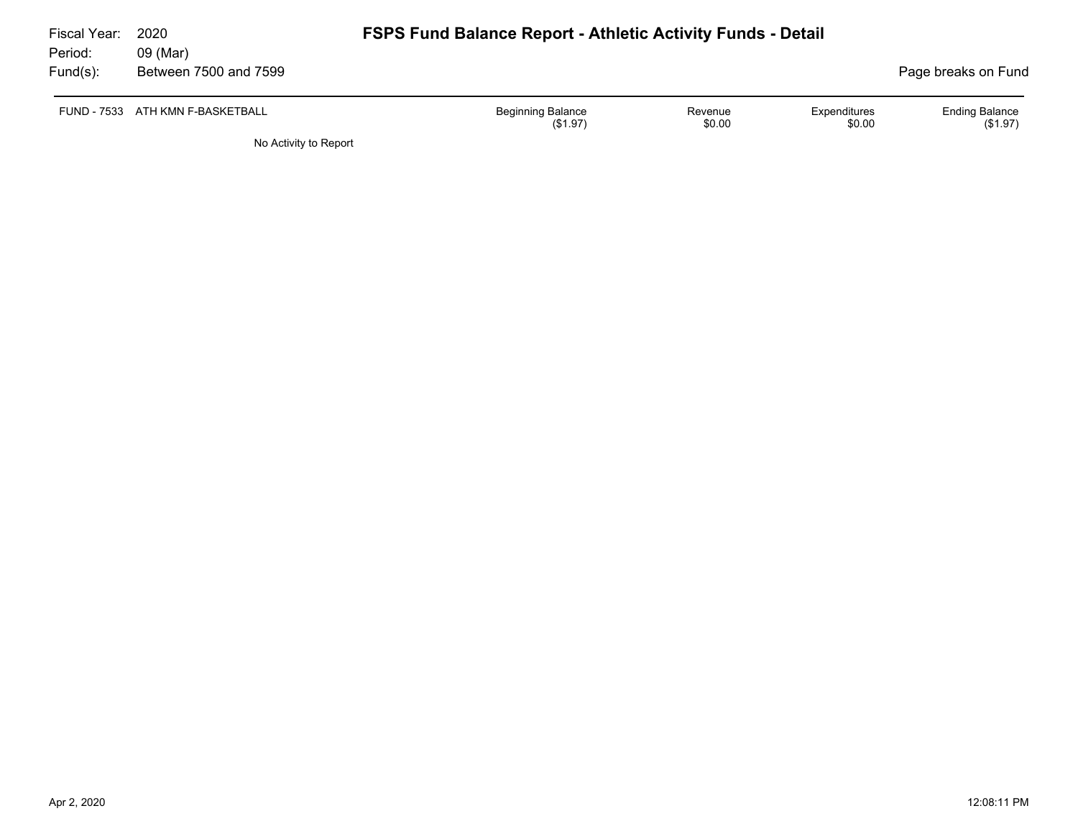| Fiscal Year:<br>Period: | 2020<br>09 (Mar)                 | <b>FSPS Fund Balance Report - Athletic Activity Funds - Detail</b> |                   |                        |                                     |
|-------------------------|----------------------------------|--------------------------------------------------------------------|-------------------|------------------------|-------------------------------------|
|                         |                                  |                                                                    |                   |                        |                                     |
| Fund(s):                | Between 7500 and 7599            |                                                                    |                   |                        | Page breaks on Fund                 |
|                         | FUND - 7533 ATH KMN F-BASKETBALL | <b>Beginning Balance</b><br>(S1.97)                                | Revenue<br>\$0.00 | Expenditures<br>\$0.00 | <b>Ending Balance</b><br>$(\$1.97)$ |
|                         | No Activity to Report            |                                                                    |                   |                        |                                     |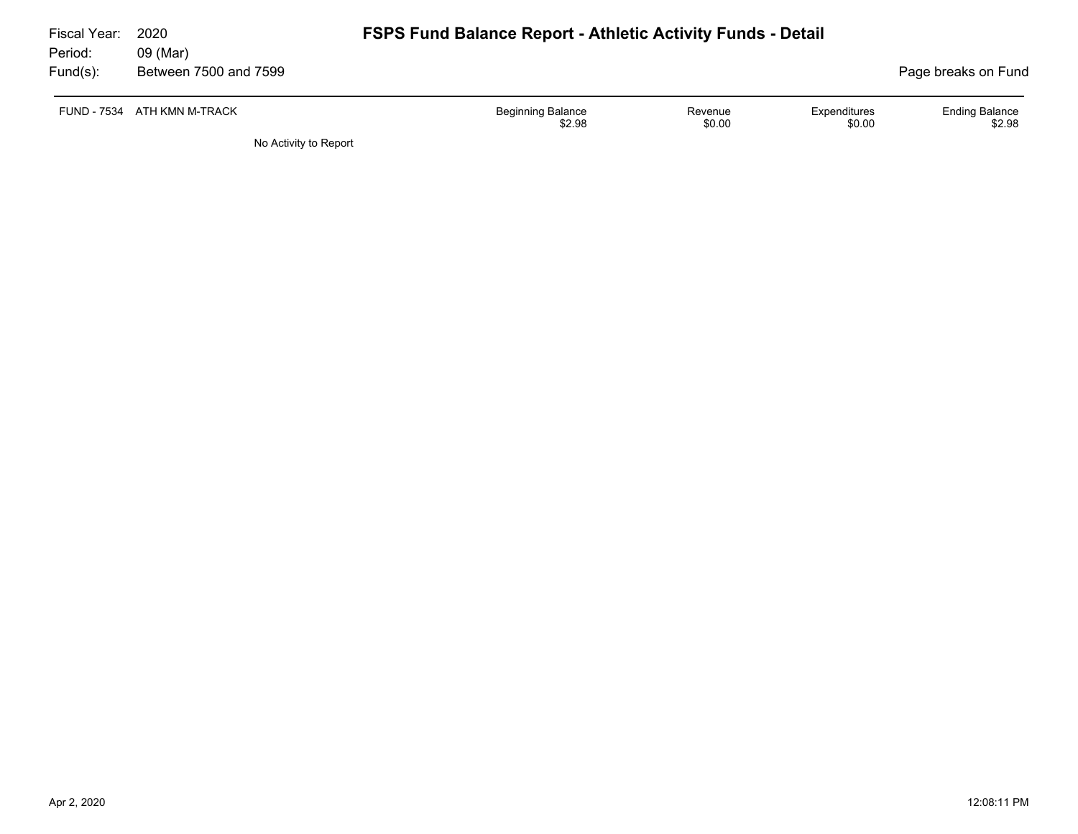| Fiscal Year:<br>Period: | 2020<br>09 (Mar)            | <b>FSPS Fund Balance Report - Athletic Activity Funds - Detail</b> |                                                           |
|-------------------------|-----------------------------|--------------------------------------------------------------------|-----------------------------------------------------------|
| $Fund(s)$ :             | Between 7500 and 7599       |                                                                    | Page breaks on Fund                                       |
|                         | FUND - 7534 ATH KMN M-TRACK | <b>Beginning Balance</b><br>Revenue<br>\$0.00<br>\$2.98            | <b>Ending Balance</b><br>Expenditures<br>\$2.98<br>\$0.00 |
|                         | No Activity to Report       |                                                                    |                                                           |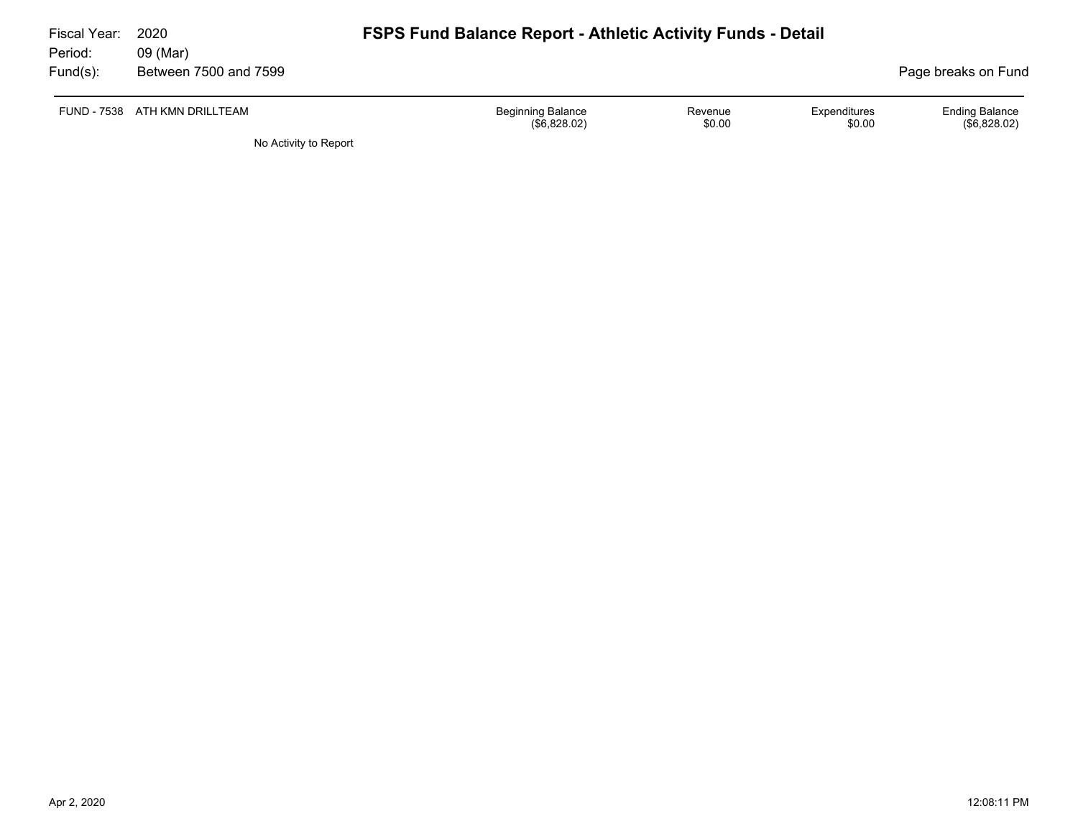| Fiscal Year:<br>Period: | 2020<br>09 (Mar)              | <b>FSPS Fund Balance Report - Athletic Activity Funds - Detail</b> |                   |                        |                                       |
|-------------------------|-------------------------------|--------------------------------------------------------------------|-------------------|------------------------|---------------------------------------|
| Fund(s):                | Between 7500 and 7599         |                                                                    |                   |                        | Page breaks on Fund                   |
|                         | FUND - 7538 ATH KMN DRILLTEAM | <b>Beginning Balance</b><br>(\$6,828.02)                           | Revenue<br>\$0.00 | Expenditures<br>\$0.00 | <b>Ending Balance</b><br>(\$6,828.02) |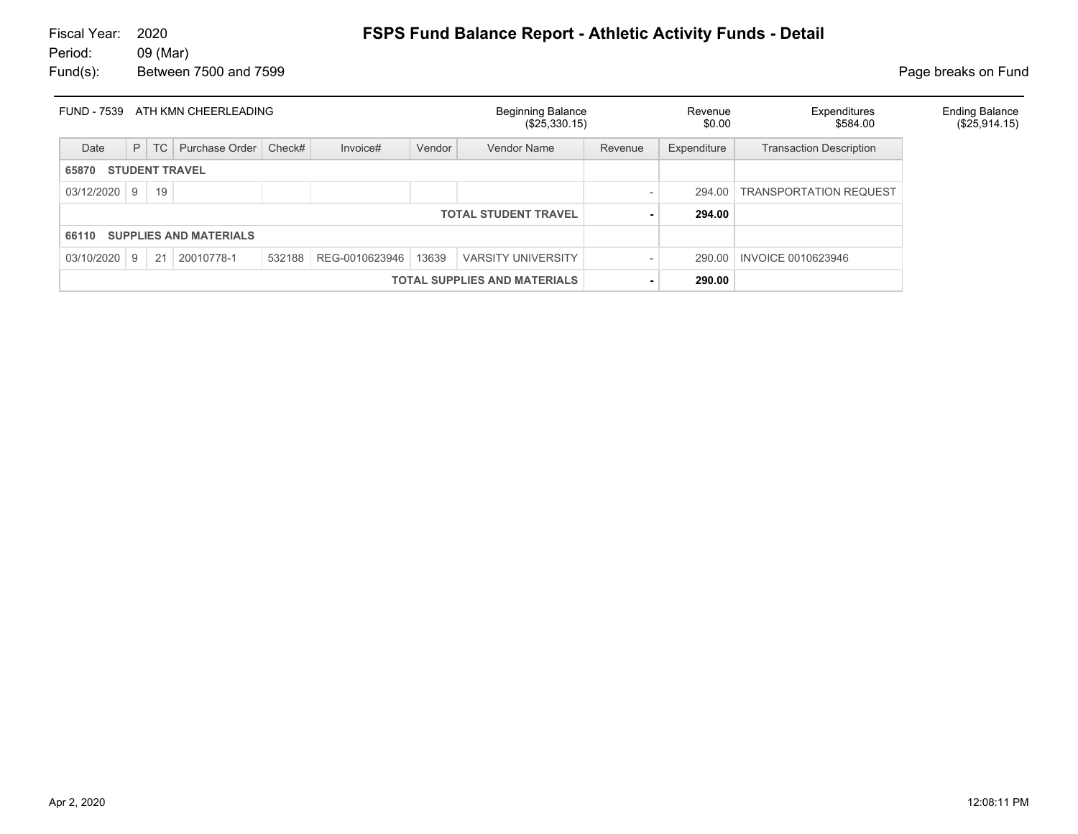| FUND - 7539 ATH KMN CHEERLEADING    |                       |    |                               |        |                         | <b>Beginning Balance</b><br>(\$25,330.15) |                             | Revenue<br>\$0.00 | Expenditures<br>\$584.00 | <b>Ending Balance</b><br>(\$25,914.15) |  |
|-------------------------------------|-----------------------|----|-------------------------------|--------|-------------------------|-------------------------------------------|-----------------------------|-------------------|--------------------------|----------------------------------------|--|
| Date                                | P                     | TC | Purchase Order                | Check# | Invoice#                | Vendor                                    | <b>Vendor Name</b>          | Revenue           | Expenditure              | <b>Transaction Description</b>         |  |
| 65870                               | <b>STUDENT TRAVEL</b> |    |                               |        |                         |                                           |                             |                   |                          |                                        |  |
| 03/12/2020                          | 9                     | 19 |                               |        |                         |                                           |                             |                   |                          | 294.00   TRANSPORTATION REQUEST        |  |
|                                     |                       |    |                               |        |                         |                                           | <b>TOTAL STUDENT TRAVEL</b> |                   | 294.00                   |                                        |  |
| 66110                               |                       |    | <b>SUPPLIES AND MATERIALS</b> |        |                         |                                           |                             |                   |                          |                                        |  |
| 03/10/2020                          | 9                     | 21 | 20010778-1                    |        | 532188   REG-0010623946 | 13639                                     | <b>VARSITY UNIVERSITY</b>   |                   | 290.00                   | INVOICE 0010623946                     |  |
| <b>TOTAL SUPPLIES AND MATERIALS</b> |                       |    |                               |        |                         |                                           | 290.00                      |                   |                          |                                        |  |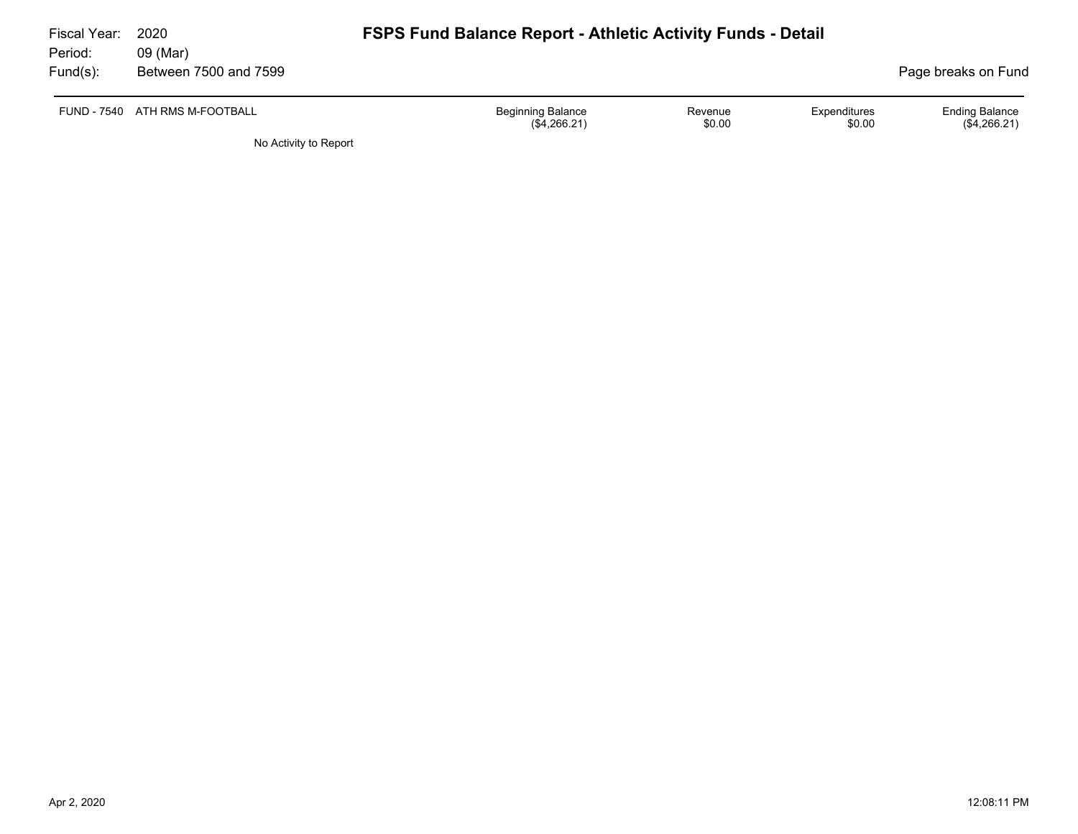| Fiscal Year:<br>Period: | 2020<br>09 (Mar)               | <b>FSPS Fund Balance Report - Athletic Activity Funds - Detail</b> |                   |                        |                                       |
|-------------------------|--------------------------------|--------------------------------------------------------------------|-------------------|------------------------|---------------------------------------|
| Fund(s):                | Between 7500 and 7599          |                                                                    |                   |                        | Page breaks on Fund                   |
|                         | FUND - 7540 ATH RMS M-FOOTBALL | <b>Beginning Balance</b><br>(\$4,266.21)                           | Revenue<br>\$0.00 | Expenditures<br>\$0.00 | <b>Ending Balance</b><br>(\$4,266.21) |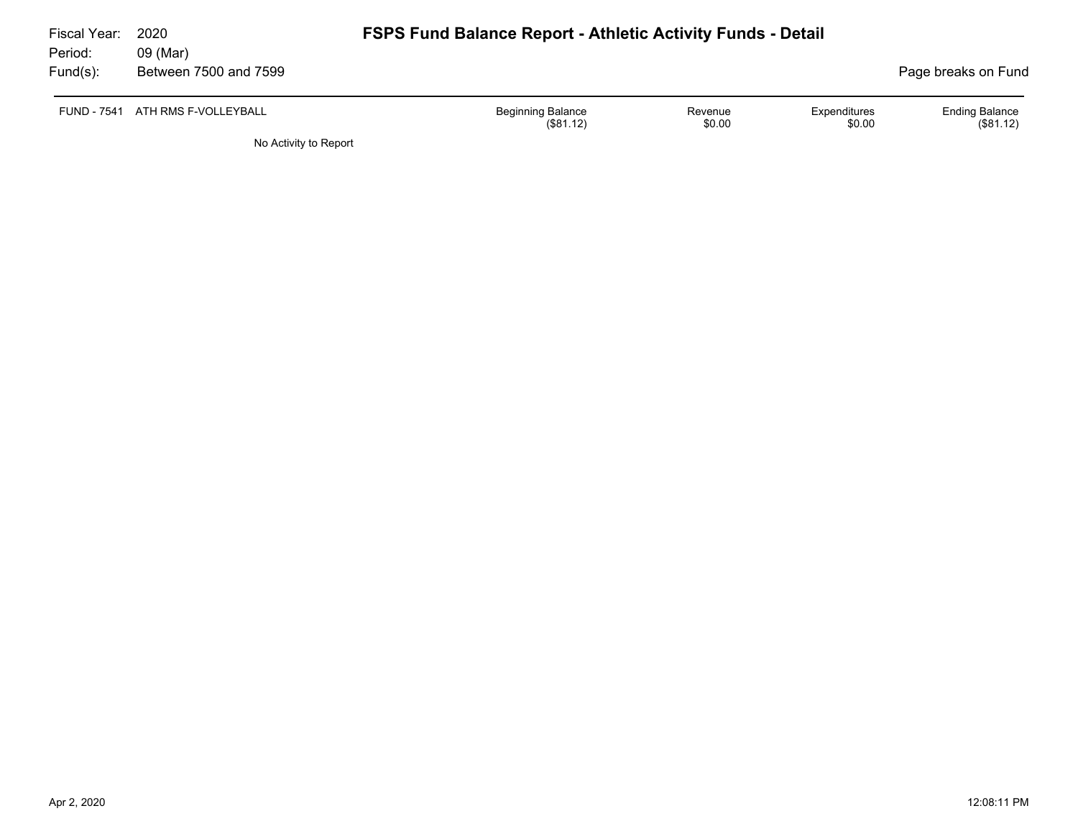| Fiscal Year: | 2020                             | <b>FSPS Fund Balance Report - Athletic Activity Funds - Detail</b> |                   |                        |                                   |  |  |  |  |  |  |
|--------------|----------------------------------|--------------------------------------------------------------------|-------------------|------------------------|-----------------------------------|--|--|--|--|--|--|
| Period:      | 09 (Mar)                         |                                                                    |                   |                        |                                   |  |  |  |  |  |  |
| Fund(s):     | Between 7500 and 7599            |                                                                    |                   |                        | Page breaks on Fund               |  |  |  |  |  |  |
|              | FUND - 7541 ATH RMS F-VOLLEYBALL | <b>Beginning Balance</b><br>(\$81.12)                              | Revenue<br>\$0.00 | Expenditures<br>\$0.00 | <b>Ending Balance</b><br>(S81.12) |  |  |  |  |  |  |
|              | No Activity to Report            |                                                                    |                   |                        |                                   |  |  |  |  |  |  |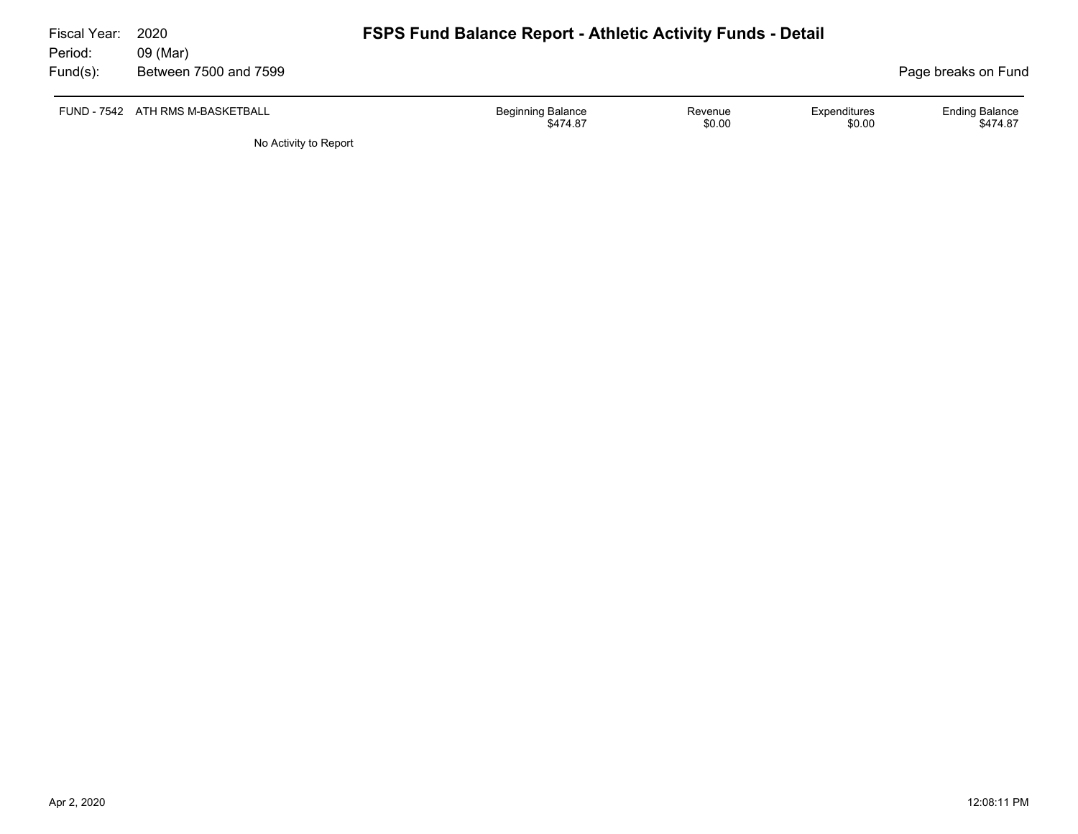| Fiscal Year:<br>Period: | 2020<br>09 (Mar)                 | <b>FSPS Fund Balance Report - Athletic Activity Funds - Detail</b> |                   |                        |                                   |
|-------------------------|----------------------------------|--------------------------------------------------------------------|-------------------|------------------------|-----------------------------------|
| $Fund(s)$ :             | Between 7500 and 7599            |                                                                    |                   |                        | Page breaks on Fund               |
|                         | FUND - 7542 ATH RMS M-BASKETBALL | <b>Beginning Balance</b><br>\$474.87                               | Revenue<br>\$0.00 | Expenditures<br>\$0.00 | <b>Ending Balance</b><br>\$474.87 |
|                         | No Activity to Report            |                                                                    |                   |                        |                                   |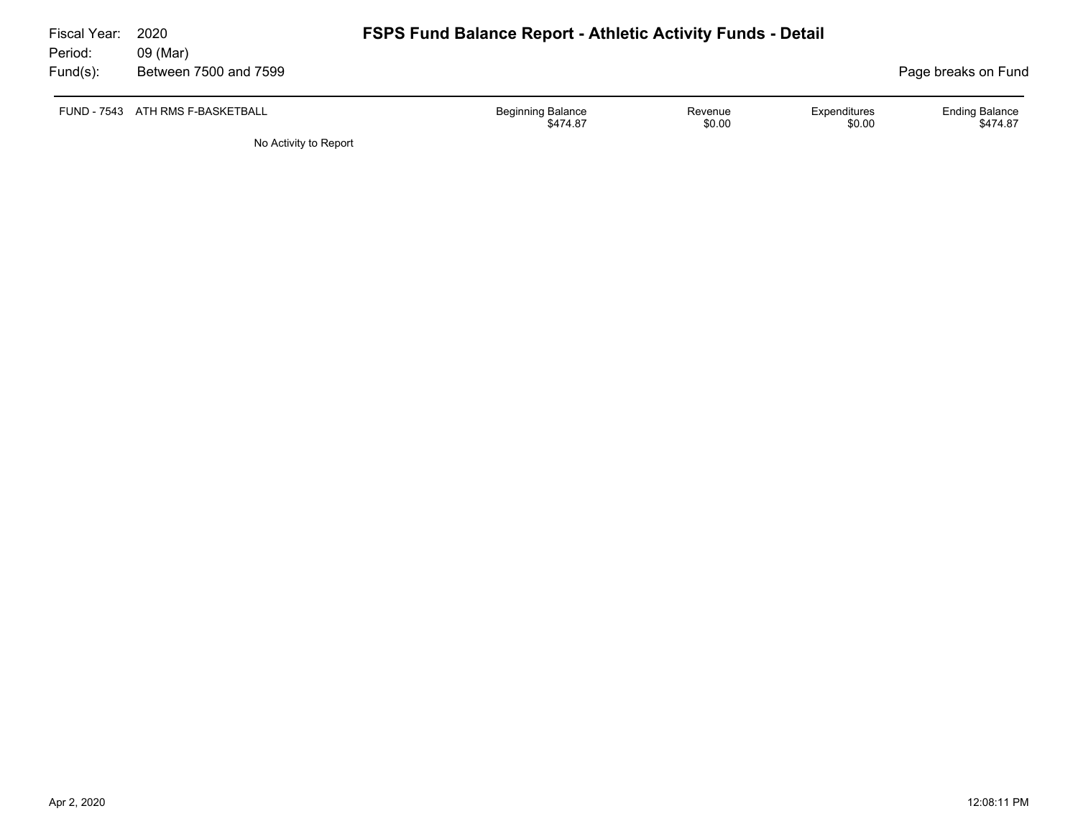| Fiscal Year:<br>Period: | 2020<br>09 (Mar)                 | <b>FSPS Fund Balance Report - Athletic Activity Funds - Detail</b> |                   |                        |                                   |
|-------------------------|----------------------------------|--------------------------------------------------------------------|-------------------|------------------------|-----------------------------------|
| Fund(s):                | Between 7500 and 7599            |                                                                    |                   |                        | Page breaks on Fund               |
|                         | FUND - 7543 ATH RMS F-BASKETBALL | <b>Beginning Balance</b><br>\$474.87                               | Revenue<br>\$0.00 | Expenditures<br>\$0.00 | <b>Ending Balance</b><br>\$474.87 |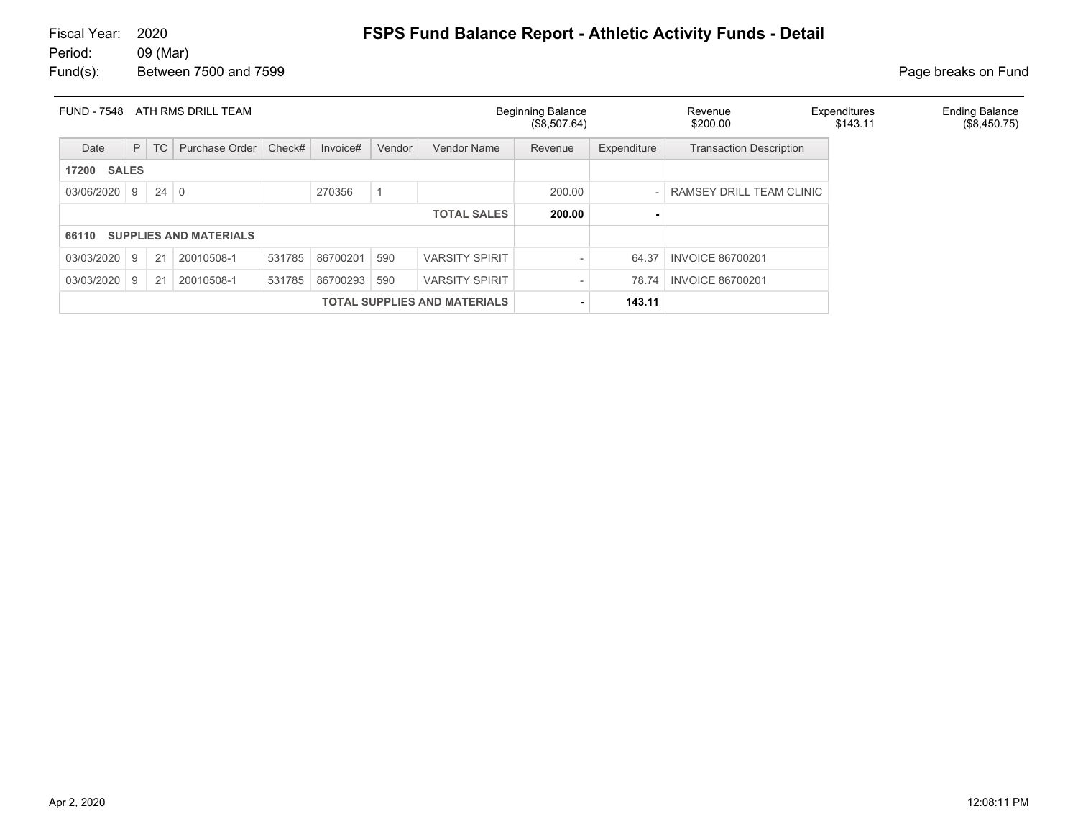| <b>FUND - 7548</b>                  |   |             | ATH RMS DRILL TEAM            |        |          |        |                       | <b>Beginning Balance</b><br>(\$8,507.64) |             | Revenue<br>\$200.00            | Expenditures<br>\$143.11 | <b>Ending Balance</b><br>(\$8,450.75) |
|-------------------------------------|---|-------------|-------------------------------|--------|----------|--------|-----------------------|------------------------------------------|-------------|--------------------------------|--------------------------|---------------------------------------|
| Date                                | P | <b>TC</b>   | Purchase Order                | Check# | Invoice# | Vendor | Vendor Name           | Revenue                                  | Expenditure | <b>Transaction Description</b> |                          |                                       |
| <b>SALES</b><br>17200               |   |             |                               |        |          |        |                       |                                          |             |                                |                          |                                       |
| 03/06/2020                          | 9 | $24 \mid 0$ |                               |        | 270356   |        |                       | 200.00                                   |             | RAMSEY DRILL TEAM CLINIC       |                          |                                       |
|                                     |   |             |                               |        |          |        | <b>TOTAL SALES</b>    | 200.00                                   |             |                                |                          |                                       |
| 66110                               |   |             | <b>SUPPLIES AND MATERIALS</b> |        |          |        |                       |                                          |             |                                |                          |                                       |
| 03/03/2020                          | 9 | 21          | 20010508-1                    | 531785 | 86700201 | 590    | <b>VARSITY SPIRIT</b> |                                          | 64.37       | <b>INVOICE 86700201</b>        |                          |                                       |
| 03/03/2020                          | 9 | 21          | 20010508-1                    | 531785 | 86700293 | 590    | <b>VARSITY SPIRIT</b> | $\overline{\phantom{0}}$                 | 78.74       | <b>INVOICE 86700201</b>        |                          |                                       |
| <b>TOTAL SUPPLIES AND MATERIALS</b> |   |             |                               |        |          |        |                       | $\blacksquare$                           | 143.11      |                                |                          |                                       |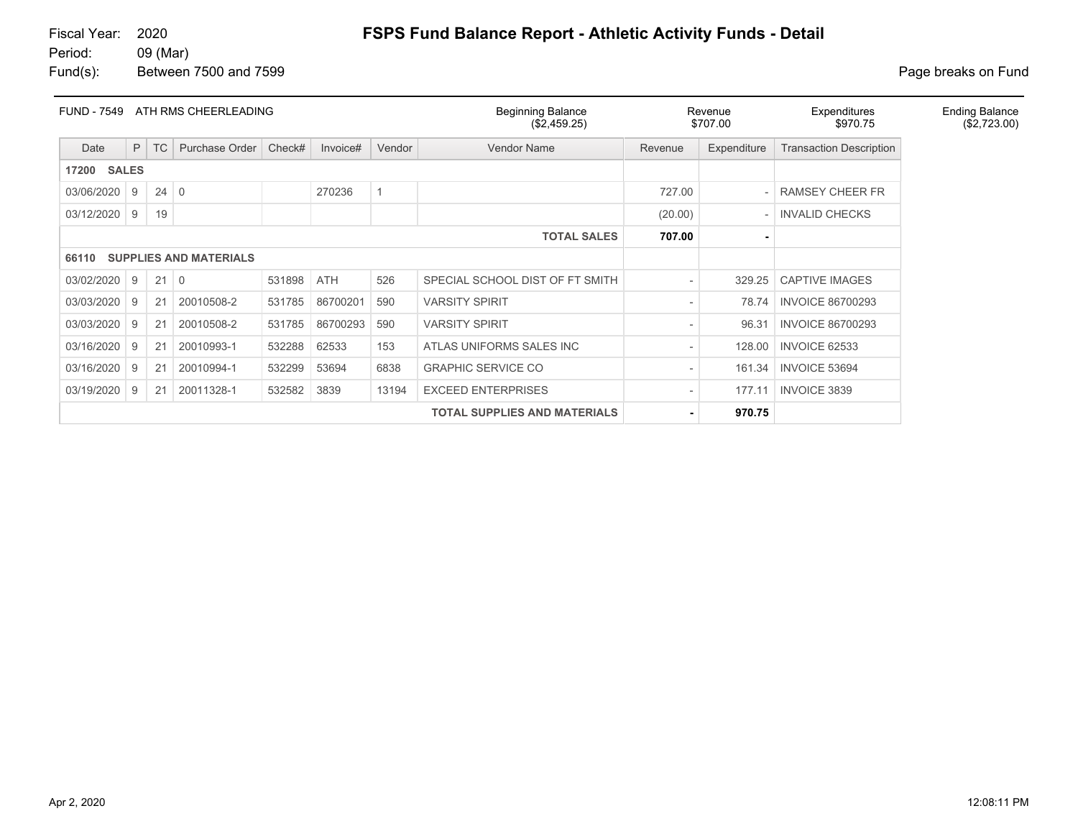| <b>FUND - 7549</b>    |   |             | ATH RMS CHEERLEADING          |        |            |             | <b>Beginning Balance</b><br>(\$2,459.25) |                          | Revenue<br>\$707.00 | Expenditures<br>\$970.75       | <b>Ending Balance</b><br>(\$2,723.00) |
|-----------------------|---|-------------|-------------------------------|--------|------------|-------------|------------------------------------------|--------------------------|---------------------|--------------------------------|---------------------------------------|
| Date                  | P | <b>TC</b>   | Purchase Order                | Check# | Invoice#   | Vendor      | Vendor Name                              | Revenue                  | Expenditure         | <b>Transaction Description</b> |                                       |
| <b>SALES</b><br>17200 |   |             |                               |        |            |             |                                          |                          |                     |                                |                                       |
| 03/06/2020            | 9 | $24 \mid 0$ |                               |        | 270236     | $\mathbf 1$ |                                          | 727.00                   |                     | <b>RAMSEY CHEER FR</b>         |                                       |
| 03/12/2020            | 9 | 19          |                               |        |            |             |                                          | (20.00)                  | $-$                 | <b>INVALID CHECKS</b>          |                                       |
|                       |   |             |                               |        |            |             | <b>TOTAL SALES</b>                       | 707.00                   |                     |                                |                                       |
| 66110                 |   |             | <b>SUPPLIES AND MATERIALS</b> |        |            |             |                                          |                          |                     |                                |                                       |
| 03/02/2020            | 9 | $21 \mid 0$ |                               | 531898 | <b>ATH</b> | 526         | SPECIAL SCHOOL DIST OF FT SMITH          |                          | 329.25              | <b>CAPTIVE IMAGES</b>          |                                       |
| 03/03/2020            | 9 | 21          | 20010508-2                    | 531785 | 86700201   | 590         | <b>VARSITY SPIRIT</b>                    | $\overline{\phantom{a}}$ | 78.74               | <b>INVOICE 86700293</b>        |                                       |
| 03/03/2020            | 9 | 21          | 20010508-2                    | 531785 | 86700293   | 590         | <b>VARSITY SPIRIT</b>                    |                          | 96.31               | <b>INVOICE 86700293</b>        |                                       |
| 03/16/2020            | 9 | 21          | 20010993-1                    | 532288 | 62533      | 153         | ATLAS UNIFORMS SALES INC                 |                          | 128.00              | <b>INVOICE 62533</b>           |                                       |
| 03/16/2020            | 9 | 21          | 20010994-1                    | 532299 | 53694      | 6838        | <b>GRAPHIC SERVICE CO</b>                |                          | 161.34              | <b>INVOICE 53694</b>           |                                       |
| 03/19/2020            | 9 | 21          | 20011328-1                    | 532582 | 3839       | 13194       | <b>EXCEED ENTERPRISES</b>                |                          | 177.11              | <b>INVOICE 3839</b>            |                                       |
|                       |   |             |                               |        |            |             | <b>TOTAL SUPPLIES AND MATERIALS</b>      | ۰                        | 970.75              |                                |                                       |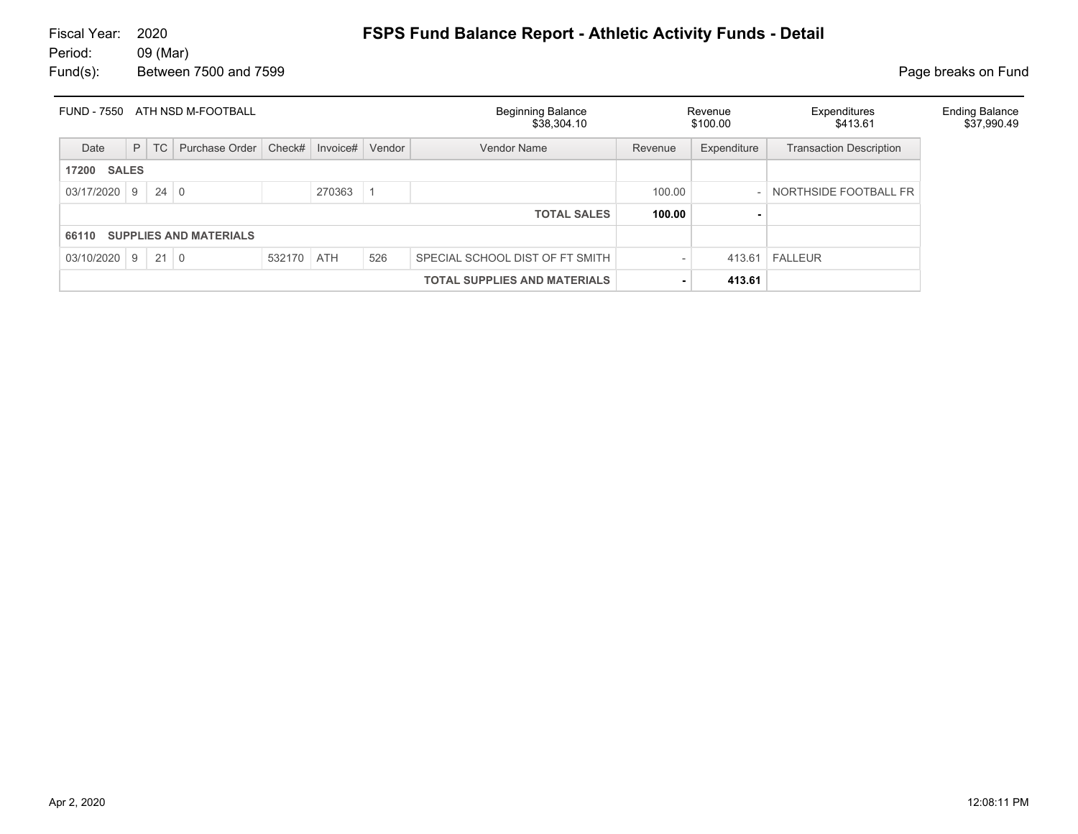| ATH NSD M-FOOTBALL<br><b>FUND - 7550</b> |                    |             |                               |            |          |        | Beginning Balance<br>\$38,304.10 |         | Revenue<br>\$100.00 | Expenditures<br>\$413.61       |  |
|------------------------------------------|--------------------|-------------|-------------------------------|------------|----------|--------|----------------------------------|---------|---------------------|--------------------------------|--|
| Date                                     | P                  | TC          | Purchase Order                | Check#     | Invoice# | Vendor | <b>Vendor Name</b>               | Revenue | Expenditure         | <b>Transaction Description</b> |  |
| <b>SALES</b><br>17200                    |                    |             |                               |            |          |        |                                  |         |                     |                                |  |
| $03/17/2020$ 9                           |                    | $24 \mid 0$ |                               |            | 270363   |        |                                  | 100.00  |                     | NORTHSIDE FOOTBALL FR          |  |
|                                          | <b>TOTAL SALES</b> |             |                               |            |          |        |                                  |         |                     |                                |  |
| 66110                                    |                    |             | <b>SUPPLIES AND MATERIALS</b> |            |          |        |                                  |         |                     |                                |  |
| $03/10/2020$ 9 21 0                      |                    |             |                               | 532170 ATH |          | 526    | SPECIAL SCHOOL DIST OF FT SMITH  |         |                     | $413.61$ FALLEUR               |  |
|                                          |                    |             |                               |            |          |        |                                  | 413.61  |                     |                                |  |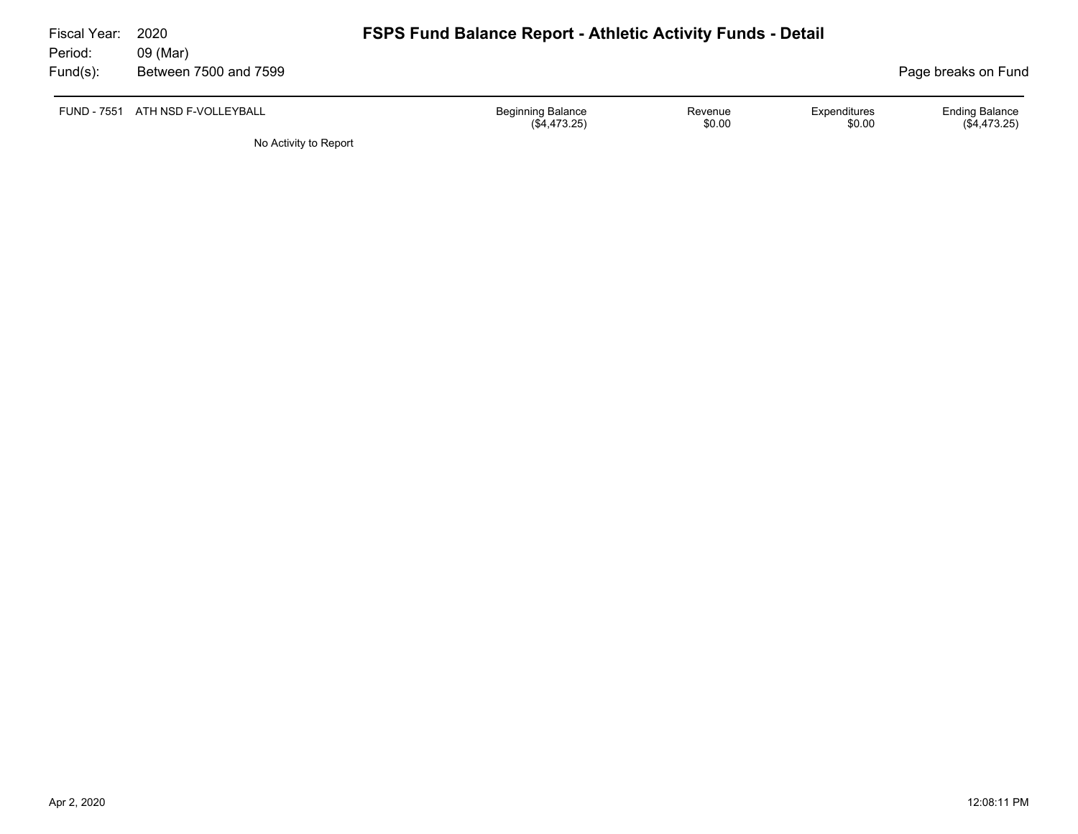| Fiscal Year:<br>Period: | 2020<br>09 (Mar)                 |                                            | <b>FSPS Fund Balance Report - Athletic Activity Funds - Detail</b> |                        |                                         |  |  |  |  |  |
|-------------------------|----------------------------------|--------------------------------------------|--------------------------------------------------------------------|------------------------|-----------------------------------------|--|--|--|--|--|
| Fund(s):                | Between 7500 and 7599            |                                            |                                                                    |                        | Page breaks on Fund                     |  |  |  |  |  |
|                         | FUND - 7551 ATH NSD F-VOLLEYBALL | <b>Beginning Balance</b><br>$(\$4,473.25)$ | Revenue<br>\$0.00                                                  | Expenditures<br>\$0.00 | <b>Ending Balance</b><br>$(\$4,473.25)$ |  |  |  |  |  |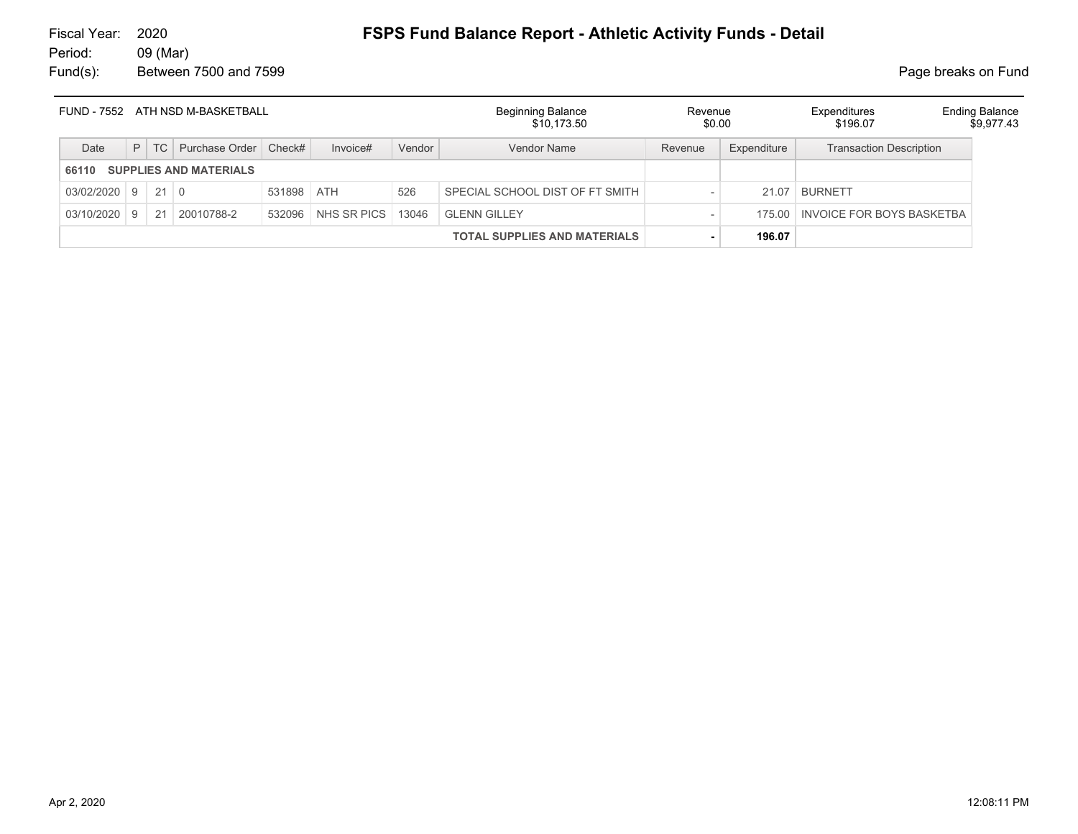|            |              |             | FUND - 7552 ATH NSD M-BASKETBALL |            |             |        | Beginning Balance<br>\$10,173.50    | Revenue<br>\$0.00 |             | Expenditures<br>\$196.07         | <b>Ending Balance</b><br>\$9,977.43 |
|------------|--------------|-------------|----------------------------------|------------|-------------|--------|-------------------------------------|-------------------|-------------|----------------------------------|-------------------------------------|
| Date       |              | $P$ TC      | Purchase Order                   | Check#     | Invoice#    | Vendor | Vendor Name                         | Revenue           | Expenditure | <b>Transaction Description</b>   |                                     |
| 66110      |              |             | <b>SUPPLIES AND MATERIALS</b>    |            |             |        |                                     |                   |             |                                  |                                     |
| 03/02/2020 | <u>g</u>     | $21 \mid 0$ |                                  | 531898 ATH |             | 526    | SPECIAL SCHOOL DIST OF FT SMITH     |                   | 21.07       | <b>BURNETT</b>                   |                                     |
| 03/10/2020 | $\mathsf{Q}$ | 21          | 20010788-2                       | 532096     | NHS SR PICS | 13046  | <b>GLENN GILLEY</b>                 |                   |             | 175.00 INVOICE FOR BOYS BASKETBA |                                     |
|            |              |             |                                  |            |             |        | <b>TOTAL SUPPLIES AND MATERIALS</b> |                   | 196.07      |                                  |                                     |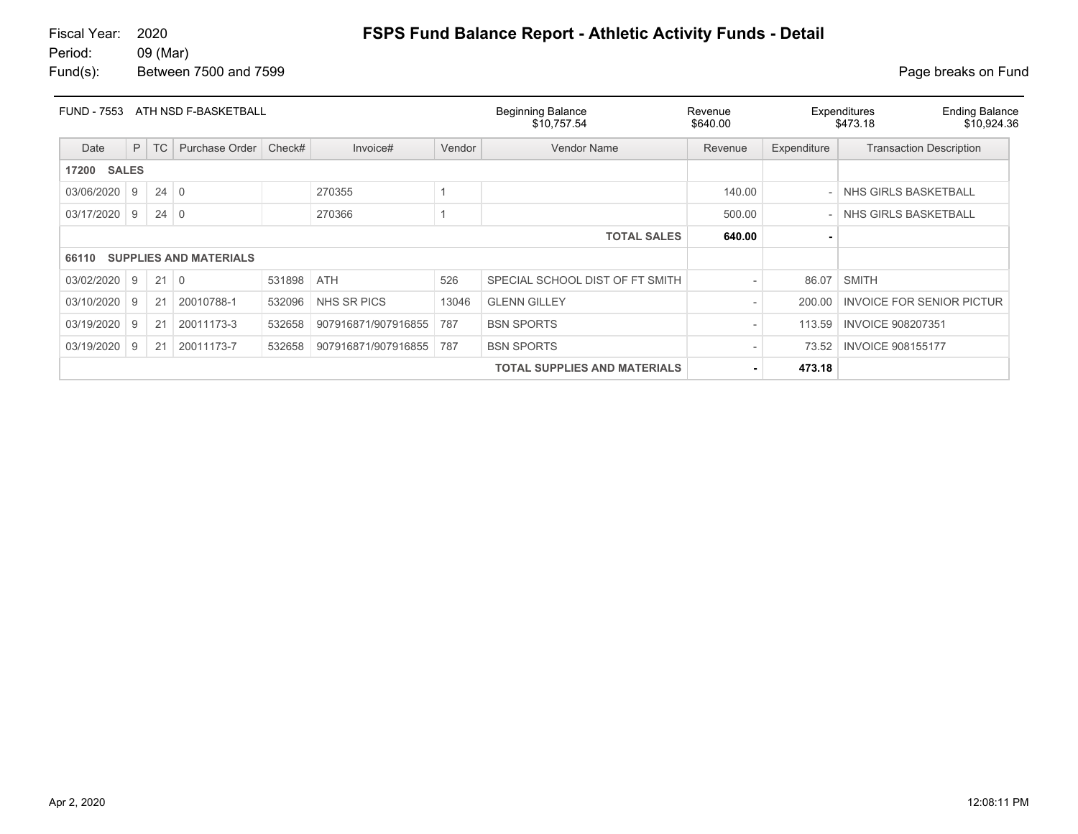# 09 (Mar)

Fund(s): Between 7500 and 7599 **Page breaks** on Fund

| <b>FUND - 7553</b>    |   |             | ATH NSD F-BASKETBALL          |        |                     |        | <b>Beginning Balance</b><br>\$10,757.54 | Revenue<br>\$640.00 |             | <b>Ending Balance</b><br>Expenditures<br>\$10,924.36<br>\$473.18 |
|-----------------------|---|-------------|-------------------------------|--------|---------------------|--------|-----------------------------------------|---------------------|-------------|------------------------------------------------------------------|
| Date                  | P | <b>TC</b>   | Purchase Order                | Check# | Invoice#            | Vendor | <b>Vendor Name</b>                      | Revenue             | Expenditure | <b>Transaction Description</b>                                   |
| <b>SALES</b><br>17200 |   |             |                               |        |                     |        |                                         |                     |             |                                                                  |
| 03/06/2020            | 9 | $24 \mid 0$ |                               |        | 270355              |        |                                         | 140.00              |             | - NHS GIRLS BASKETBALL                                           |
| 03/17/2020            | 9 | $24 \mid 0$ |                               |        | 270366              |        |                                         | 500.00              |             | - NHS GIRLS BASKETBALL                                           |
|                       |   |             |                               |        |                     |        | <b>TOTAL SALES</b>                      | 640.00              |             |                                                                  |
| 66110                 |   |             | <b>SUPPLIES AND MATERIALS</b> |        |                     |        |                                         |                     |             |                                                                  |
| 03/02/2020            | 9 | 21          | $\overline{0}$                | 531898 | <b>ATH</b>          | 526    | SPECIAL SCHOOL DIST OF FT SMITH         |                     | 86.07       | <b>SMITH</b>                                                     |
| 03/10/2020            | 9 | 21          | 20010788-1                    | 532096 | NHS SR PICS         | 13046  | <b>GLENN GILLEY</b>                     |                     | 200.00      | <b>INVOICE FOR SENIOR PICTUR</b>                                 |
| 03/19/2020            | 9 | 21          | 20011173-3                    | 532658 | 907916871/907916855 | 787    | <b>BSN SPORTS</b>                       |                     | 113.59      | <b>INVOICE 908207351</b>                                         |
| 03/19/2020            | 9 | 21          | 20011173-7                    | 532658 | 907916871/907916855 | 787    | <b>BSN SPORTS</b>                       |                     | 73.52       | <b>INVOICE 908155177</b>                                         |
|                       |   |             |                               |        |                     |        | <b>TOTAL SUPPLIES AND MATERIALS</b>     |                     | 473.18      |                                                                  |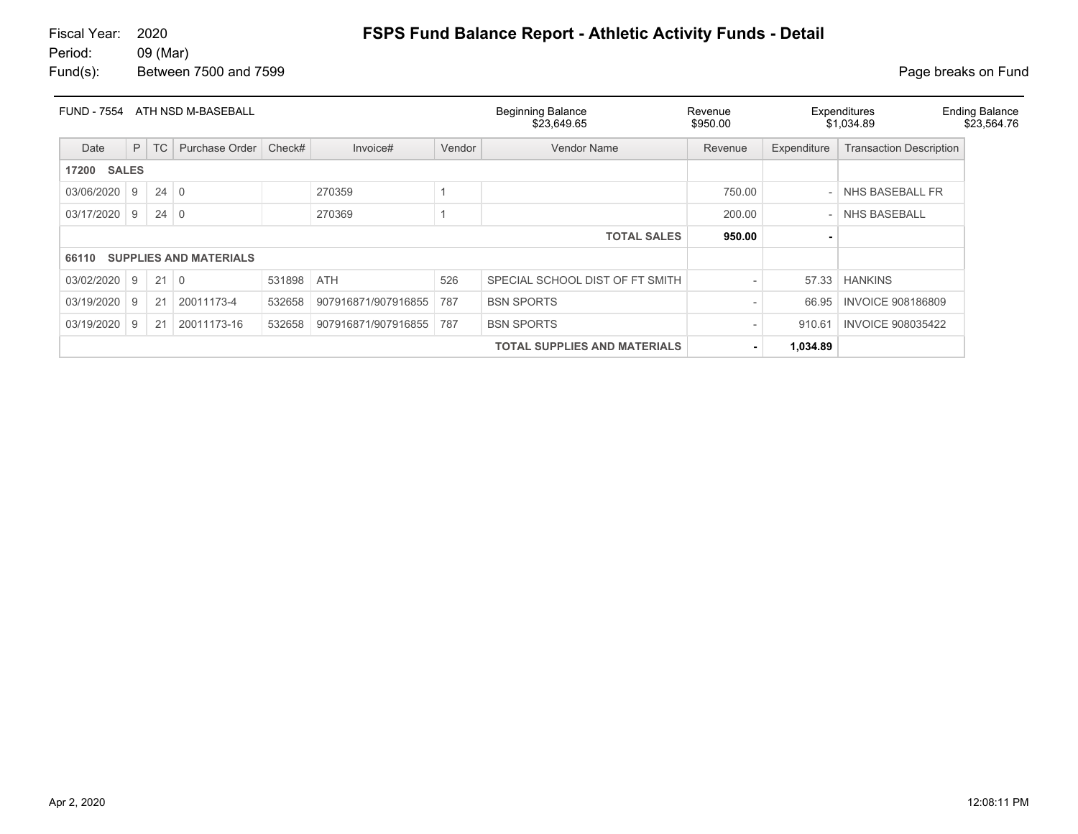| <b>FUND - 7554</b>    |          |             | ATH NSD M-BASEBALL            |        |                     |        | <b>Beginning Balance</b><br>\$23.649.65 | Revenue<br>\$950.00 | Expenditures<br>\$1,034.89 | <b>Ending Balance</b><br>\$23,564.76 |  |
|-----------------------|----------|-------------|-------------------------------|--------|---------------------|--------|-----------------------------------------|---------------------|----------------------------|--------------------------------------|--|
| Date                  | P        | <b>TC</b>   | Purchase Order                | Check# | Invoice#            | Vendor | <b>Vendor Name</b>                      | Revenue             | Expenditure                | <b>Transaction Description</b>       |  |
| <b>SALES</b><br>17200 |          |             |                               |        |                     |        |                                         |                     |                            |                                      |  |
| 03/06/2020            | <b>9</b> | $24 \mid 0$ |                               |        | 270359              |        |                                         | 750.00              |                            | NHS BASEBALL FR                      |  |
| 03/17/2020            | 9        | $24 \mid 0$ |                               |        | 270369              |        |                                         | 200.00              |                            | <b>NHS BASEBALL</b>                  |  |
|                       |          |             |                               |        |                     |        | <b>TOTAL SALES</b>                      | 950.00              |                            |                                      |  |
| 66110                 |          |             | <b>SUPPLIES AND MATERIALS</b> |        |                     |        |                                         |                     |                            |                                      |  |
| 03/02/2020            | 9        | $21 \mid 0$ |                               | 531898 | <b>ATH</b>          | 526    | SPECIAL SCHOOL DIST OF FT SMITH         |                     | 57.33                      | <b>HANKINS</b>                       |  |
| 03/19/2020            | 9        | 21          | 20011173-4                    | 532658 | 907916871/907916855 | 787    | <b>BSN SPORTS</b>                       |                     | 66.95                      | <b>INVOICE 908186809</b>             |  |
| 03/19/2020            | 9        | 21          | 20011173-16                   | 532658 | 907916871/907916855 | 787    | <b>BSN SPORTS</b>                       |                     | 910.61                     | <b>INVOICE 908035422</b>             |  |
|                       |          |             |                               |        |                     |        | <b>TOTAL SUPPLIES AND MATERIALS</b>     | ۰                   | 1,034.89                   |                                      |  |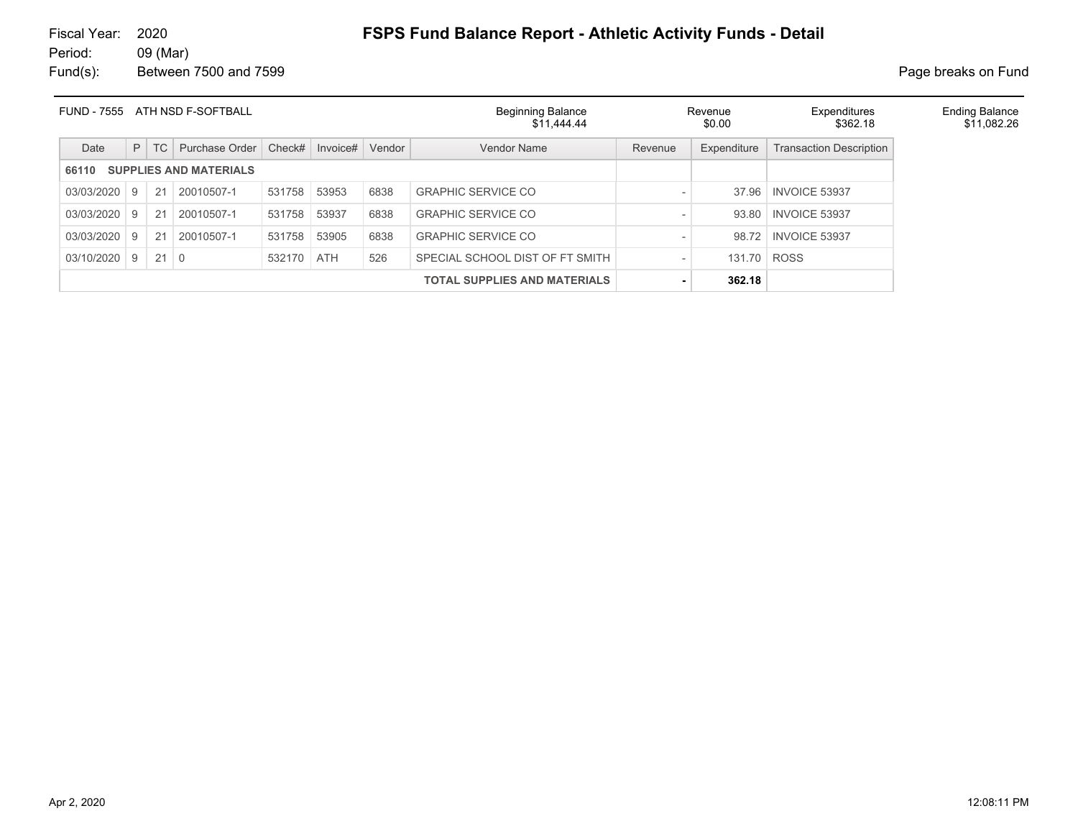| <b>FUND - 7555</b> |   |             | ATH NSD F-SOFTBALL            |            |          |        | <b>Beginning Balance</b><br>\$11,444.44 |                          | Revenue<br>\$0.00 | Expenditures<br>\$362.18       |
|--------------------|---|-------------|-------------------------------|------------|----------|--------|-----------------------------------------|--------------------------|-------------------|--------------------------------|
| Date               | P | TC          | Purchase Order                | Check#     | Invoice# | Vendor | Vendor Name                             | Revenue                  | Expenditure       | <b>Transaction Description</b> |
| 66110              |   |             | <b>SUPPLIES AND MATERIALS</b> |            |          |        |                                         |                          |                   |                                |
| 03/03/2020         | 9 | 21          | 20010507-1                    | 531758     | 53953    | 6838   | <b>GRAPHIC SERVICE CO</b>               | $\qquad \qquad$          | 37.96             | <b>INVOICE 53937</b>           |
| 03/03/2020         | 9 | 21          | 20010507-1                    | 531758     | 53937    | 6838   | <b>GRAPHIC SERVICE CO</b>               | $\qquad \qquad$          | 93.80             | <b>INVOICE 53937</b>           |
| 03/03/2020         | 9 | 21          | 20010507-1                    | 531758     | 53905    | 6838   | <b>GRAPHIC SERVICE CO</b>               | $\qquad \qquad$          | 98.72             | <b>INVOICE 53937</b>           |
| 03/10/2020         | 9 | $21 \mid 0$ |                               | 532170 ATH |          | 526    | SPECIAL SCHOOL DIST OF FT SMITH         | $\overline{\phantom{a}}$ | 131.70            | <b>ROSS</b>                    |
|                    |   |             |                               |            |          |        | <b>TOTAL SUPPLIES AND MATERIALS</b>     | ٠                        | 362.18            |                                |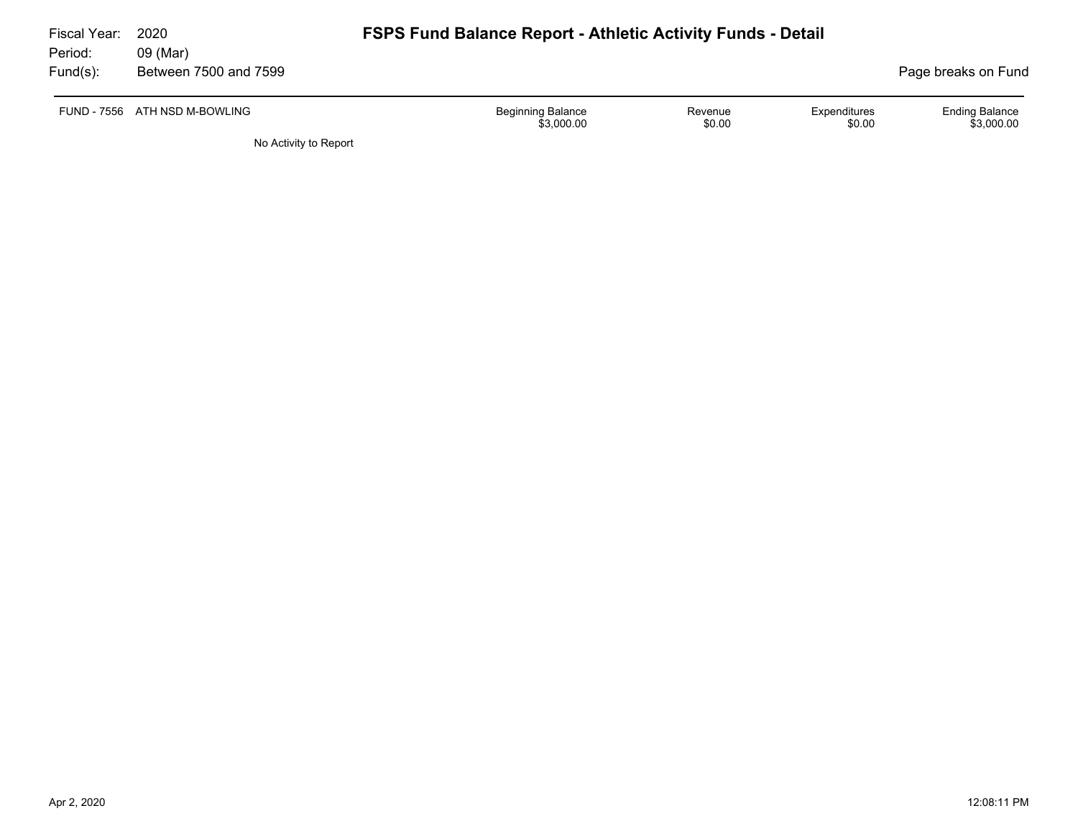| Fiscal Year:        | 2020                              | <b>FSPS Fund Balance Report - Athletic Activity Funds - Detail</b> |                   |                        |                                     |  |  |  |  |  |  |
|---------------------|-----------------------------------|--------------------------------------------------------------------|-------------------|------------------------|-------------------------------------|--|--|--|--|--|--|
| Period:<br>Fund(s): | 09 (Mar)<br>Between 7500 and 7599 |                                                                    |                   |                        | Page breaks on Fund                 |  |  |  |  |  |  |
|                     |                                   |                                                                    |                   |                        |                                     |  |  |  |  |  |  |
|                     | FUND - 7556 ATH NSD M-BOWLING     | <b>Beginning Balance</b><br>\$3,000.00                             | Revenue<br>\$0.00 | Expenditures<br>\$0.00 | <b>Ending Balance</b><br>\$3.000.00 |  |  |  |  |  |  |
|                     | No Activity to Report             |                                                                    |                   |                        |                                     |  |  |  |  |  |  |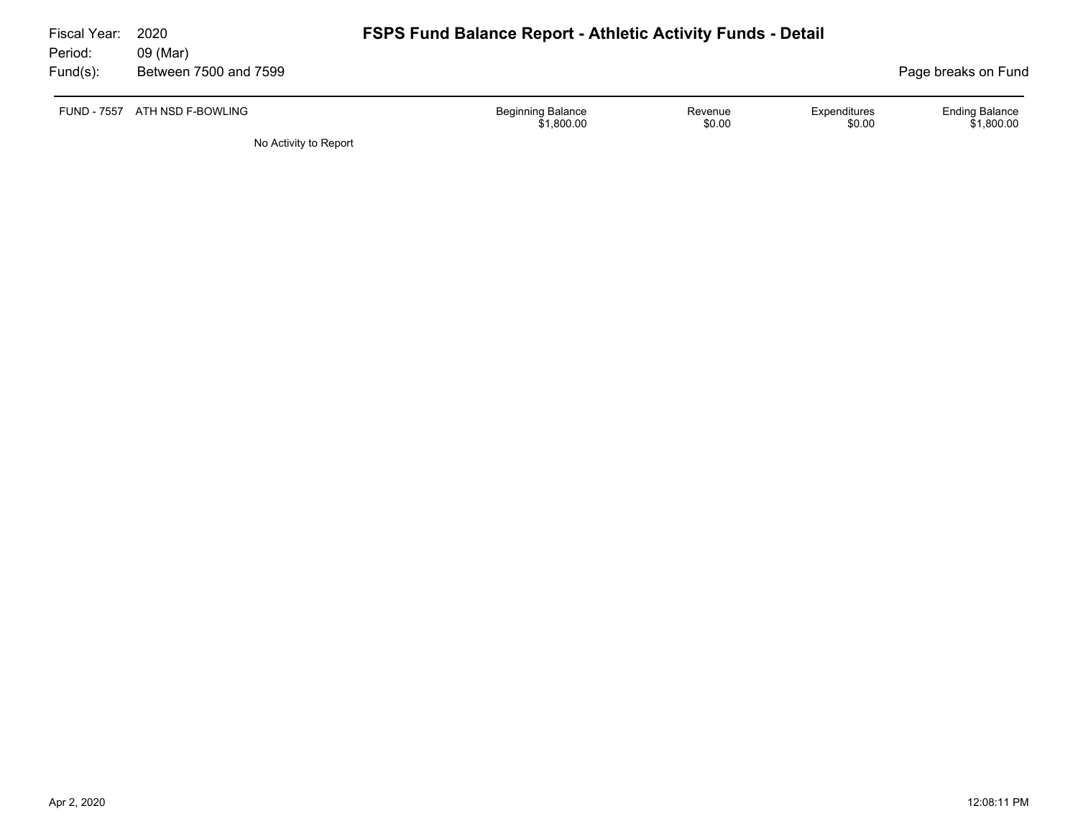| Fiscal Year:<br>Period: | 2020<br>09 (Mar)              | <b>FSPS Fund Balance Report - Athletic Activity Funds - Detail</b> |                   |                        |                                     |
|-------------------------|-------------------------------|--------------------------------------------------------------------|-------------------|------------------------|-------------------------------------|
| Fund(s):                | Between 7500 and 7599         |                                                                    |                   |                        | Page breaks on Fund                 |
|                         | FUND - 7557 ATH NSD F-BOWLING | <b>Beginning Balance</b><br>\$1,800.00                             | Revenue<br>\$0.00 | Expenditures<br>\$0.00 | <b>Ending Balance</b><br>\$1,800.00 |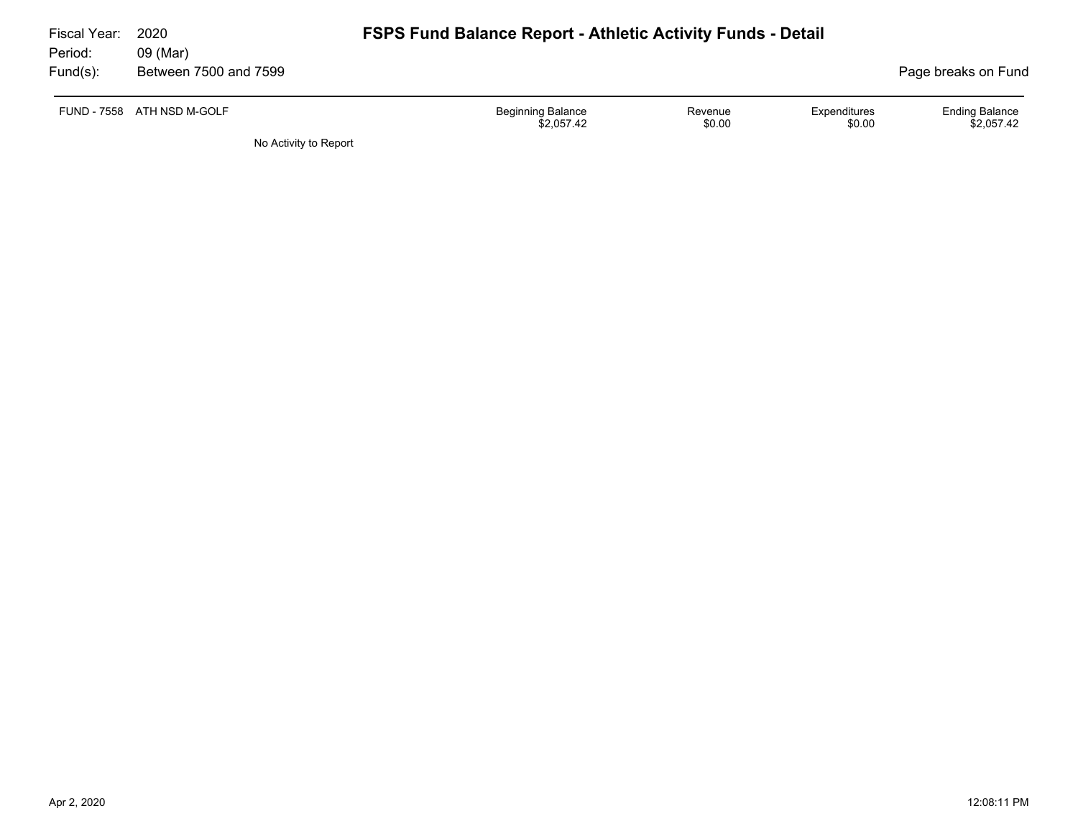| Fiscal Year:<br>Period: | 2020<br>09 (Mar)           | <b>FSPS Fund Balance Report - Athletic Activity Funds - Detail</b> |                   |                        |                                     |  |  |  |
|-------------------------|----------------------------|--------------------------------------------------------------------|-------------------|------------------------|-------------------------------------|--|--|--|
| Fund(s):                | Between 7500 and 7599      |                                                                    |                   |                        | Page breaks on Fund                 |  |  |  |
|                         | FUND - 7558 ATH NSD M-GOLF | <b>Beginning Balance</b><br>\$2.057.42                             | Revenue<br>\$0.00 | Expenditures<br>\$0.00 | <b>Ending Balance</b><br>\$2.057.42 |  |  |  |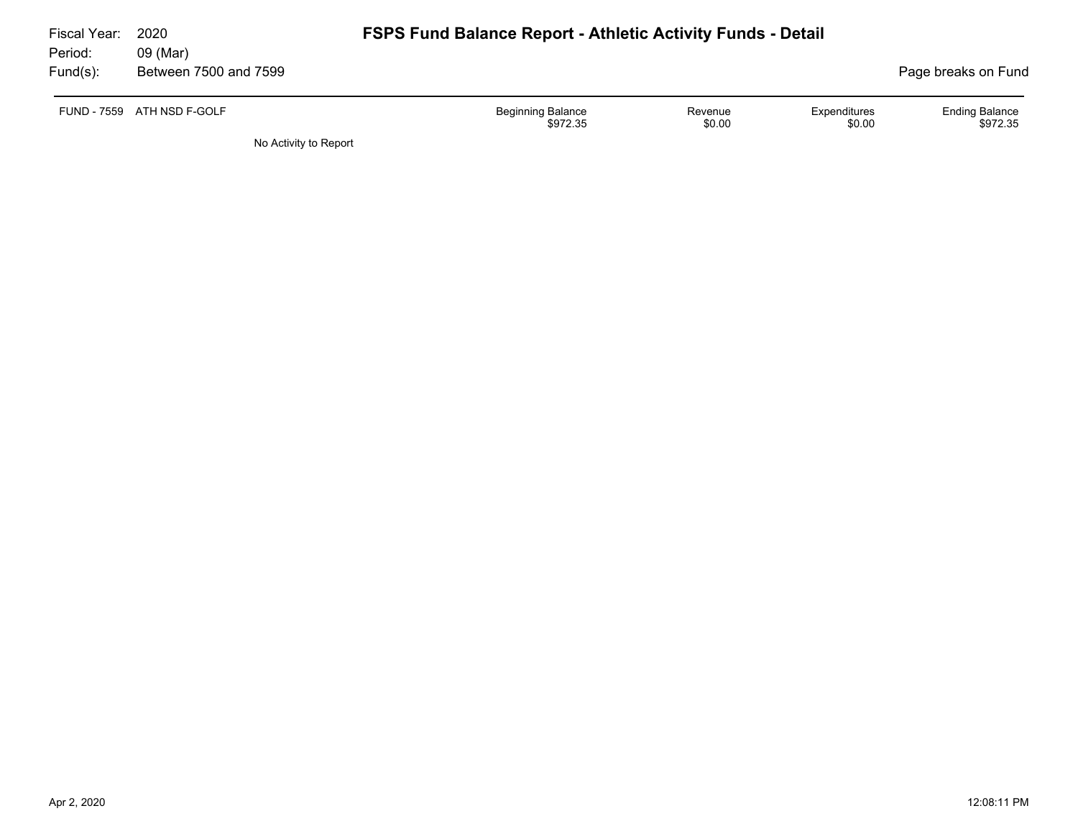| Fiscal Year:<br>Period: | 2020<br>09 (Mar)           | <b>FSPS Fund Balance Report - Athletic Activity Funds - Detail</b> |                   |                        |                                   |
|-------------------------|----------------------------|--------------------------------------------------------------------|-------------------|------------------------|-----------------------------------|
| Fund(s):                | Between 7500 and 7599      |                                                                    |                   |                        | Page breaks on Fund               |
|                         | FUND - 7559 ATH NSD F-GOLF | Beginning Balance<br>\$972.35                                      | Revenue<br>\$0.00 | Expenditures<br>\$0.00 | <b>Ending Balance</b><br>\$972.35 |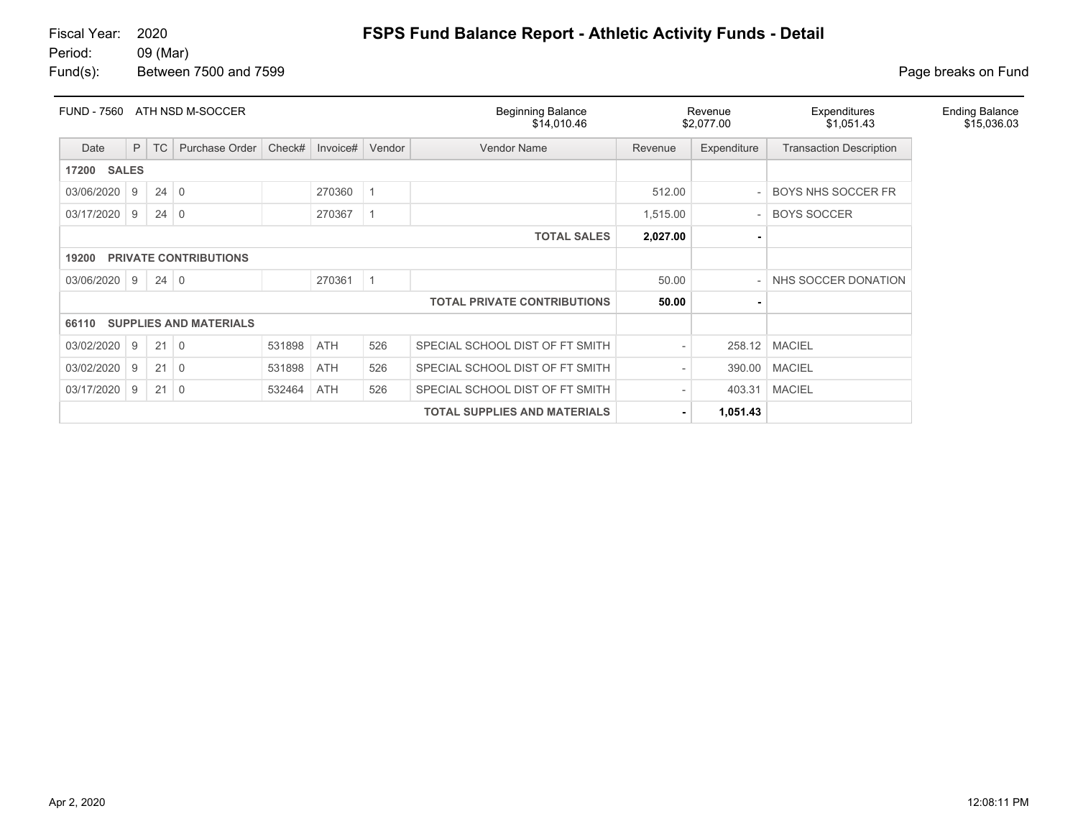#### 09 (Mar)

Fund(s): Between 7500 and 7599 **Page breaks** on Fund

| <b>FUND - 7560</b>    |                                     |             | ATH NSD M-SOCCER              |        |          |             | <b>Beginning Balance</b><br>\$14,010.46 |          | Revenue<br>\$2,077.00 | Expenditures<br>\$1,051.43     | <b>Ending Balance</b><br>\$15,036.03 |
|-----------------------|-------------------------------------|-------------|-------------------------------|--------|----------|-------------|-----------------------------------------|----------|-----------------------|--------------------------------|--------------------------------------|
| Date                  | P                                   | <b>TC</b>   | Purchase Order                | Check# | Invoice# | Vendor      | <b>Vendor Name</b>                      | Revenue  | Expenditure           | <b>Transaction Description</b> |                                      |
| <b>SALES</b><br>17200 |                                     |             |                               |        |          |             |                                         |          |                       |                                |                                      |
| 03/06/2020            | 9                                   | $24 \mid 0$ |                               |        | 270360   | $\vert$ 1   |                                         | 512.00   |                       | <b>BOYS NHS SOCCER FR</b>      |                                      |
| 03/17/2020            | 9                                   | $24 \mid 0$ |                               |        | 270367   | $\mathbf 1$ |                                         | 1,515.00 |                       | <b>BOYS SOCCER</b>             |                                      |
|                       |                                     |             |                               |        |          |             | <b>TOTAL SALES</b>                      | 2,027.00 |                       |                                |                                      |
| 19200                 |                                     |             | <b>PRIVATE CONTRIBUTIONS</b>  |        |          |             |                                         |          |                       |                                |                                      |
| 03/06/2020            | l 9                                 | $24 \mid 0$ |                               |        | 270361   | $\vert$ 1   |                                         | 50.00    |                       | NHS SOCCER DONATION            |                                      |
|                       |                                     |             |                               |        |          |             | <b>TOTAL PRIVATE CONTRIBUTIONS</b>      | 50.00    |                       |                                |                                      |
| 66110                 |                                     |             | <b>SUPPLIES AND MATERIALS</b> |        |          |             |                                         |          |                       |                                |                                      |
| 03/02/2020            | 9                                   | 21          | $\overline{0}$                | 531898 | ATH      | 526         | SPECIAL SCHOOL DIST OF FT SMITH         |          |                       | 258.12 MACIEL                  |                                      |
| 03/02/2020            | 9                                   | 21          | $\overline{0}$                | 531898 | ATH      | 526         | SPECIAL SCHOOL DIST OF FT SMITH         |          | 390.00                | <b>MACIEL</b>                  |                                      |
| 03/17/2020            | 9                                   | $21 \mid 0$ |                               | 532464 | ATH      | 526         | SPECIAL SCHOOL DIST OF FT SMITH         |          | 403.31                | <b>MACIEL</b>                  |                                      |
|                       | <b>TOTAL SUPPLIES AND MATERIALS</b> |             |                               |        |          |             |                                         | 1,051.43 |                       |                                |                                      |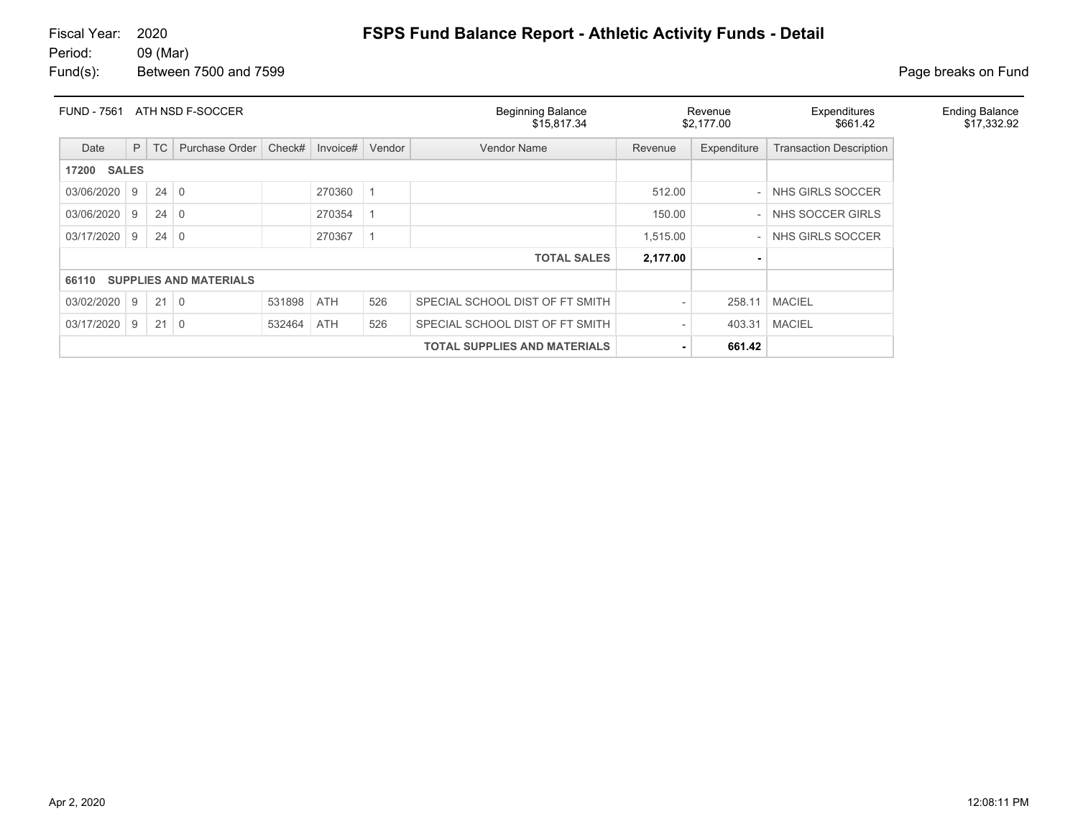# 09 (Mar)

Fund(s): Between 7500 and 7599 **Page breaks** on Fund

| <b>FUND - 7561</b> | ATH NSD F-SOCCER |             |                              |            |          |        | <b>Beginning Balance</b><br>\$15.817.34 |          | Revenue<br>\$2,177.00 | Expenditures<br>\$661.42       | <b>Ending Balance</b><br>\$17,332.92 |
|--------------------|------------------|-------------|------------------------------|------------|----------|--------|-----------------------------------------|----------|-----------------------|--------------------------------|--------------------------------------|
| Date               | P                | <b>TC</b>   | Purchase Order               | Check#     | Invoice# | Vendor | <b>Vendor Name</b>                      | Revenue  | Expenditure           | <b>Transaction Description</b> |                                      |
| <b>17200 SALES</b> |                  |             |                              |            |          |        |                                         |          |                       |                                |                                      |
| 03/06/2020         | 9                | $24 \mid 0$ |                              |            | 270360   |        |                                         | 512.00   |                       | NHS GIRLS SOCCER               |                                      |
| 03/06/2020         | 9                | $24 \mid 0$ |                              |            | 270354   |        |                                         | 150.00   |                       | NHS SOCCER GIRLS               |                                      |
| 03/17/2020         | 9                | $24 \mid 0$ |                              |            | 270367   |        |                                         | 1,515.00 |                       | NHS GIRLS SOCCER               |                                      |
|                    |                  |             |                              |            |          |        | <b>TOTAL SALES</b>                      | 2,177.00 |                       |                                |                                      |
|                    |                  |             | 66110 SUPPLIES AND MATERIALS |            |          |        |                                         |          |                       |                                |                                      |
| 03/02/2020         | l 9              | $21 \mid 0$ |                              | 531898 ATH |          | 526    | SPECIAL SCHOOL DIST OF FT SMITH         |          | 258.11                | <b>MACIEL</b>                  |                                      |
| 03/17/2020         | 9                | $21 \mid 0$ |                              | 532464     | ATH      | 526    | SPECIAL SCHOOL DIST OF FT SMITH         |          | 403.31                | <b>MACIEL</b>                  |                                      |
|                    |                  |             |                              |            |          |        | <b>TOTAL SUPPLIES AND MATERIALS</b>     |          | 661.42                |                                |                                      |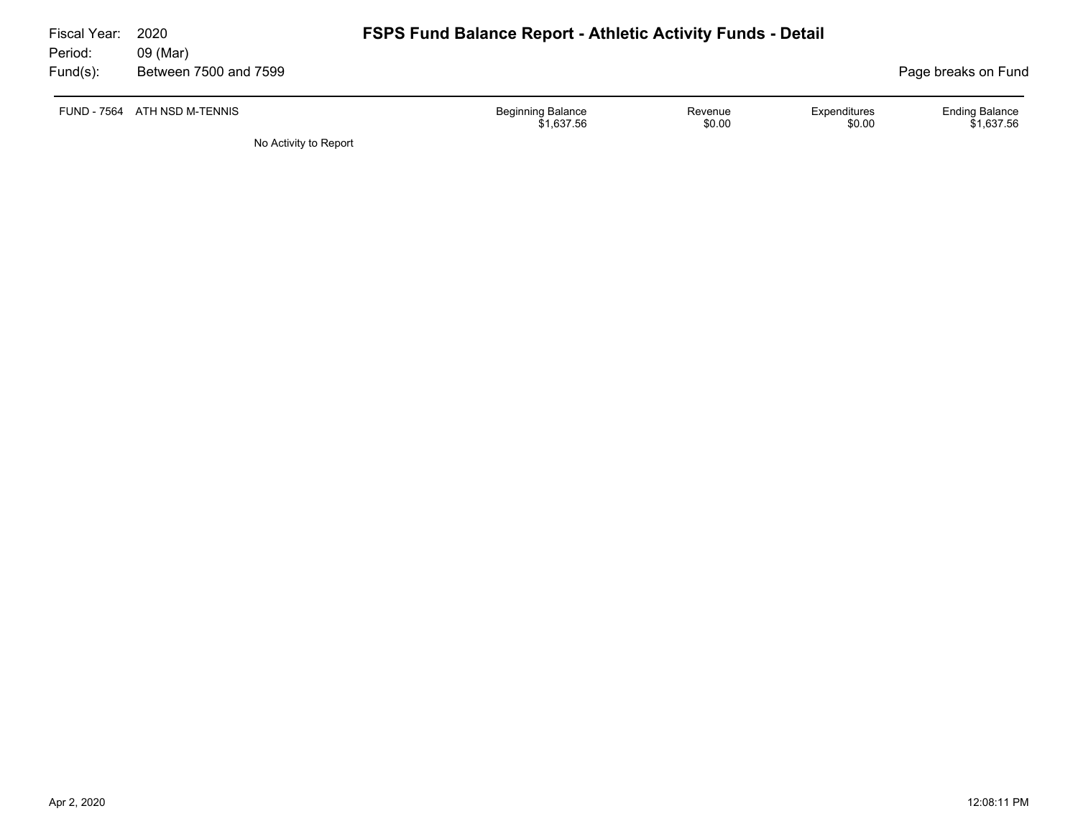| Fiscal Year:<br>Period: | 2020<br>09 (Mar)      | <b>FSPS Fund Balance Report - Athletic Activity Funds - Detail</b> |                   |                        |                                     |
|-------------------------|-----------------------|--------------------------------------------------------------------|-------------------|------------------------|-------------------------------------|
| Fund(s):                | Between 7500 and 7599 |                                                                    |                   |                        | Page breaks on Fund                 |
| FUND - 7564             | ATH NSD M-TENNIS      | <b>Beginning Balance</b><br>\$1.637.56                             | Revenue<br>\$0.00 | Expenditures<br>\$0.00 | <b>Ending Balance</b><br>\$1,637.56 |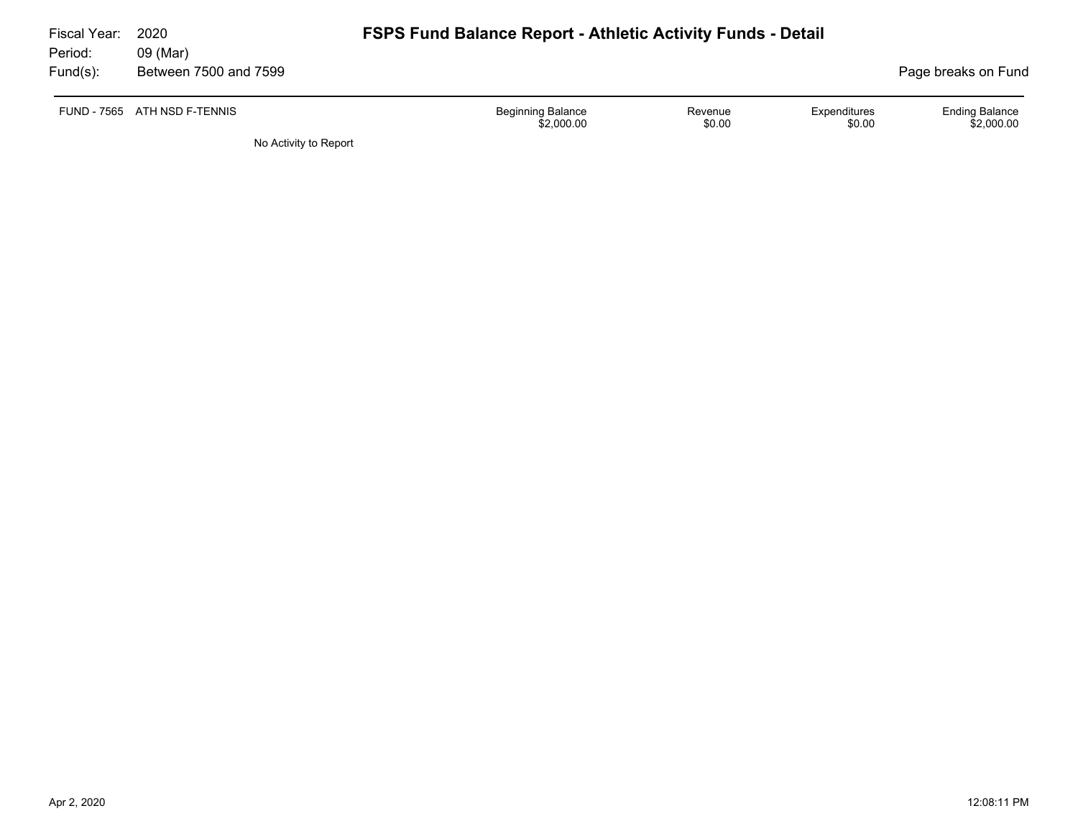| Fiscal Year:<br>Period: | 2020<br>09 (Mar)             | <b>FSPS Fund Balance Report - Athletic Activity Funds - Detail</b> |                   |                        |                                     |
|-------------------------|------------------------------|--------------------------------------------------------------------|-------------------|------------------------|-------------------------------------|
| Fund(s):                | Between 7500 and 7599        |                                                                    |                   |                        | Page breaks on Fund                 |
|                         | FUND - 7565 ATH NSD F-TENNIS | <b>Beginning Balance</b><br>\$2,000.00                             | Revenue<br>\$0.00 | Expenditures<br>\$0.00 | <b>Ending Balance</b><br>\$2,000.00 |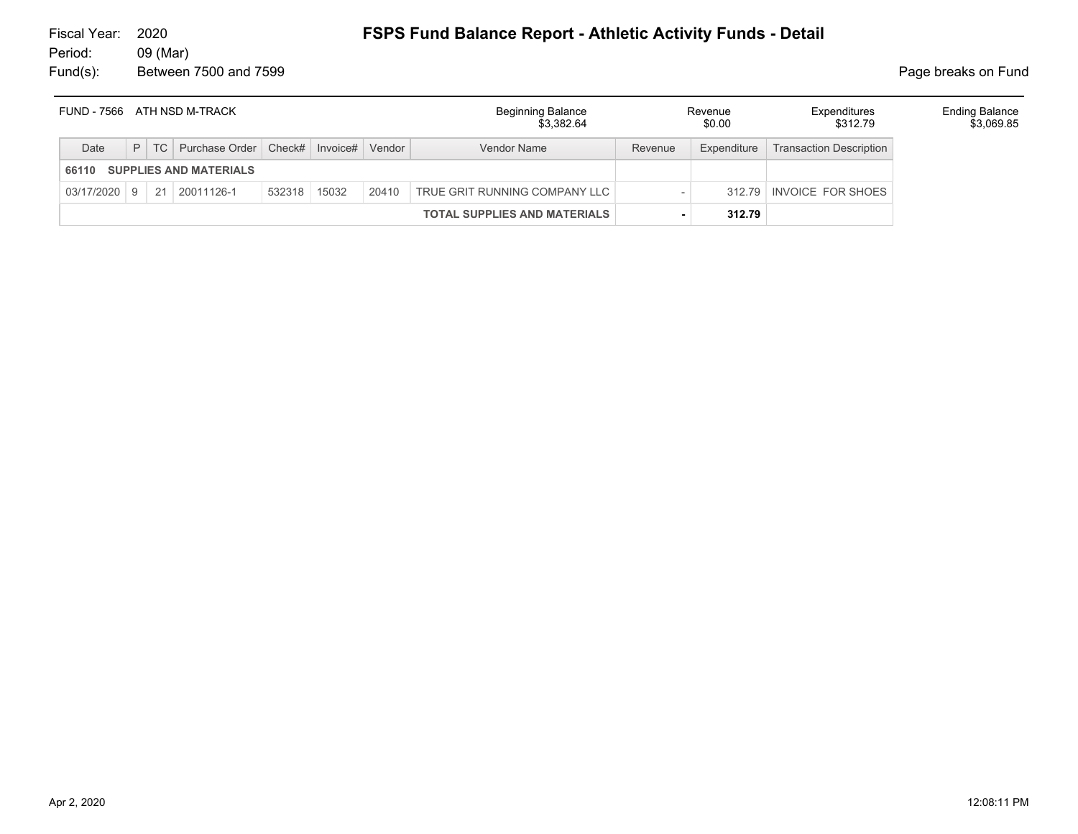| FUND - 7566 ATH NSD M-TRACK            |  |  |                                             |        |       |        | <b>Beginning Balance</b><br>\$3.382.64 | Revenue<br>\$0.00 |             | Expenditures<br>\$312.79       | <b>Ending Balance</b><br>\$3,069.85 |
|----------------------------------------|--|--|---------------------------------------------|--------|-------|--------|----------------------------------------|-------------------|-------------|--------------------------------|-------------------------------------|
| Date                                   |  |  | P   TC   Purchase Order   Check#   Invoice# |        |       | Vendor | Vendor Name                            | Revenue           | Expenditure | <b>Transaction Description</b> |                                     |
| <b>SUPPLIES AND MATERIALS</b><br>66110 |  |  |                                             |        |       |        |                                        |                   |             |                                |                                     |
|                                        |  |  | $03/17/2020$   9   21   20011126-1          | 532318 | 15032 | 20410  | TRUE GRIT RUNNING COMPANY LLC          |                   |             | 312.79 INVOICE FOR SHOES       |                                     |
|                                        |  |  |                                             |        |       |        | <b>TOTAL SUPPLIES AND MATERIALS</b>    |                   | 312.79      |                                |                                     |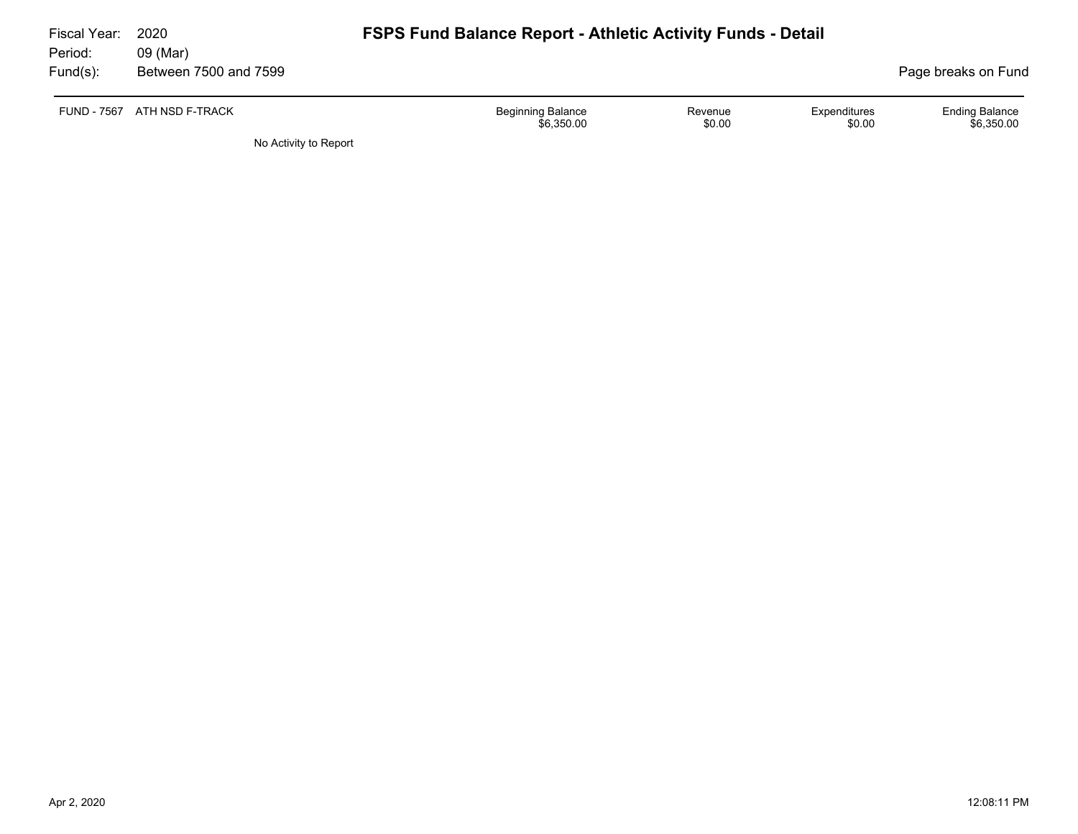| Fiscal Year:        | 2020                              | <b>FSPS Fund Balance Report - Athletic Activity Funds - Detail</b> |                   |                        |                                     |  |  |  |
|---------------------|-----------------------------------|--------------------------------------------------------------------|-------------------|------------------------|-------------------------------------|--|--|--|
| Period:<br>Fund(s): | 09 (Mar)<br>Between 7500 and 7599 |                                                                    |                   |                        | Page breaks on Fund                 |  |  |  |
|                     | FUND - 7567 ATH NSD F-TRACK       | <b>Beginning Balance</b><br>\$6,350.00                             | Revenue<br>\$0.00 | Expenditures<br>\$0.00 | <b>Ending Balance</b><br>\$6,350.00 |  |  |  |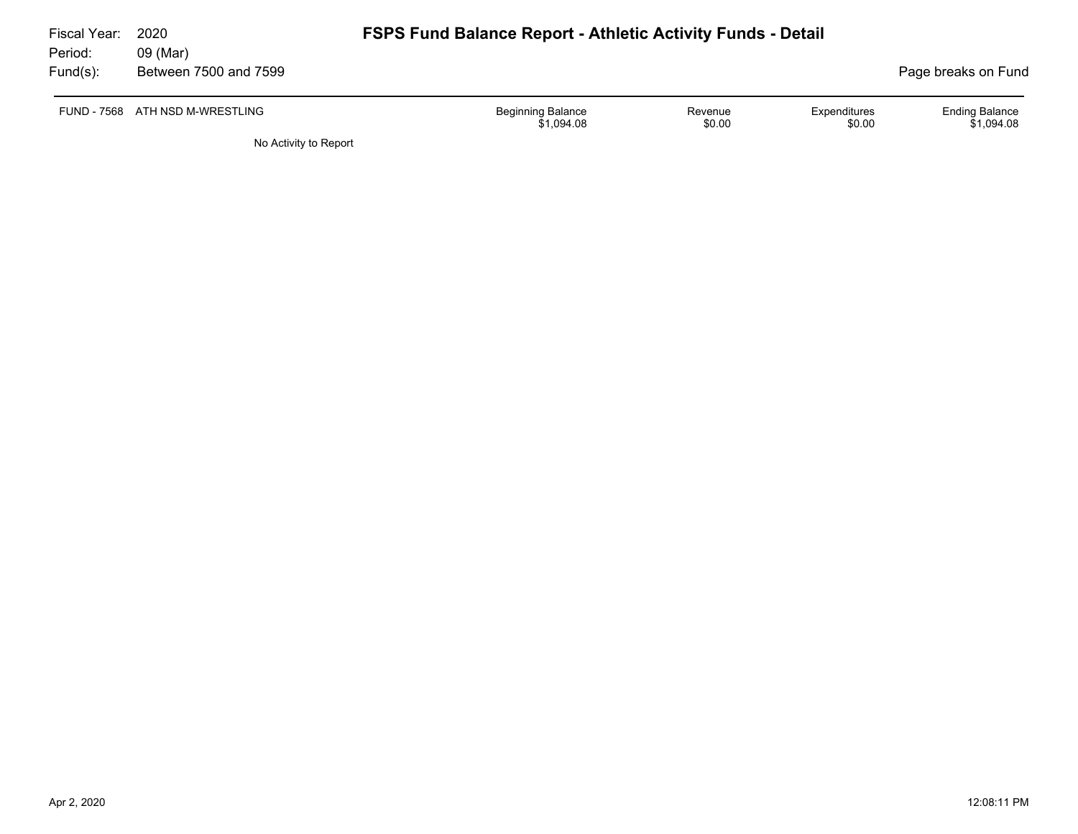| Fiscal Year: | 2020                            | <b>FSPS Fund Balance Report - Athletic Activity Funds - Detail</b> |                   |                        |                                     |  |  |  |
|--------------|---------------------------------|--------------------------------------------------------------------|-------------------|------------------------|-------------------------------------|--|--|--|
| Period:      | 09 (Mar)                        |                                                                    |                   |                        |                                     |  |  |  |
| Fund(s):     | Between 7500 and 7599           |                                                                    |                   |                        | Page breaks on Fund                 |  |  |  |
|              | FUND - 7568 ATH NSD M-WRESTLING | <b>Beginning Balance</b><br>\$1,094.08                             | Revenue<br>\$0.00 | Expenditures<br>\$0.00 | <b>Ending Balance</b><br>\$1,094.08 |  |  |  |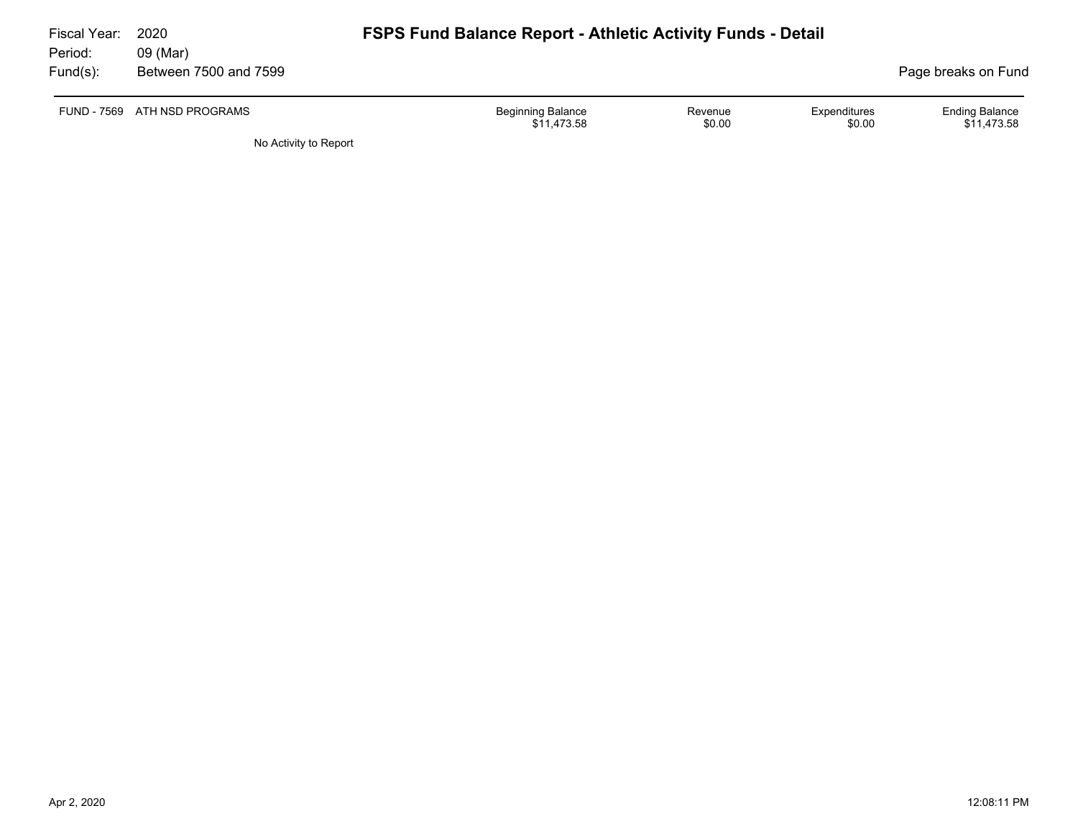| Fiscal Year:<br>Period: | 2020<br>09 (Mar)             | <b>FSPS Fund Balance Report - Athletic Activity Funds - Detail</b> |                   |                        |                                      |  |  |  |
|-------------------------|------------------------------|--------------------------------------------------------------------|-------------------|------------------------|--------------------------------------|--|--|--|
| Fund(s):                | Between 7500 and 7599        |                                                                    |                   |                        | Page breaks on Fund                  |  |  |  |
|                         | FUND - 7569 ATH NSD PROGRAMS | <b>Beginning Balance</b><br>\$11.473.58                            | Revenue<br>\$0.00 | Expenditures<br>\$0.00 | <b>Ending Balance</b><br>\$11,473.58 |  |  |  |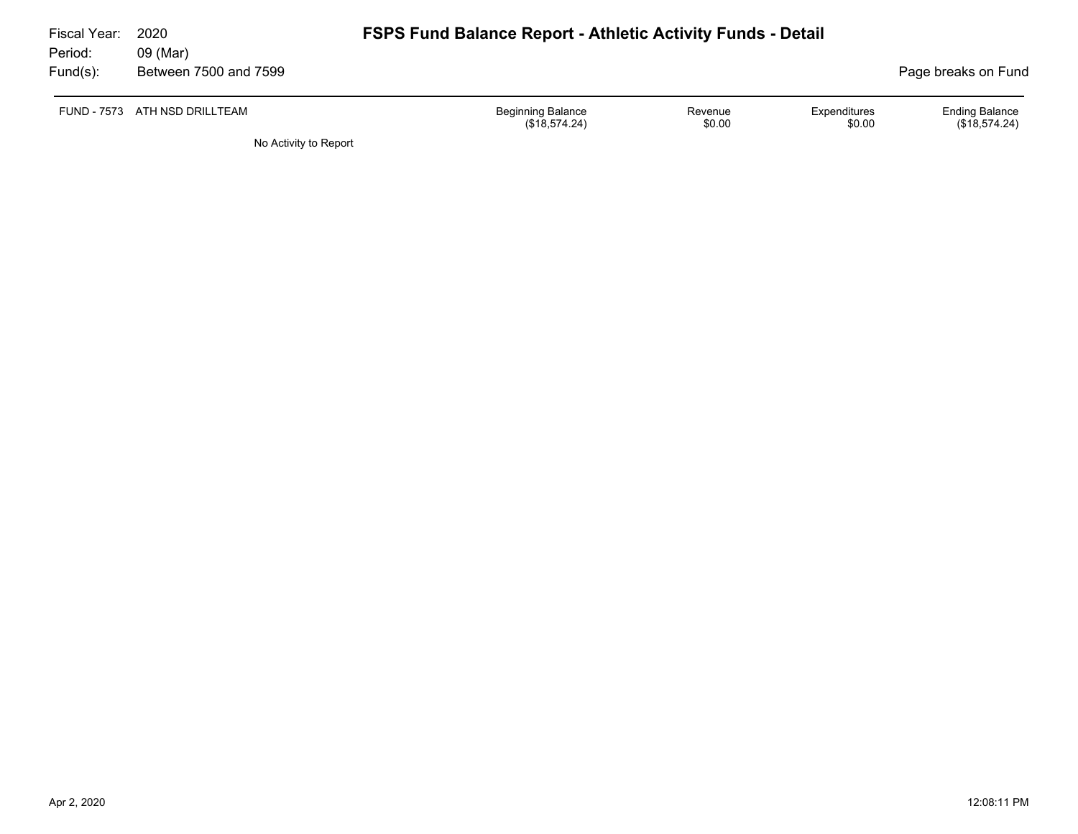| Fiscal Year:<br>Period: | 2020<br>09 (Mar)              | <b>FSPS Fund Balance Report - Athletic Activity Funds - Detail</b> |                   |                        |                                        |
|-------------------------|-------------------------------|--------------------------------------------------------------------|-------------------|------------------------|----------------------------------------|
| $Fund(s)$ :             | Between 7500 and 7599         |                                                                    |                   |                        | Page breaks on Fund                    |
|                         | FUND - 7573 ATH NSD DRILLTEAM | <b>Beginning Balance</b><br>(\$18,574.24)                          | Revenue<br>\$0.00 | Expenditures<br>\$0.00 | <b>Ending Balance</b><br>(\$18,574.24) |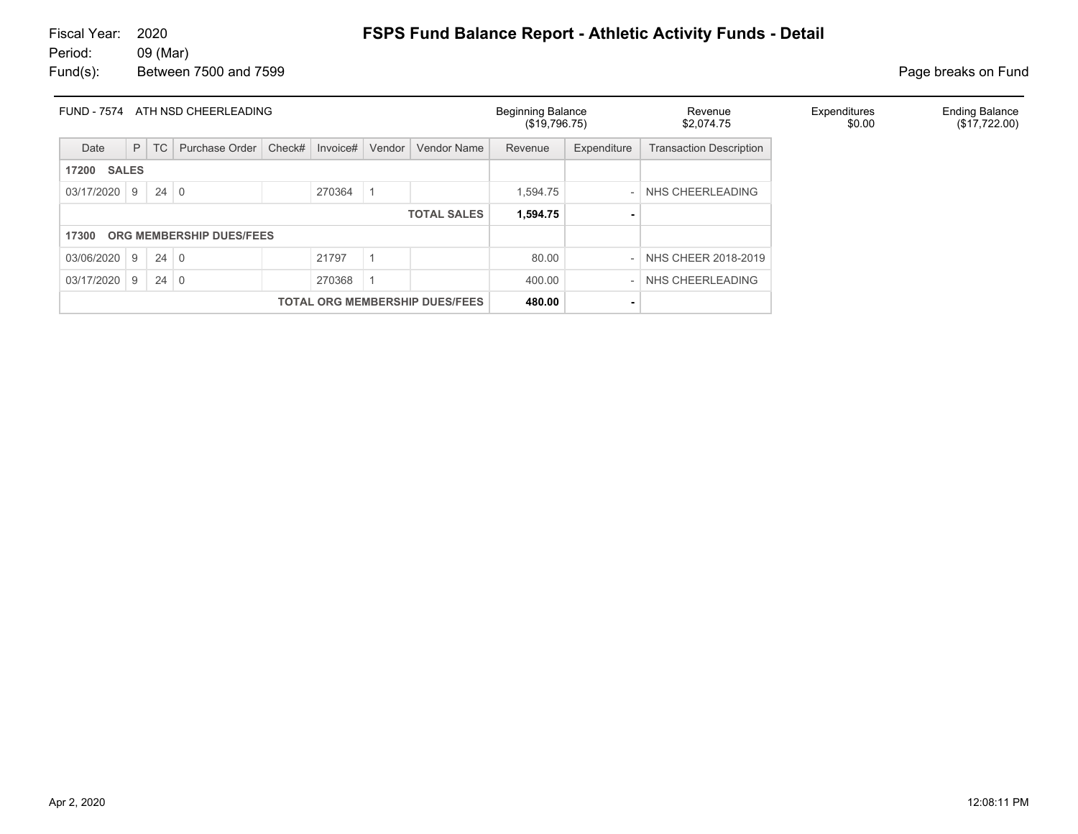| <b>FUND - 7574</b>                                 | ATH NSD CHEERLEADING                  |        |                          |        |          |        |                    |          | <b>Beginning Balance</b><br>(\$19,796.75) | Revenue<br>\$2,074.75          | Expenditures<br>\$0.00 | <b>Ending Balance</b><br>(\$17,722.00) |
|----------------------------------------------------|---------------------------------------|--------|--------------------------|--------|----------|--------|--------------------|----------|-------------------------------------------|--------------------------------|------------------------|----------------------------------------|
| Date                                               |                                       | $P$ TC | Purchase Order           | Check# | Invoice# | Vendor | Vendor Name        | Revenue  | Expenditure                               | <b>Transaction Description</b> |                        |                                        |
| 17200                                              | <b>SALES</b>                          |        |                          |        |          |        |                    |          |                                           |                                |                        |                                        |
| 03/17/2020 9                                       |                                       | 24     | $\overline{0}$           |        | 270364   |        |                    | 1.594.75 |                                           | NHS CHEERLEADING               |                        |                                        |
|                                                    |                                       |        |                          |        |          |        | <b>TOTAL SALES</b> | 1,594.75 |                                           |                                |                        |                                        |
| 17300                                              |                                       |        | ORG MEMBERSHIP DUES/FEES |        |          |        |                    |          |                                           |                                |                        |                                        |
| 03/06/2020                                         | 24<br>21797<br>9<br>$\overline{0}$    |        |                          |        |          |        |                    | 80.00    |                                           | NHS CHEER 2018-2019            |                        |                                        |
| 03/17/2020<br>270368<br>24<br>$\overline{0}$<br>-9 |                                       |        |                          |        |          |        |                    | 400.00   |                                           | NHS CHEERLEADING               |                        |                                        |
|                                                    | <b>TOTAL ORG MEMBERSHIP DUES/FEES</b> |        |                          |        |          |        |                    | 480.00   | ٠                                         |                                |                        |                                        |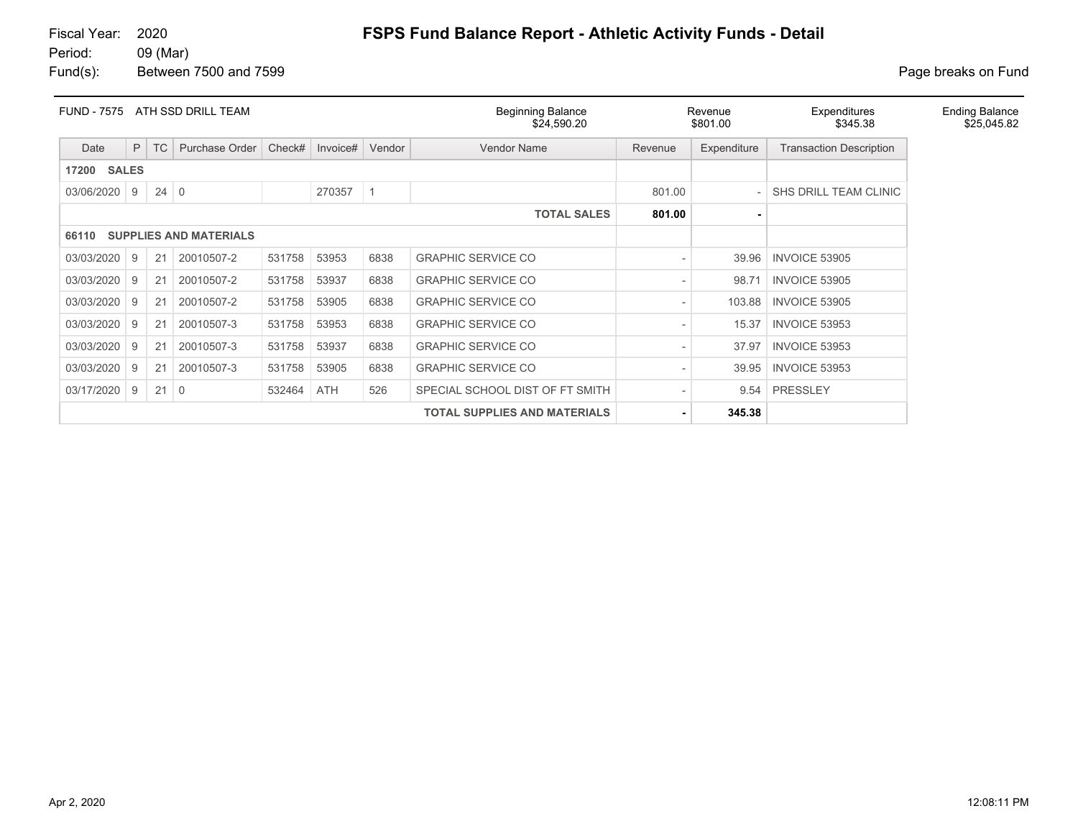| <b>FUND - 7575</b> | ATH SSD DRILL TEAM |             |                               |        |          |        | <b>Beginning Balance</b><br>\$24,590.20 |         | Revenue<br>\$801.00 | Expenditures<br>\$345.38       | <b>Ending Balance</b><br>\$25,045.82 |
|--------------------|--------------------|-------------|-------------------------------|--------|----------|--------|-----------------------------------------|---------|---------------------|--------------------------------|--------------------------------------|
| Date               | P                  | <b>TC</b>   | Purchase Order                | Check# | Invoice# | Vendor | <b>Vendor Name</b>                      | Revenue | Expenditure         | <b>Transaction Description</b> |                                      |
| 17200              | <b>SALES</b>       |             |                               |        |          |        |                                         |         |                     |                                |                                      |
| 03/06/2020         | 9                  | $24 \mid 0$ |                               |        | 270357   |        |                                         | 801.00  |                     | SHS DRILL TEAM CLINIC          |                                      |
|                    |                    |             |                               |        |          |        | <b>TOTAL SALES</b>                      | 801.00  |                     |                                |                                      |
| 66110              |                    |             | <b>SUPPLIES AND MATERIALS</b> |        |          |        |                                         |         |                     |                                |                                      |
| 03/03/2020         | 9                  | 21          | 20010507-2                    | 531758 | 53953    | 6838   | <b>GRAPHIC SERVICE CO</b>               |         | 39.96               | <b>INVOICE 53905</b>           |                                      |
| 03/03/2020         | 9                  | 21          | 20010507-2                    | 531758 | 53937    | 6838   | <b>GRAPHIC SERVICE CO</b>               |         | 98.71               | <b>INVOICE 53905</b>           |                                      |
| 03/03/2020         | 9                  | 21          | 20010507-2                    | 531758 | 53905    | 6838   | <b>GRAPHIC SERVICE CO</b>               |         | 103.88              | <b>INVOICE 53905</b>           |                                      |
| 03/03/2020         | 9                  | 21          | 20010507-3                    | 531758 | 53953    | 6838   | <b>GRAPHIC SERVICE CO</b>               |         | 15.37               | INVOICE 53953                  |                                      |
| 03/03/2020         | 9                  | 21          | 20010507-3                    | 531758 | 53937    | 6838   | <b>GRAPHIC SERVICE CO</b>               |         | 37.97               | <b>INVOICE 53953</b>           |                                      |
| 03/03/2020         | 9                  | 21          | 20010507-3                    | 531758 | 53905    | 6838   | <b>GRAPHIC SERVICE CO</b>               |         | 39.95               | <b>INVOICE 53953</b>           |                                      |
| 03/17/2020         | 9                  | $21 \mid 0$ |                               | 532464 | ATH      | 526    | SPECIAL SCHOOL DIST OF FT SMITH         |         | 9.54                | <b>PRESSLEY</b>                |                                      |
|                    |                    |             |                               |        |          |        | <b>TOTAL SUPPLIES AND MATERIALS</b>     |         | 345.38              |                                |                                      |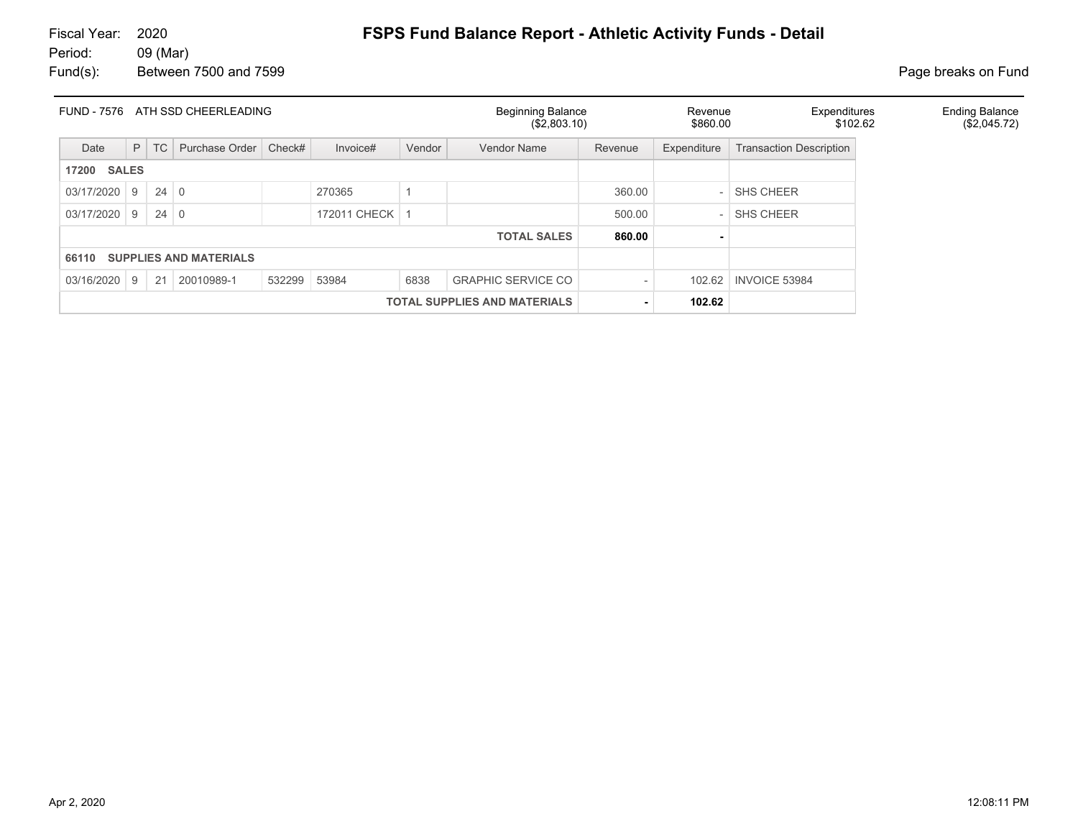# 09 (Mar)

# Fiscal Year: 2020 **FSPS Fund Balance Report - Athletic Activity Funds - Detail**<br>Period: 09 (Mar)

| <b>FUND - 7576</b>    |    |                         | ATH SSD CHEERLEADING          |        |                  |        | <b>Beginning Balance</b><br>(\$2,803.10) |         | Revenue<br>\$860.00      | Expenditures<br>\$102.62       | <b>Ending Balance</b><br>(\$2,045.72) |
|-----------------------|----|-------------------------|-------------------------------|--------|------------------|--------|------------------------------------------|---------|--------------------------|--------------------------------|---------------------------------------|
| Date                  | P  | $\mathsf{T} \mathsf{C}$ | Purchase Order                | Check# | Invoice#         | Vendor | <b>Vendor Name</b>                       | Revenue | Expenditure              | <b>Transaction Description</b> |                                       |
| <b>SALES</b><br>17200 |    |                         |                               |        |                  |        |                                          |         |                          |                                |                                       |
| 03/17/2020 9          |    | 24                      | $\overline{0}$                |        | 270365           |        |                                          | 360.00  | $\overline{\phantom{a}}$ | <b>SHS CHEER</b>               |                                       |
| 03/17/2020 9          |    | 24                      | $\Omega$                      |        | 172011 CHECK   1 |        |                                          | 500.00  | $\overline{a}$           | <b>SHS CHEER</b>               |                                       |
|                       |    |                         |                               |        |                  |        | <b>TOTAL SALES</b>                       | 860.00  |                          |                                |                                       |
| 66110                 |    |                         | <b>SUPPLIES AND MATERIALS</b> |        |                  |        |                                          |         |                          |                                |                                       |
| 03/16/2020            | -9 | 21                      | 20010989-1                    | 532299 | 53984            | 6838   | <b>GRAPHIC SERVICE CO</b>                |         | 102.62                   | <b>INVOICE 53984</b>           |                                       |
|                       |    |                         |                               |        |                  |        | <b>TOTAL SUPPLIES AND MATERIALS</b>      |         | 102.62                   |                                |                                       |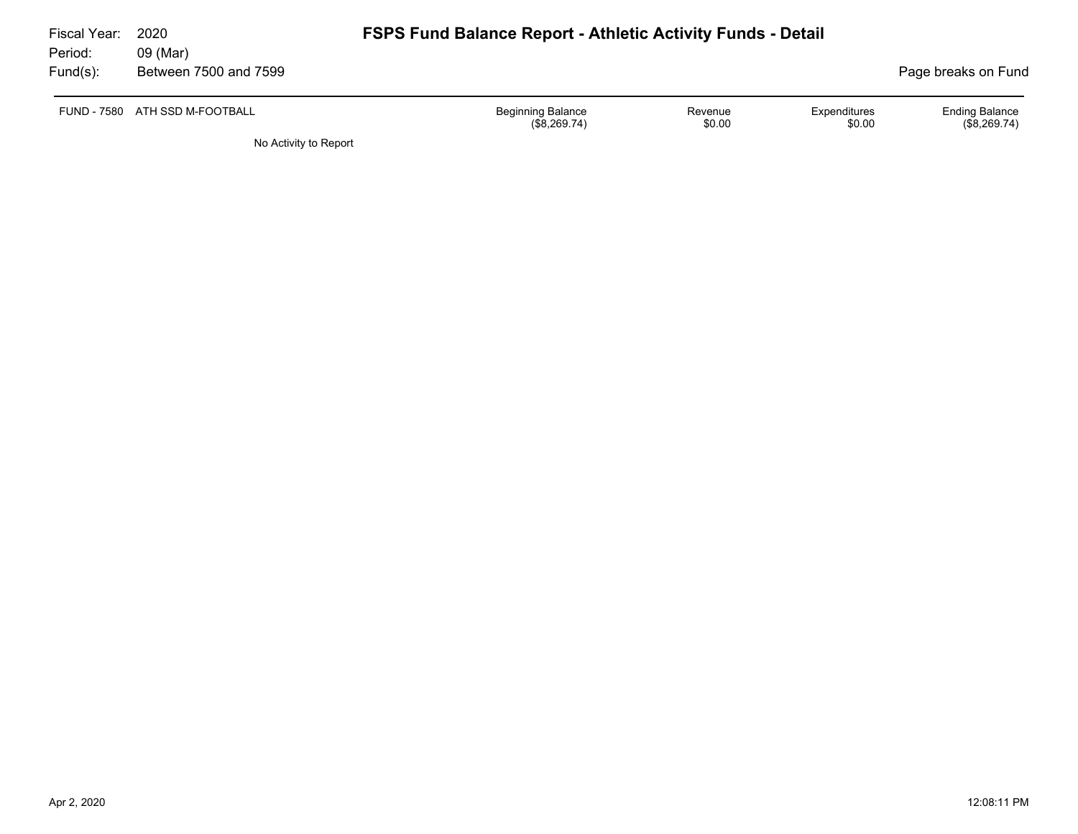| Fiscal Year:<br>Period: | 2020<br>09 (Mar)               | <b>FSPS Fund Balance Report - Athletic Activity Funds - Detail</b> |                   |                        |                                       |
|-------------------------|--------------------------------|--------------------------------------------------------------------|-------------------|------------------------|---------------------------------------|
| Fund(s):                | Between 7500 and 7599          |                                                                    |                   |                        | Page breaks on Fund                   |
|                         | FUND - 7580 ATH SSD M-FOOTBALL | <b>Beginning Balance</b><br>(\$8,269.74)                           | Revenue<br>\$0.00 | Expenditures<br>\$0.00 | <b>Ending Balance</b><br>(\$8,269.74) |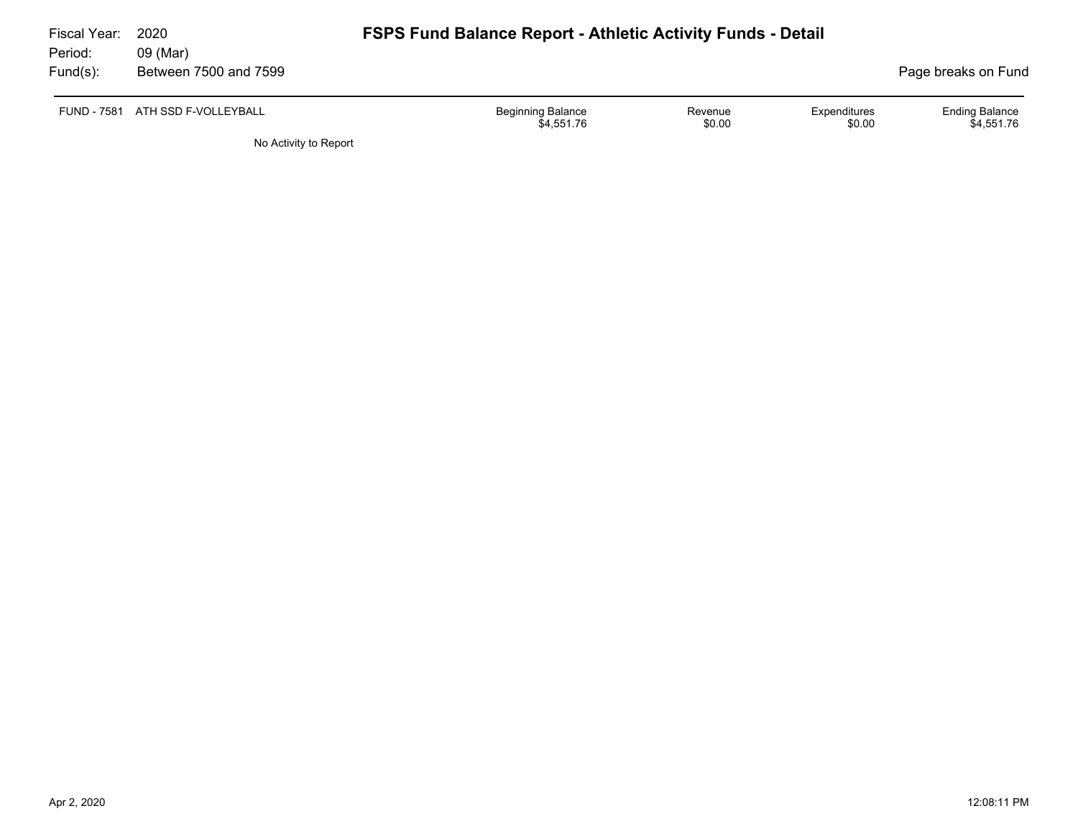| Fiscal Year: | 2020                             | <b>FSPS Fund Balance Report - Athletic Activity Funds - Detail</b> |                   |                        |                                     |
|--------------|----------------------------------|--------------------------------------------------------------------|-------------------|------------------------|-------------------------------------|
| Period:      | 09 (Mar)                         |                                                                    |                   |                        |                                     |
| Fund(s):     | Between 7500 and 7599            |                                                                    |                   |                        | Page breaks on Fund                 |
|              | FUND - 7581 ATH SSD F-VOLLEYBALL | <b>Beginning Balance</b><br>\$4,551.76                             | Revenue<br>\$0.00 | Expenditures<br>\$0.00 | <b>Ending Balance</b><br>\$4,551.76 |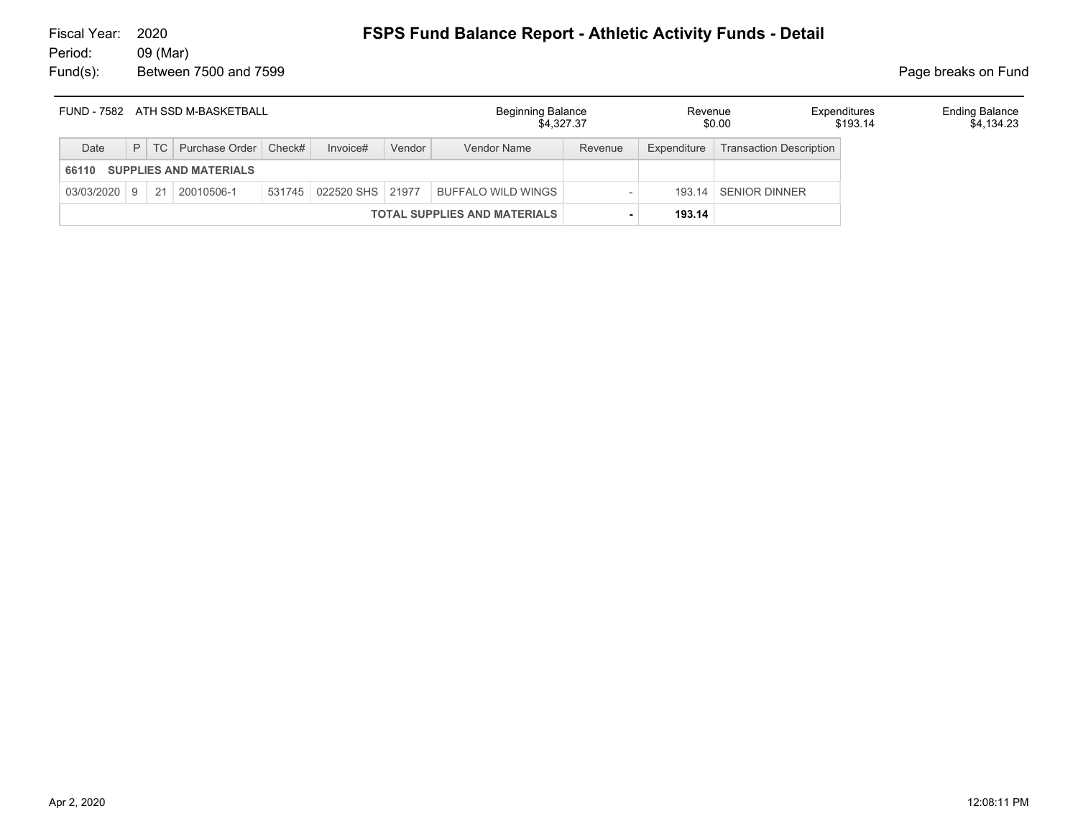|            |  | FUND - 7582 ATH SSD M-BASKETBALL |                         |        | Beginning Balance<br>\$4.327.37     |         | Revenue     | \$0.00                  | Expenditures<br>\$193.14 | <b>Ending Balance</b><br>\$4.134.23 |
|------------|--|----------------------------------|-------------------------|--------|-------------------------------------|---------|-------------|-------------------------|--------------------------|-------------------------------------|
| Date       |  | P   TC   Purchase Order   Check# | Invoice#                | Vendor | Vendor Name                         | Revenue | Expenditure | Transaction Description |                          |                                     |
| 66110      |  | <b>SUPPLIES AND MATERIALS</b>    |                         |        |                                     |         |             |                         |                          |                                     |
| 03/03/2020 |  | $9 \mid 21 \mid 20010506 - 1$    | 531745 022520 SHS 21977 |        | BUFFALO WILD WINGS                  |         |             | 193.14 SENIOR DINNER    |                          |                                     |
|            |  |                                  |                         |        | <b>TOTAL SUPPLIES AND MATERIALS</b> |         | 193.14      |                         |                          |                                     |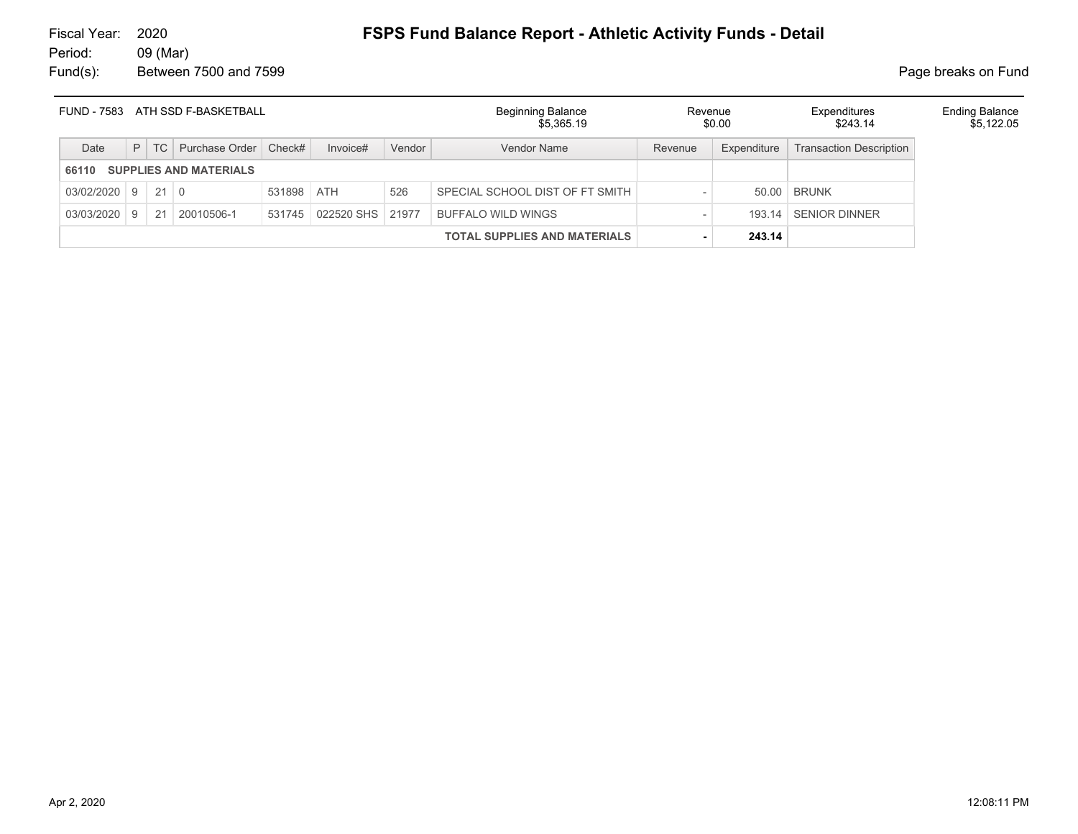|                     |              |        | FUND - 7583 ATH SSD F-BASKETBALL |            |                  |        | <b>Beginning Balance</b><br>\$5.365.19 | Revenue | \$0.00      | Expenditures<br>\$243.14       | <b>Ending Balance</b><br>\$5,122.05 |
|---------------------|--------------|--------|----------------------------------|------------|------------------|--------|----------------------------------------|---------|-------------|--------------------------------|-------------------------------------|
| Date                |              | $P$ TC | Purchase Order   Check#          |            | Invoice#         | Vendor | Vendor Name                            | Revenue | Expenditure | <b>Transaction Description</b> |                                     |
| 66110               |              |        | <b>SUPPLIES AND MATERIALS</b>    |            |                  |        |                                        |         |             |                                |                                     |
| $03/02/2020$ 9 21 0 |              |        |                                  | 531898 ATH |                  | 526    | SPECIAL SCHOOL DIST OF FT SMITH        |         |             | 50.00 BRUNK                    |                                     |
| 03/03/2020          | $^{\circ}$ 9 | 21     | 20010506-1                       | 531745     | 022520 SHS 21977 |        | <b>BUFFALO WILD WINGS</b>              |         | 193.14      | <b>SENIOR DINNER</b>           |                                     |
|                     |              |        |                                  |            |                  |        | <b>TOTAL SUPPLIES AND MATERIALS</b>    |         | 243.14      |                                |                                     |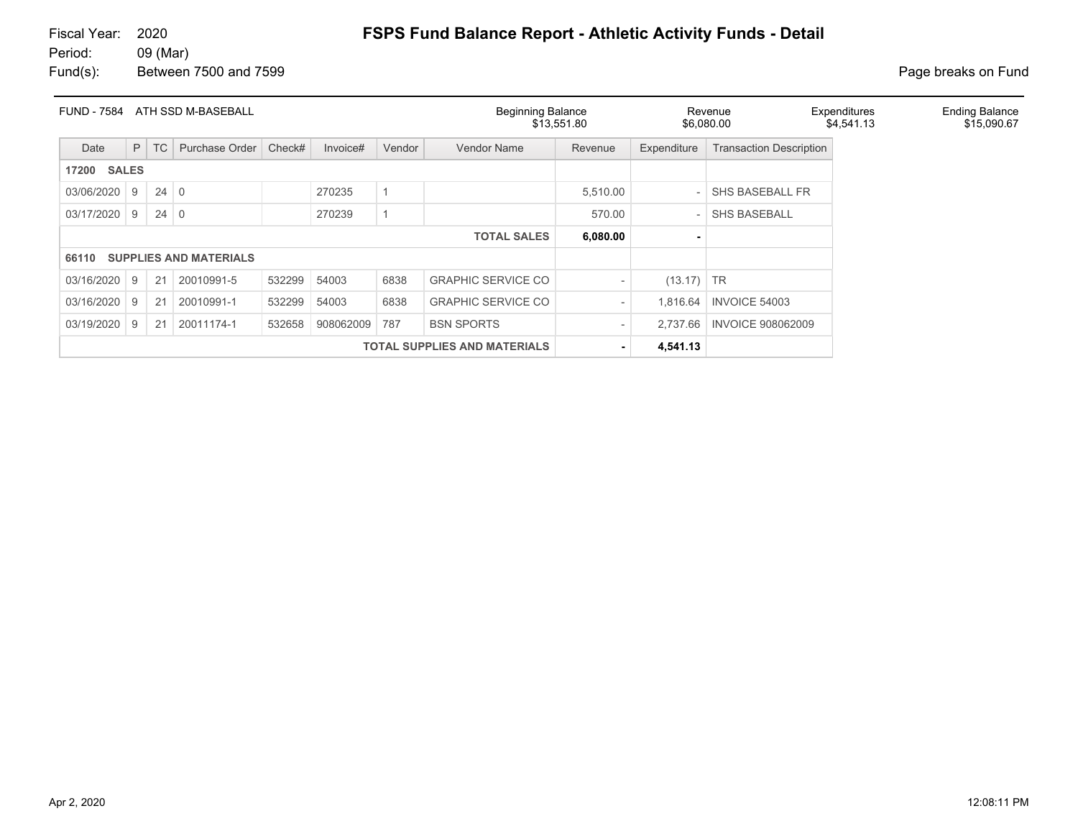| <b>FUND - 7584</b>    |    |           | ATH SSD M-BASEBALL            |        |           |        | <b>Beginning Balance</b>            | \$13,551.80     |             | Revenue<br>\$6,080.00          | Expenditures<br>\$4,541.13 | <b>Ending Balance</b><br>\$15,090.67 |
|-----------------------|----|-----------|-------------------------------|--------|-----------|--------|-------------------------------------|-----------------|-------------|--------------------------------|----------------------------|--------------------------------------|
| Date                  | P  | <b>TC</b> | Purchase Order                | Check# | Invoice#  | Vendor | Vendor Name                         | Revenue         | Expenditure | <b>Transaction Description</b> |                            |                                      |
| <b>SALES</b><br>17200 |    |           |                               |        |           |        |                                     |                 |             |                                |                            |                                      |
| 03/06/2020            | 9  | 24        | $\overline{0}$                |        | 270235    |        |                                     | 5.510.00        |             | <b>SHS BASEBALL FR</b>         |                            |                                      |
| 03/17/2020            | -9 | 24        | $\Omega$                      |        | 270239    |        |                                     | 570.00          |             | <b>SHS BASEBALL</b>            |                            |                                      |
|                       |    |           |                               |        |           |        | <b>TOTAL SALES</b>                  | 6,080.00        |             |                                |                            |                                      |
| 66110                 |    |           | <b>SUPPLIES AND MATERIALS</b> |        |           |        |                                     |                 |             |                                |                            |                                      |
| 03/16/2020            | 9  | 21        | 20010991-5                    | 532299 | 54003     | 6838   | <b>GRAPHIC SERVICE CO</b>           |                 | (13.17)     | $\overline{\phantom{a}}$ TR    |                            |                                      |
| 03/16/2020            | -9 | 21        | 20010991-1                    | 532299 | 54003     | 6838   | <b>GRAPHIC SERVICE CO</b>           |                 | 1,816.64    | <b>INVOICE 54003</b>           |                            |                                      |
| 03/19/2020            | 9  | 21        | 20011174-1                    | 532658 | 908062009 | 787    | <b>BSN SPORTS</b>                   | $\qquad \qquad$ | 2.737.66    | <b>INVOICE 908062009</b>       |                            |                                      |
|                       |    |           |                               |        |           |        | <b>TOTAL SUPPLIES AND MATERIALS</b> |                 | 4,541.13    |                                |                            |                                      |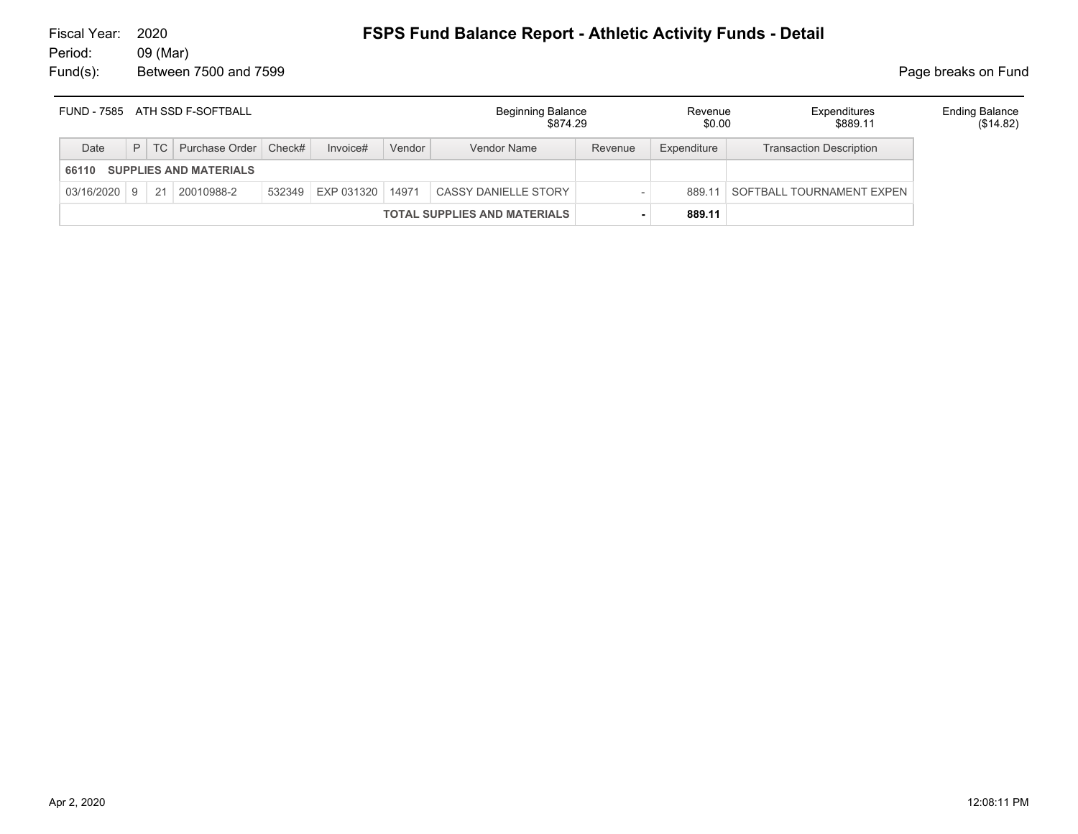|       |  | FUND - 7585 ATH SSD F-SOFTBALL     |                   |        | <b>Beginning Balance</b><br>\$874.29 |         | Revenue<br>\$0.00 | Expenditures<br>\$889.11       | <b>Ending Balance</b><br>(\$14.82) |
|-------|--|------------------------------------|-------------------|--------|--------------------------------------|---------|-------------------|--------------------------------|------------------------------------|
| Date  |  | P   TC   Purchase Order   Check#   | Invoice#          | Vendor | Vendor Name                          | Revenue | Expenditure       | <b>Transaction Description</b> |                                    |
| 66110 |  | <b>SUPPLIES AND MATERIALS</b>      |                   |        |                                      |         |                   |                                |                                    |
|       |  | $03/16/2020$   9   21   20010988-2 | 532349 EXP 031320 | 14971  | CASSY DANIELLE STORY                 |         | 889 11            | SOFTBALL TOURNAMENT EXPEN      |                                    |
|       |  |                                    |                   |        | <b>TOTAL SUPPLIES AND MATERIALS</b>  |         | 889.11            |                                |                                    |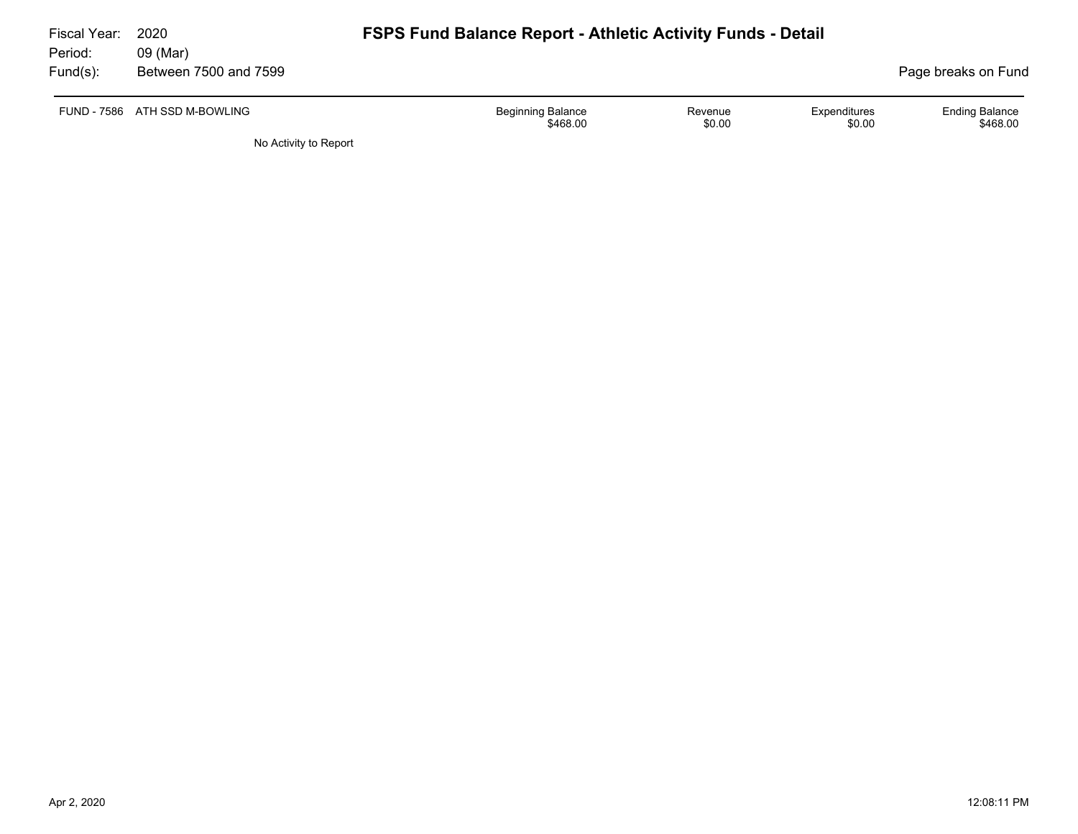| Fiscal Year: | 2020                          | <b>FSPS Fund Balance Report - Athletic Activity Funds - Detail</b> |                                      |                   |                        |                                   |  |  |  |  |
|--------------|-------------------------------|--------------------------------------------------------------------|--------------------------------------|-------------------|------------------------|-----------------------------------|--|--|--|--|
| Period:      | 09 (Mar)                      |                                                                    |                                      |                   |                        |                                   |  |  |  |  |
| Fund(s):     | Between 7500 and 7599         |                                                                    |                                      |                   |                        | Page breaks on Fund               |  |  |  |  |
|              | FUND - 7586 ATH SSD M-BOWLING |                                                                    | <b>Beginning Balance</b><br>\$468.00 | Revenue<br>\$0.00 | Expenditures<br>\$0.00 | <b>Ending Balance</b><br>\$468.00 |  |  |  |  |
|              | No Activity to Report         |                                                                    |                                      |                   |                        |                                   |  |  |  |  |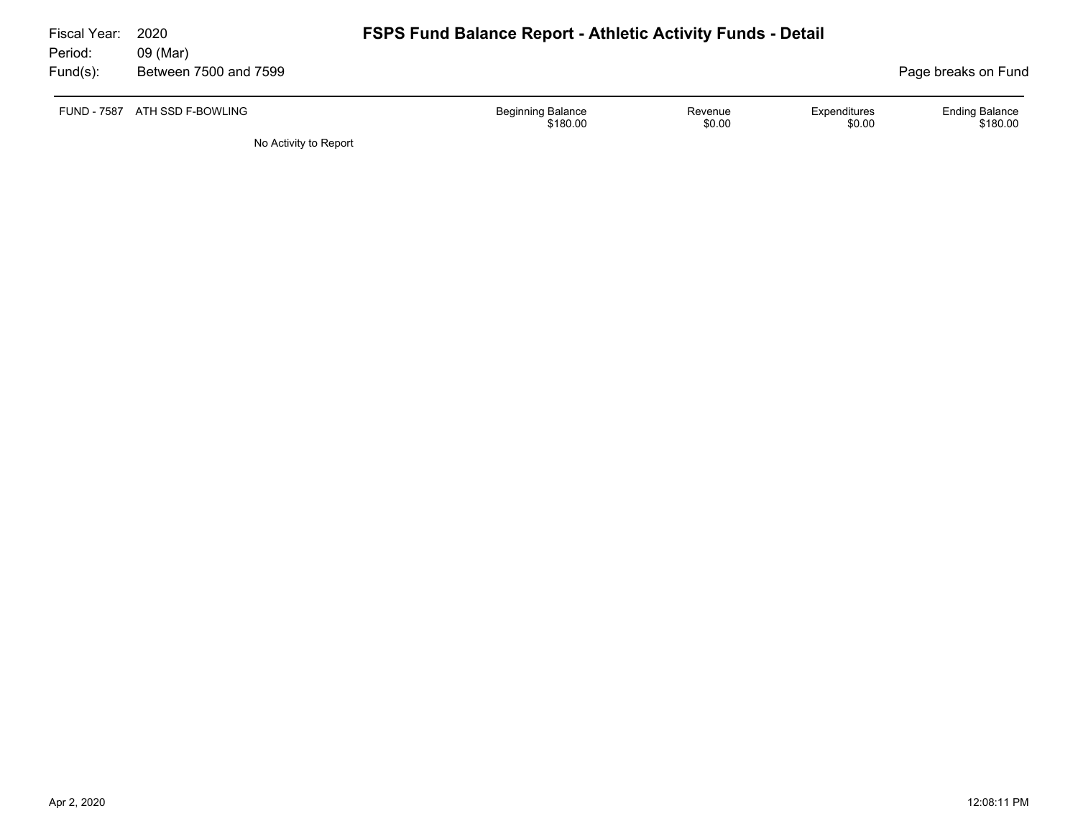| Fiscal Year: | 2020                          | <b>FSPS Fund Balance Report - Athletic Activity Funds - Detail</b> |                   |                        |                                   |  |  |  |  |
|--------------|-------------------------------|--------------------------------------------------------------------|-------------------|------------------------|-----------------------------------|--|--|--|--|
| Period:      | 09 (Mar)                      |                                                                    |                   |                        |                                   |  |  |  |  |
| Fund(s):     | Between 7500 and 7599         |                                                                    |                   |                        | Page breaks on Fund               |  |  |  |  |
|              | FUND - 7587 ATH SSD F-BOWLING | <b>Beginning Balance</b><br>\$180.00                               | Revenue<br>\$0.00 | Expenditures<br>\$0.00 | <b>Ending Balance</b><br>\$180.00 |  |  |  |  |
|              | No Activity to Report         |                                                                    |                   |                        |                                   |  |  |  |  |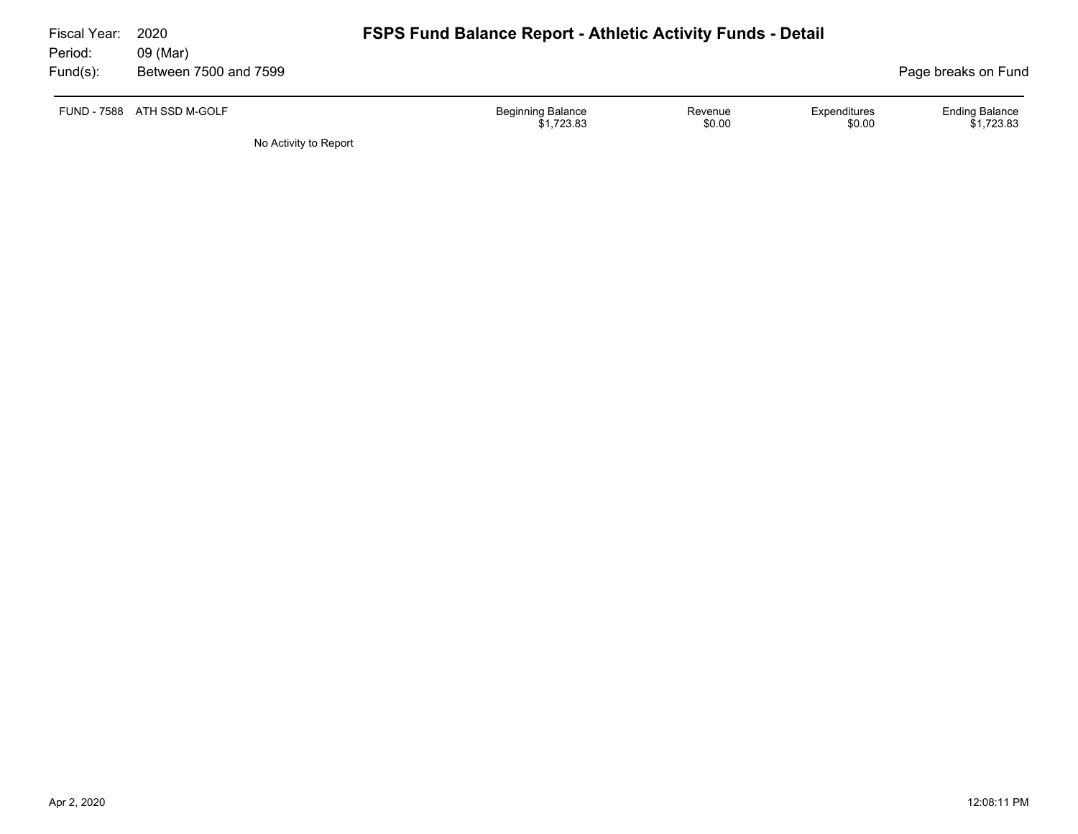| Fiscal Year:<br>Period: | 2020<br>09 (Mar)           | <b>FSPS Fund Balance Report - Athletic Activity Funds - Detail</b> |                   |                        |                                     |
|-------------------------|----------------------------|--------------------------------------------------------------------|-------------------|------------------------|-------------------------------------|
| Fund(s):                | Between 7500 and 7599      |                                                                    |                   |                        | Page breaks on Fund                 |
|                         | FUND - 7588 ATH SSD M-GOLF | <b>Beginning Balance</b><br>\$1,723.83                             | Revenue<br>\$0.00 | Expenditures<br>\$0.00 | <b>Ending Balance</b><br>\$1,723.83 |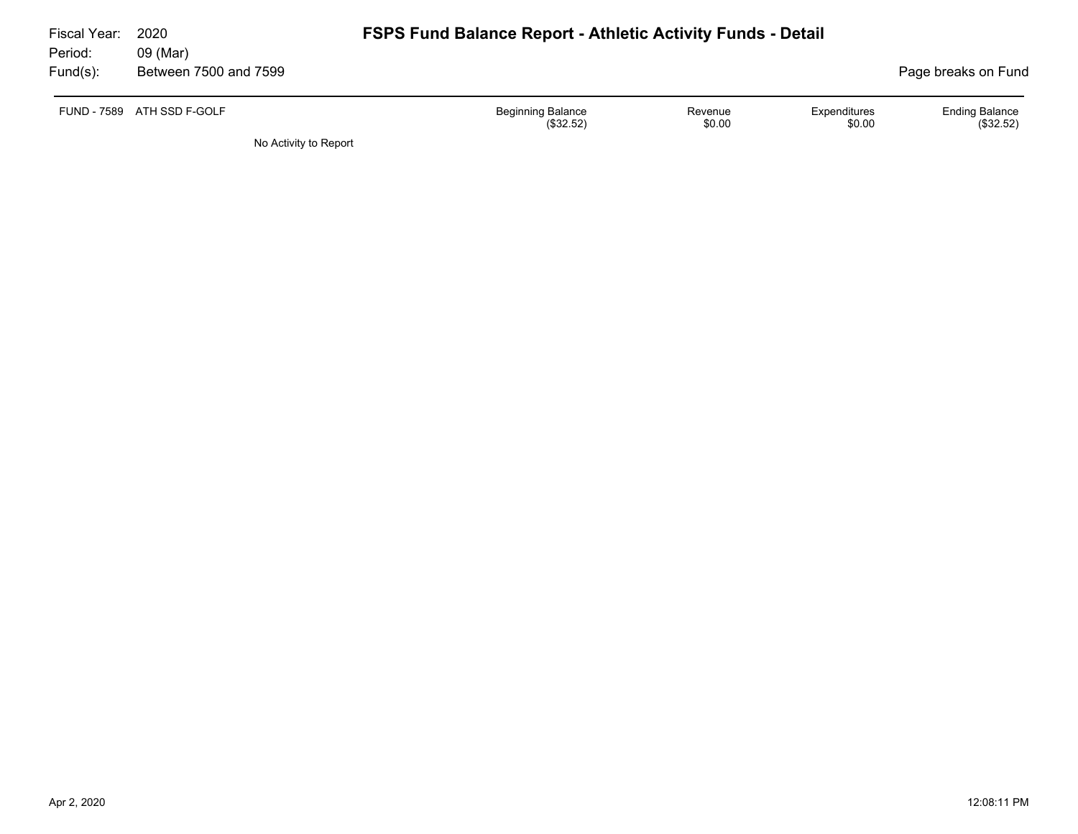| Fiscal Year: | 2020                       | <b>FSPS Fund Balance Report - Athletic Activity Funds - Detail</b> |                   |                        |                                    |  |  |
|--------------|----------------------------|--------------------------------------------------------------------|-------------------|------------------------|------------------------------------|--|--|
| Period:      | 09 (Mar)                   |                                                                    |                   |                        |                                    |  |  |
| $Fund(s)$ :  | Between 7500 and 7599      |                                                                    |                   |                        | Page breaks on Fund                |  |  |
|              | FUND - 7589 ATH SSD F-GOLF | <b>Beginning Balance</b><br>(\$32.52)                              | Revenue<br>\$0.00 | Expenditures<br>\$0.00 | <b>Ending Balance</b><br>(\$32.52) |  |  |
|              | No Activity to Report      |                                                                    |                   |                        |                                    |  |  |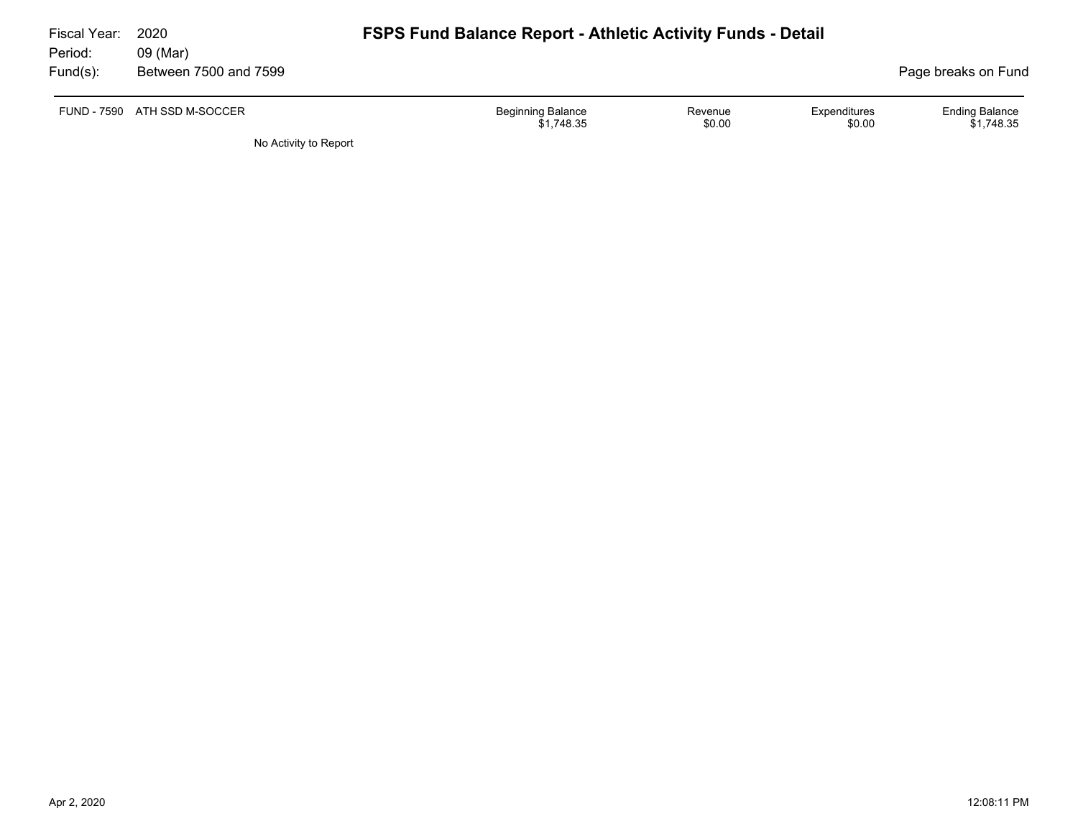| Fiscal Year:<br>Period:<br>Fund(s): | 2020<br>09 (Mar)<br>Between 7500 and 7599 |                                        | <b>FSPS Fund Balance Report - Athletic Activity Funds - Detail</b> |                        |                                     |  |  |
|-------------------------------------|-------------------------------------------|----------------------------------------|--------------------------------------------------------------------|------------------------|-------------------------------------|--|--|
| <b>FUND - 7590</b>                  | ATH SSD M-SOCCER                          | <b>Beginning Balance</b><br>\$1,748.35 | Revenue<br>\$0.00                                                  | Expenditures<br>\$0.00 | <b>Ending Balance</b><br>\$1,748.35 |  |  |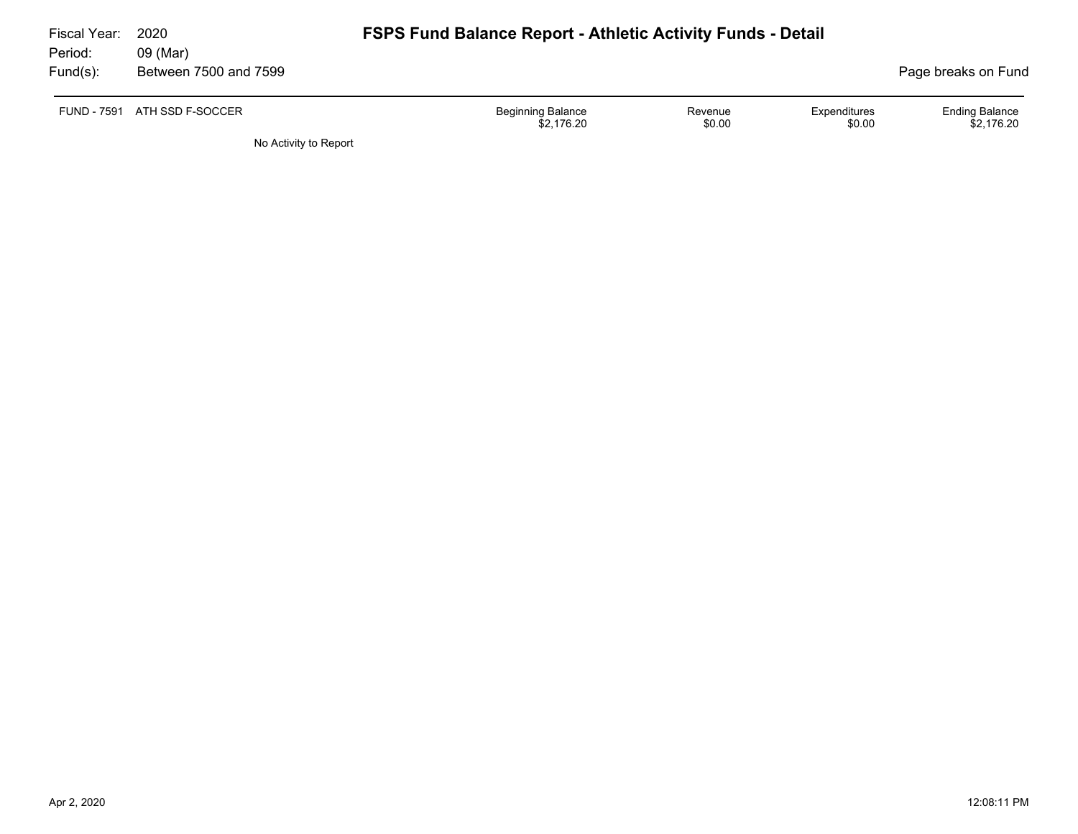| Fiscal Year:<br>Period: | 2020<br>09 (Mar)             | <b>FSPS Fund Balance Report - Athletic Activity Funds - Detail</b> |                   |                        |                                     |
|-------------------------|------------------------------|--------------------------------------------------------------------|-------------------|------------------------|-------------------------------------|
| Fund(s):                | Between 7500 and 7599        |                                                                    |                   |                        | Page breaks on Fund                 |
|                         | FUND - 7591 ATH SSD F-SOCCER | <b>Beginning Balance</b><br>\$2.176.20                             | Revenue<br>\$0.00 | Expenditures<br>\$0.00 | <b>Ending Balance</b><br>\$2.176.20 |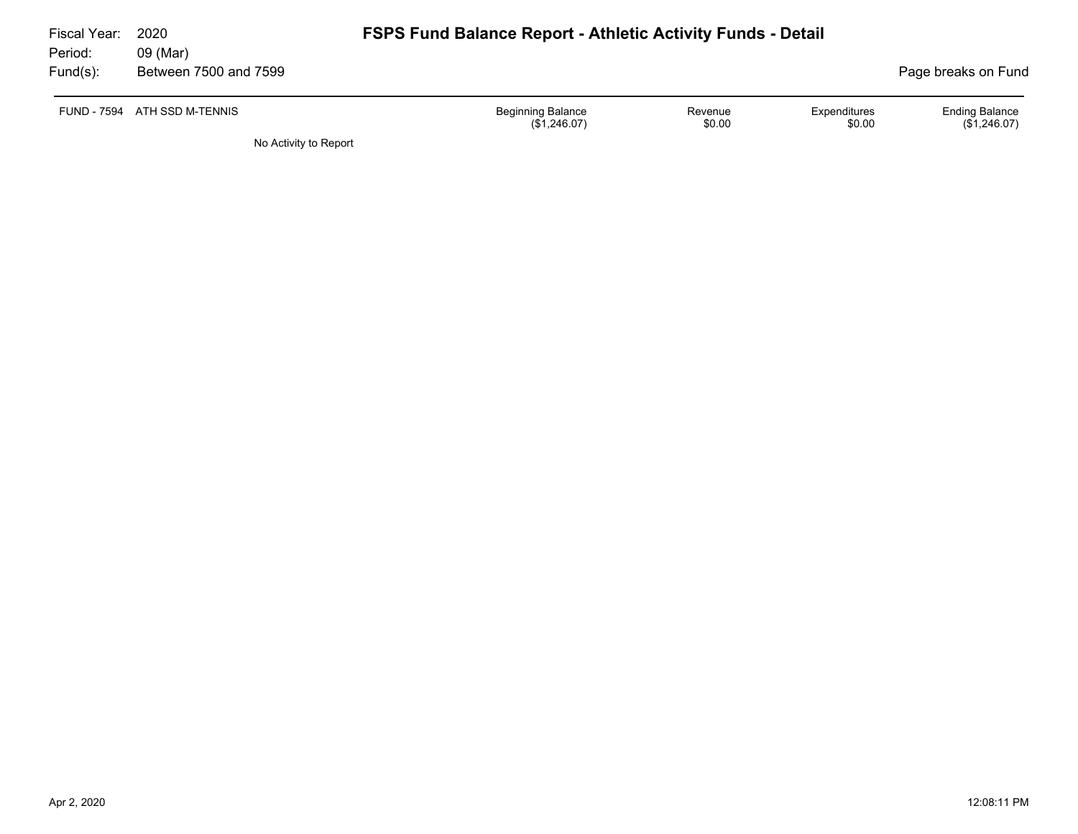| Fiscal Year:<br>Period: | 2020<br>09 (Mar)             | <b>FSPS Fund Balance Report - Athletic Activity Funds - Detail</b> |                   |                        |                                       |
|-------------------------|------------------------------|--------------------------------------------------------------------|-------------------|------------------------|---------------------------------------|
| Fund(s):                | Between 7500 and 7599        |                                                                    |                   |                        | Page breaks on Fund                   |
|                         | FUND - 7594 ATH SSD M-TENNIS | <b>Beginning Balance</b><br>(\$1,246.07)                           | Revenue<br>\$0.00 | Expenditures<br>\$0.00 | <b>Ending Balance</b><br>(\$1,246.07) |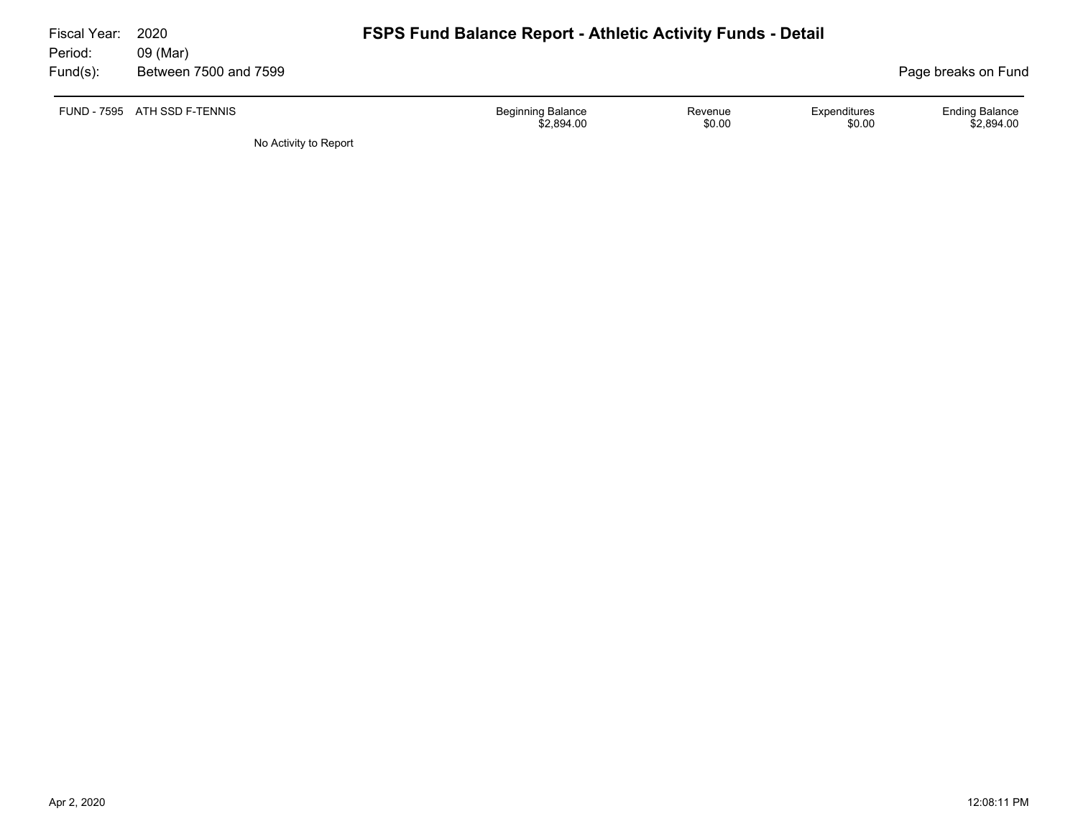| Fiscal Year: | 2020                         | <b>FSPS Fund Balance Report - Athletic Activity Funds - Detail</b> |                   |                        |                                     |
|--------------|------------------------------|--------------------------------------------------------------------|-------------------|------------------------|-------------------------------------|
| Period:      | 09 (Mar)                     |                                                                    |                   |                        |                                     |
| Fund(s):     | Between 7500 and 7599        |                                                                    |                   |                        | Page breaks on Fund                 |
|              | FUND - 7595 ATH SSD F-TENNIS | <b>Beginning Balance</b><br>\$2.894.00                             | Revenue<br>\$0.00 | Expenditures<br>\$0.00 | <b>Ending Balance</b><br>\$2,894.00 |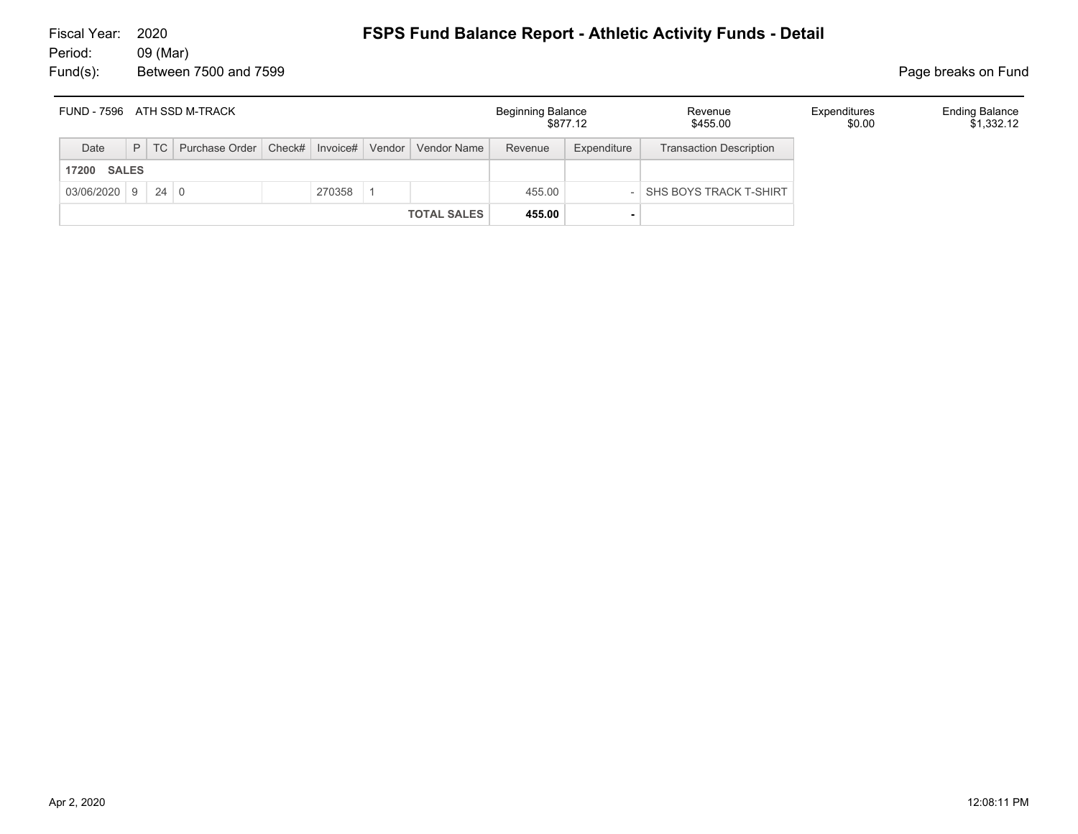| FUND - 7596           |  | ATH SSD M-TRACK                                                    |        |                    | <b>Beginning Balance</b> | \$877.12    | Revenue<br>\$455.00            | Expenditures<br>\$0.00 | <b>Ending Balance</b><br>\$1,332.12 |
|-----------------------|--|--------------------------------------------------------------------|--------|--------------------|--------------------------|-------------|--------------------------------|------------------------|-------------------------------------|
| Date                  |  | P   TC   Purchase Order   Check#   Invoice#   Vendor   Vendor Name |        |                    | Revenue                  | Expenditure | <b>Transaction Description</b> |                        |                                     |
| <b>SALES</b><br>17200 |  |                                                                    |        |                    |                          |             |                                |                        |                                     |
| $03/06/2020$ 9 24 0   |  |                                                                    | 270358 |                    | 455.00                   |             | SHS BOYS TRACK T-SHIRT         |                        |                                     |
|                       |  |                                                                    |        | <b>TOTAL SALES</b> | 455.00                   |             |                                |                        |                                     |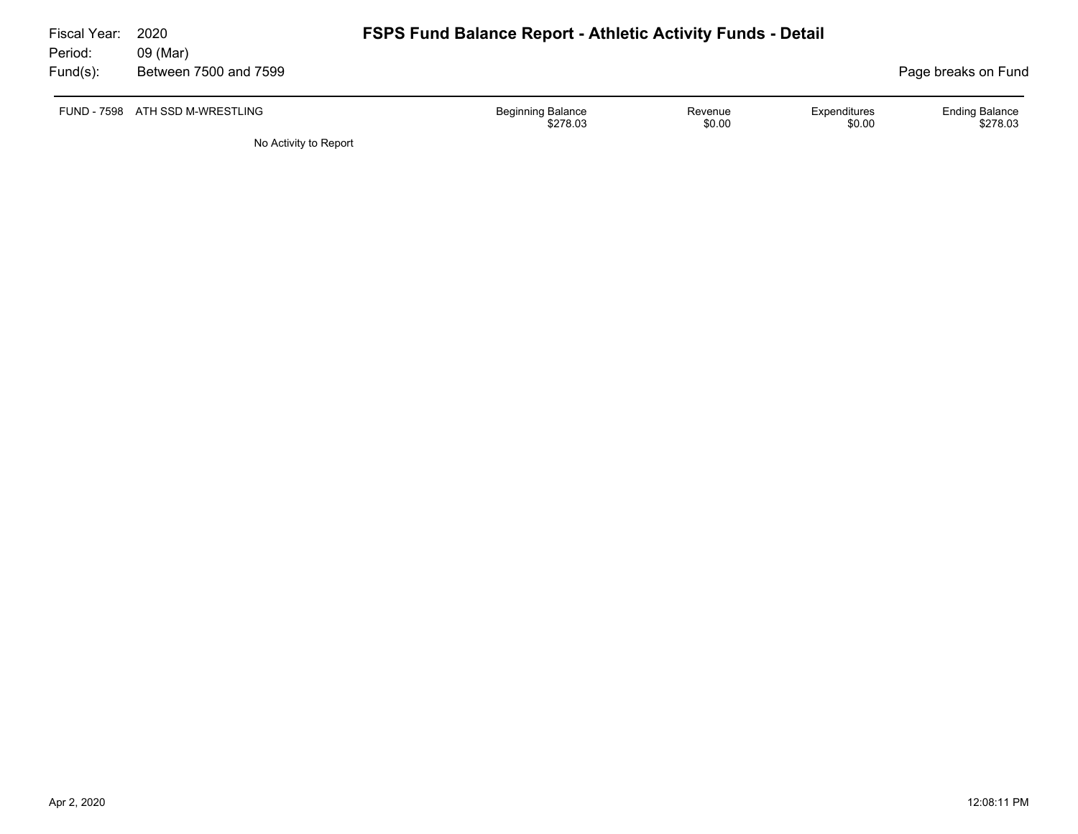| Fiscal Year:<br>Period: | 2020<br>09 (Mar)                | <b>FSPS Fund Balance Report - Athletic Activity Funds - Detail</b> |                   |                        |                                   |
|-------------------------|---------------------------------|--------------------------------------------------------------------|-------------------|------------------------|-----------------------------------|
| Fund(s):                | Between 7500 and 7599           |                                                                    |                   |                        | Page breaks on Fund               |
|                         | FUND - 7598 ATH SSD M-WRESTLING | <b>Beginning Balance</b><br>\$278.03                               | Revenue<br>\$0.00 | Expenditures<br>\$0.00 | <b>Ending Balance</b><br>\$278.03 |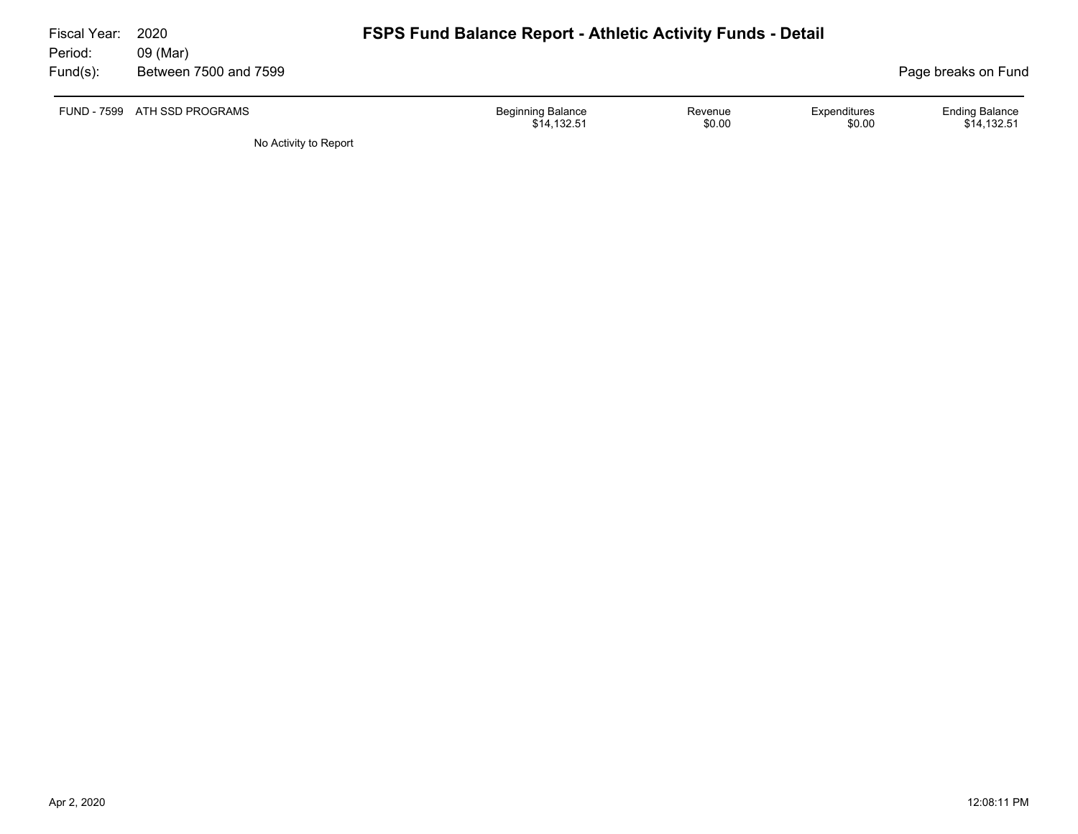| Fiscal Year:        | 2020                              |                          | <b>FSPS Fund Balance Report - Athletic Activity Funds - Detail</b> |                        |                                      |  |  |  |
|---------------------|-----------------------------------|--------------------------|--------------------------------------------------------------------|------------------------|--------------------------------------|--|--|--|
| Period:<br>Fund(s): | 09 (Mar)<br>Between 7500 and 7599 |                          |                                                                    |                        | Page breaks on Fund                  |  |  |  |
|                     | FUND - 7599 ATH SSD PROGRAMS      | <b>Beginning Balance</b> | Revenue<br>\$0.00<br>\$14.132.51                                   | Expenditures<br>\$0.00 | <b>Ending Balance</b><br>\$14,132.51 |  |  |  |
|                     | No Activity to Report             |                          |                                                                    |                        |                                      |  |  |  |